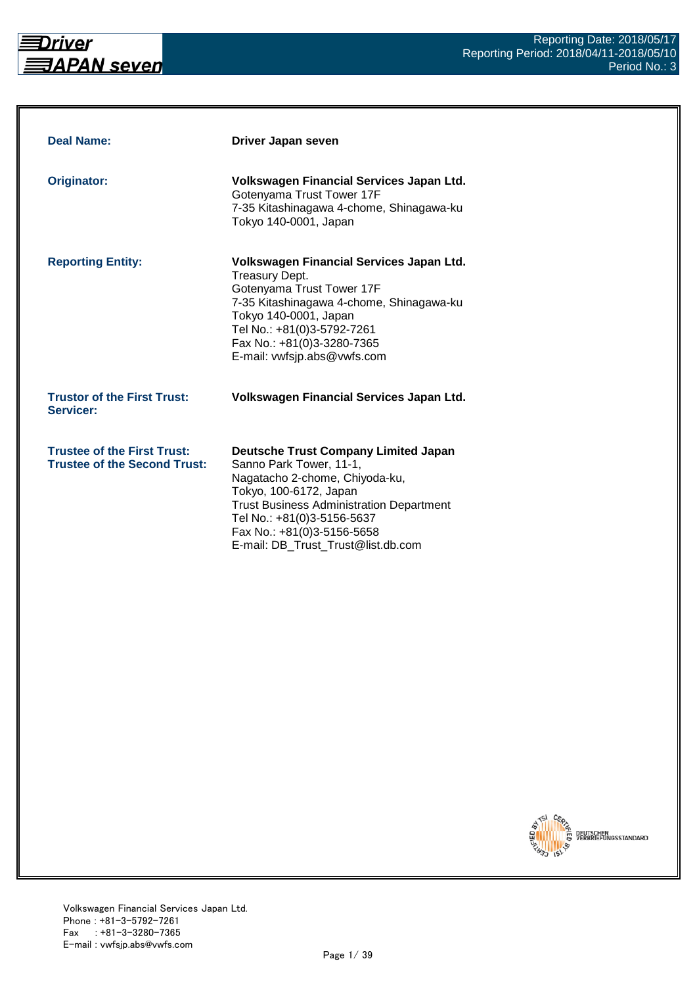

| <b>Deal Name:</b>                                                         | Driver Japan seven                                                                                                                                                                                                                                                                      |
|---------------------------------------------------------------------------|-----------------------------------------------------------------------------------------------------------------------------------------------------------------------------------------------------------------------------------------------------------------------------------------|
| <b>Originator:</b>                                                        | Volkswagen Financial Services Japan Ltd.<br>Gotenyama Trust Tower 17F<br>7-35 Kitashinagawa 4-chome, Shinagawa-ku<br>Tokyo 140-0001, Japan                                                                                                                                              |
| <b>Reporting Entity:</b>                                                  | Volkswagen Financial Services Japan Ltd.<br><b>Treasury Dept.</b><br>Gotenyama Trust Tower 17F<br>7-35 Kitashinagawa 4-chome, Shinagawa-ku<br>Tokyo 140-0001, Japan<br>Tel No.: +81(0)3-5792-7261<br>Fax No.: +81(0)3-3280-7365<br>E-mail: vwfsjp.abs@vwfs.com                          |
| <b>Trustor of the First Trust:</b><br>Servicer:                           | Volkswagen Financial Services Japan Ltd.                                                                                                                                                                                                                                                |
| <b>Trustee of the First Trust:</b><br><b>Trustee of the Second Trust:</b> | <b>Deutsche Trust Company Limited Japan</b><br>Sanno Park Tower, 11-1,<br>Nagatacho 2-chome, Chiyoda-ku,<br>Tokyo, 100-6172, Japan<br><b>Trust Business Administration Department</b><br>Tel No.: +81(0)3-5156-5637<br>Fax No.: +81(0)3-5156-5658<br>E-mail: DB_Trust_Trust@list.db.com |

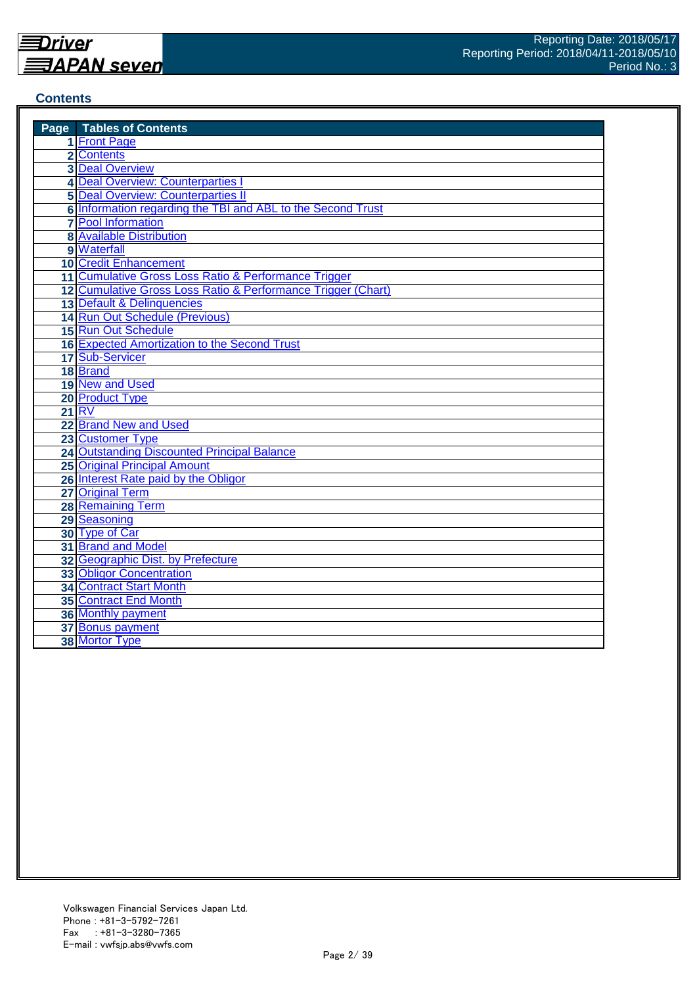#### **Contents**

| <b>Page</b> Tables of Contents                               |
|--------------------------------------------------------------|
| 1 Front Page                                                 |
| 2 Contents                                                   |
| <b>3 Deal Overview</b>                                       |
| 4 Deal Overview: Counterparties                              |
| <b>5 Deal Overview: Counterparties II</b>                    |
| 6 Information regarding the TBI and ABL to the Second Trust  |
| <b>7</b> Pool Information                                    |
| <b>8 Available Distribution</b>                              |
| 9 Waterfall                                                  |
| <b>10 Credit Enhancement</b>                                 |
| 11 Cumulative Gross Loss Ratio & Performance Trigger         |
| 12 Cumulative Gross Loss Ratio & Performance Trigger (Chart) |
| 13 Default & Delinquencies                                   |
| 14 Run Out Schedule (Previous)                               |
| 15 Run Out Schedule                                          |
| 16 Expected Amortization to the Second Trust                 |
| 17 Sub-Servicer                                              |
| 18 Brand                                                     |
| 19 New and Used                                              |
| 20 Product Type                                              |
| <b>21 RV</b>                                                 |
| 22 Brand New and Used                                        |
| 23 Customer Type                                             |
| <b>24 Outstanding Discounted Principal Balance</b>           |
| <b>25 Original Principal Amount</b>                          |
| 26 Interest Rate paid by the Obligor                         |
| 27 Original Term                                             |
| <b>28 Remaining Term</b>                                     |
| 29 Seasoning                                                 |
| 30 Type of Car                                               |
| 31 Brand and Model                                           |
| 32 Geographic Dist. by Prefecture                            |
| <b>33 Obligor Concentration</b>                              |
| <b>34 Contract Start Month</b>                               |
| <b>35 Contract End Month</b>                                 |
| 36 Monthly payment                                           |
| 37 Bonus payment                                             |
| 38 Mortor Type                                               |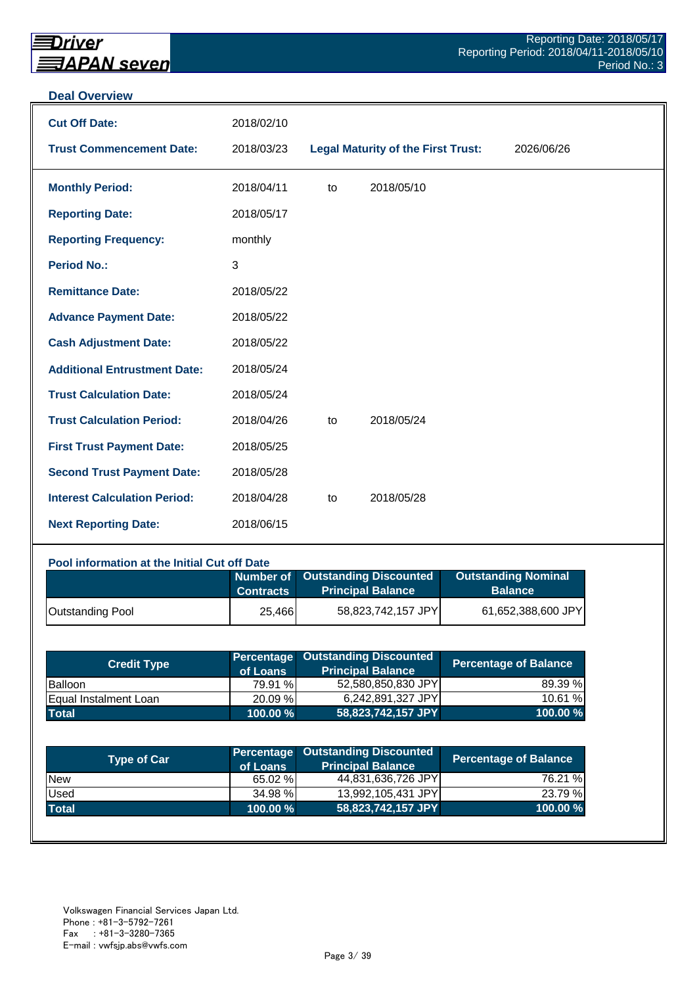#### **Deal Overview**

| <b>Cut Off Date:</b>                | 2018/02/10 |    |                                           |            |
|-------------------------------------|------------|----|-------------------------------------------|------------|
| <b>Trust Commencement Date:</b>     | 2018/03/23 |    | <b>Legal Maturity of the First Trust:</b> | 2026/06/26 |
| <b>Monthly Period:</b>              | 2018/04/11 | to | 2018/05/10                                |            |
| <b>Reporting Date:</b>              | 2018/05/17 |    |                                           |            |
| <b>Reporting Frequency:</b>         | monthly    |    |                                           |            |
| <b>Period No.:</b>                  | 3          |    |                                           |            |
| <b>Remittance Date:</b>             | 2018/05/22 |    |                                           |            |
| <b>Advance Payment Date:</b>        | 2018/05/22 |    |                                           |            |
| <b>Cash Adjustment Date:</b>        | 2018/05/22 |    |                                           |            |
| <b>Additional Entrustment Date:</b> | 2018/05/24 |    |                                           |            |
| <b>Trust Calculation Date:</b>      | 2018/05/24 |    |                                           |            |
| <b>Trust Calculation Period:</b>    | 2018/04/26 | to | 2018/05/24                                |            |
| <b>First Trust Payment Date:</b>    | 2018/05/25 |    |                                           |            |
| <b>Second Trust Payment Date:</b>   | 2018/05/28 |    |                                           |            |
| <b>Interest Calculation Period:</b> | 2018/04/28 | to | 2018/05/28                                |            |
| <b>Next Reporting Date:</b>         | 2018/06/15 |    |                                           |            |

#### **Pool information at the Initial Cut off Date**

|                         | <b>Contracts</b> | Number of Outstanding Discounted<br><b>Principal Balance</b> | <b>Outstanding Nominal</b><br><b>Balance</b> |
|-------------------------|------------------|--------------------------------------------------------------|----------------------------------------------|
| <b>Outstanding Pool</b> | 25,466           | 58,823,742,157 JPY                                           | 61,652,388,600 JPY                           |

| <b>Credit Type</b>           | of Loans    | <b>Percentage Outstanding Discounted</b><br><b>Principal Balance</b> | <b>Percentage of Balance</b> |
|------------------------------|-------------|----------------------------------------------------------------------|------------------------------|
| Balloon                      | 79.91 %     | 52,580,850,830 JPY                                                   | 89.39 %                      |
| <b>Equal Instalment Loan</b> | 20.09 %     | 6,242,891,327 JPY                                                    | 10.61 %                      |
| <b>Total</b>                 | $100.00 \%$ | 58,823,742,157 JPY                                                   | 100.00 %                     |

| <b>Type of Car</b> | of Loans | <b>Percentage Outstanding Discounted</b><br><b>Principal Balance</b> | <b>Percentage of Balance</b> |
|--------------------|----------|----------------------------------------------------------------------|------------------------------|
| <b>New</b>         | 65.02 %  | 44,831,636,726 JPY                                                   | 76.21 %                      |
| Used               | 34.98 %  | 13,992,105,431 JPY                                                   | 23.79 %                      |
| <b>Total</b>       | 100.00 % | 58,823,742,157 JPY                                                   | 100.00%                      |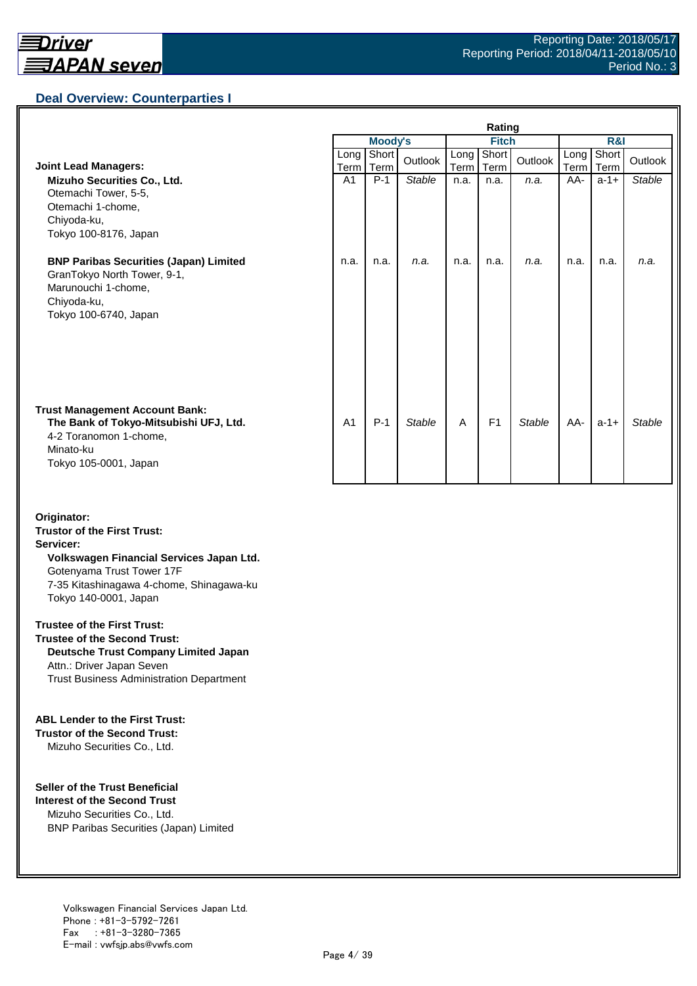

## **Deal Overview: Counterparties I**

|                                                                                                                                                 | Rating              |               |               |              |                |               |              |               |               |  |
|-------------------------------------------------------------------------------------------------------------------------------------------------|---------------------|---------------|---------------|--------------|----------------|---------------|--------------|---------------|---------------|--|
|                                                                                                                                                 |                     | Moody's       |               |              | <b>Fitch</b>   |               |              | R&I           |               |  |
| <b>Joint Lead Managers:</b>                                                                                                                     | Long<br><b>Term</b> | Short<br>Term | Outlook       | Long<br>Term | Short<br>Term  | Outlook       | Long<br>Term | Short<br>Term | Outlook       |  |
| Mizuho Securities Co., Ltd.<br>Otemachi Tower, 5-5,<br>Otemachi 1-chome,<br>Chiyoda-ku,<br>Tokyo 100-8176, Japan                                | A1                  | $P-1$         | Stable        | n.a.         | n.a.           | n.a.          | AA-          | $a-1+$        | Stable        |  |
| <b>BNP Paribas Securities (Japan) Limited</b><br>GranTokyo North Tower, 9-1,<br>Marunouchi 1-chome,<br>Chiyoda-ku,<br>Tokyo 100-6740, Japan     | n.a.                | n.a.          | n.a.          | n.a.         | n.a.           | n.a.          | n.a.         | n.a.          | n.a.          |  |
| <b>Trust Management Account Bank:</b><br>The Bank of Tokyo-Mitsubishi UFJ, Ltd.<br>4-2 Toranomon 1-chome,<br>Minato-ku<br>Tokyo 105-0001, Japan | A <sub>1</sub>      | $P-1$         | <b>Stable</b> | A            | F <sub>1</sub> | <b>Stable</b> | AA-          | $a-1+$        | <b>Stable</b> |  |

#### **Originator: Trustor of the First Trust: Servicer: Volkswagen Financial Services Japan Ltd.** Gotenyama Trust Tower 17F 7-35 Kitashinagawa 4-chome, Shinagawa-ku Tokyo 140-0001, Japan

#### **Trustee of the First Trust:**

**Trustee of the Second Trust: Deutsche Trust Company Limited Japan** Attn.: Driver Japan Seven Trust Business Administration Department

#### **ABL Lender to the First Trust:**

**Trustor of the Second Trust:** Mizuho Securities Co., Ltd.

#### **Seller of the Trust Beneficial**

**Interest of the Second Trust** Mizuho Securities Co., Ltd. BNP Paribas Securities (Japan) Limited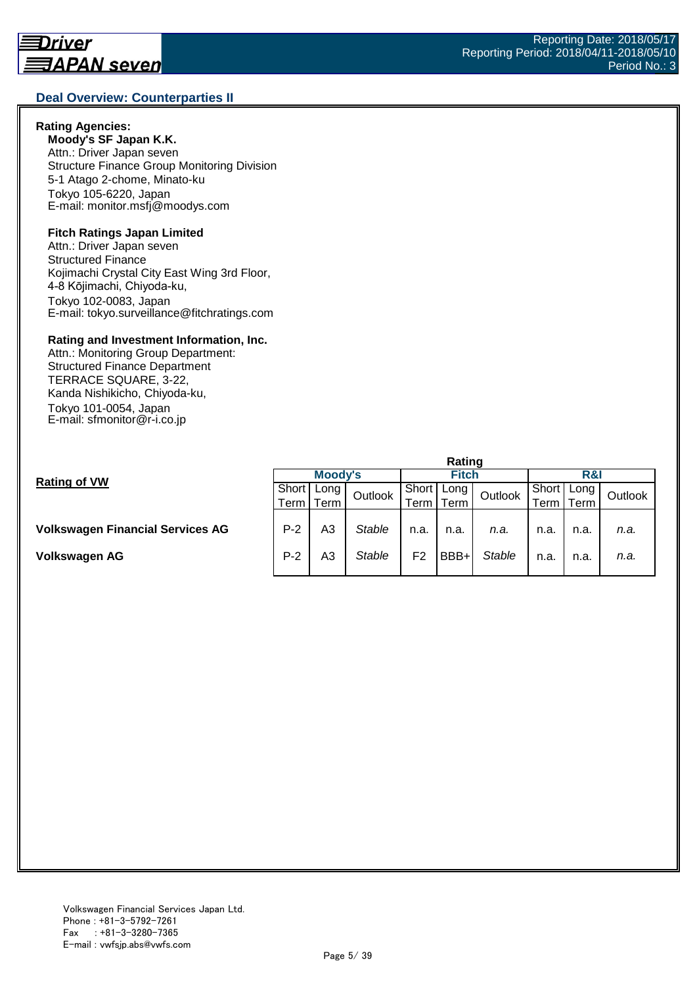#### **Deal Overview: Counterparties II**

#### **Rating Agencies:**

**Moody's SF Japan K.K.** Attn.: Driver Japan seven Structure Finance Group Monitoring Division 5-1 Atago 2-chome, Minato-ku Tokyo 105-6220, Japan E-mail: monitor.msfj@moodys.com

#### **Fitch Ratings Japan Limited**

Attn.: Driver Japan seven Structured Finance Kojimachi Crystal City East Wing 3rd Floor, 4-8 Kōjimachi, Chiyoda-ku, Tokyo 102-0083, Japan E-mail: tokyo.surveillance@fitchratings.com

#### **Rating and Investment Information, Inc.**

Attn.: Monitoring Group Department: Structured Finance Department TERRACE SQUARE, 3-22, Kanda Nishikicho, Chiyoda-ku, Tokyo 101-0054, Japan E-mail: sfmonitor@r-i.co.jp

|                                         | nauna       |                  |               |       |      |               |           |         |      |  |
|-----------------------------------------|-------------|------------------|---------------|-------|------|---------------|-----------|---------|------|--|
|                                         | Moody's     |                  |               | Fitch |      |               | $R\alpha$ |         |      |  |
| <b>Rating of VW</b>                     |             | I Short   Long ' | Outlook       | Short | Long | Outlook       | Short     | Long    |      |  |
|                                         | Term I Term |                  | Term          | Term  |      | erm l         | Term      | Outlook |      |  |
|                                         |             |                  |               |       |      |               |           |         |      |  |
| <b>Volkswagen Financial Services AG</b> | $P-2$       | A3               | <b>Stable</b> | n.a.  | n.a. | n.a.          | n.a.      | n.a.    | n.a. |  |
| Volkswagen AG                           | $P-2$       | A3               | <b>Stable</b> | F2    | BBB+ | <b>Stable</b> | n.a.      | n.a.    | n.a. |  |

**Rating**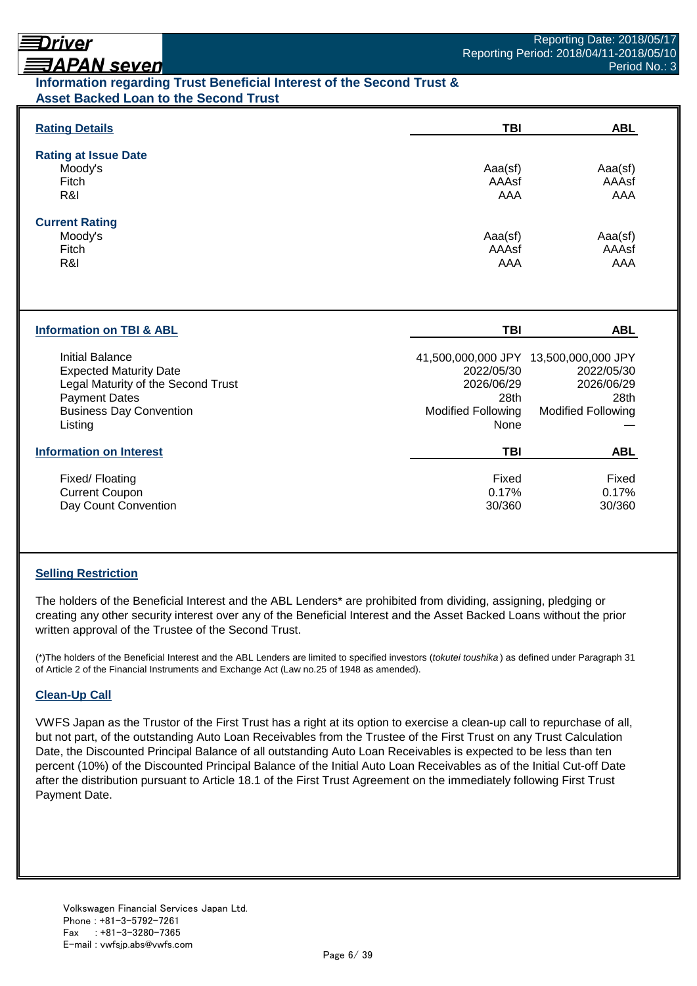# Driver

# **ヲAPAN seven**

## **Information regarding Trust Beneficial Interest of the Second Trust & Asset Backed Loan to the Second Trust**

| <b>Rating Details</b>                   | <b>TBI</b>                | <b>ABL</b>                            |
|-----------------------------------------|---------------------------|---------------------------------------|
| <b>Rating at Issue Date</b>             |                           |                                       |
| Moody's                                 | Aaa(sf)                   | Aaa(sf)                               |
| Fitch                                   | AAAsf                     | AAAsf                                 |
| R&I                                     | AAA                       | AAA                                   |
| <b>Current Rating</b>                   |                           |                                       |
| Moody's                                 | Aaa(sf)                   | Aaa(sf)                               |
| Fitch                                   | AAAsf                     | AAAsf                                 |
| R&I                                     | AAA                       | AAA                                   |
| <b>Information on TBI &amp; ABL</b>     | <b>TBI</b>                | <b>ABL</b>                            |
| <b>Initial Balance</b>                  |                           | 41,500,000,000 JPY 13,500,000,000 JPY |
| <b>Expected Maturity Date</b>           | 2022/05/30                | 2022/05/30                            |
| Legal Maturity of the Second Trust      | 2026/06/29                | 2026/06/29                            |
| <b>Payment Dates</b>                    | 28th                      | 28th                                  |
| <b>Business Day Convention</b>          | <b>Modified Following</b> | <b>Modified Following</b>             |
| Listing                                 | None                      |                                       |
|                                         |                           |                                       |
| <b>Information on Interest</b>          | <b>TBI</b>                | <b>ABL</b>                            |
|                                         |                           | Fixed                                 |
| Fixed/Floating<br><b>Current Coupon</b> | Fixed<br>0.17%            | 0.17%                                 |

## **Selling Restriction**

The holders of the Beneficial Interest and the ABL Lenders\* are prohibited from dividing, assigning, pledging or creating any other security interest over any of the Beneficial Interest and the Asset Backed Loans without the prior written approval of the Trustee of the Second Trust.

(\*)The holders of the Beneficial Interest and the ABL Lenders are limited to specified investors (*tokutei toushika* ) as defined under Paragraph 31 of Article 2 of the Financial Instruments and Exchange Act (Law no.25 of 1948 as amended).

#### **Clean-Up Call**

VWFS Japan as the Trustor of the First Trust has a right at its option to exercise a clean-up call to repurchase of all, but not part, of the outstanding Auto Loan Receivables from the Trustee of the First Trust on any Trust Calculation Date, the Discounted Principal Balance of all outstanding Auto Loan Receivables is expected to be less than ten percent (10%) of the Discounted Principal Balance of the Initial Auto Loan Receivables as of the Initial Cut-off Date after the distribution pursuant to Article 18.1 of the First Trust Agreement on the immediately following First Trust Payment Date.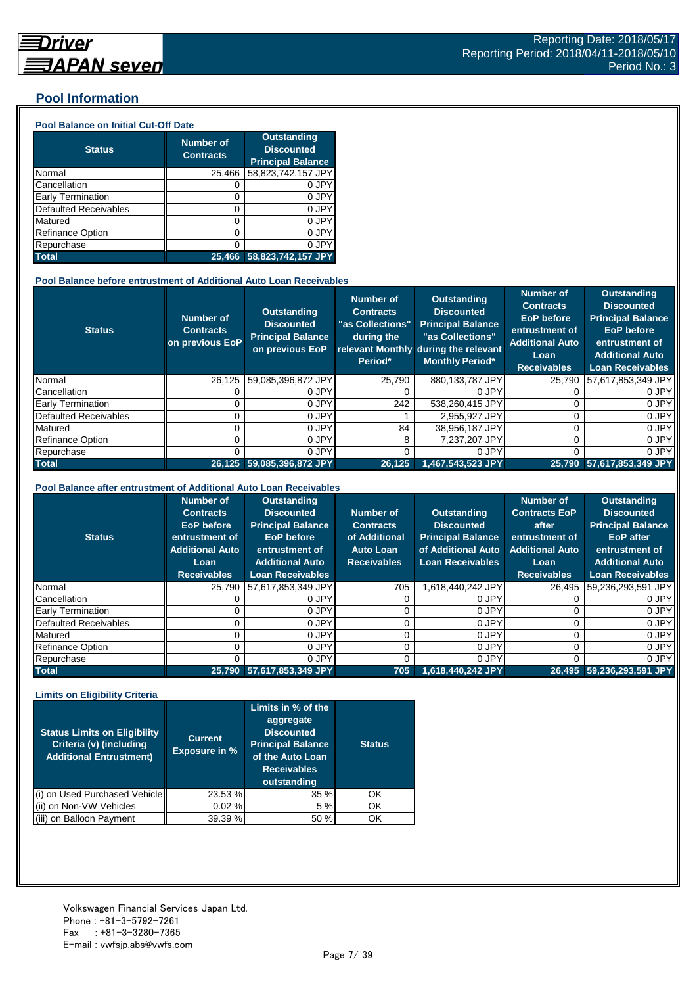### **Pool Information**

#### **Pool Balance on Initial Cut-Off Date**

| <b>Status</b>                | <b>Number of</b><br><b>Contracts</b> | <b>Outstanding</b><br><b>Discounted</b><br><b>Principal Balance</b> |
|------------------------------|--------------------------------------|---------------------------------------------------------------------|
| Normal                       | 25,466                               | 58,823,742,157 JPY                                                  |
| Cancellation                 | O                                    | 0 JPY                                                               |
| Early Termination            | 0                                    | 0 JPY                                                               |
| <b>Defaulted Receivables</b> | 0                                    | 0 JPY                                                               |
| Matured                      | 0                                    | 0 JPY                                                               |
| <b>Refinance Option</b>      | 0                                    | 0 JPY                                                               |
| Repurchase                   | ი                                    | 0 JPY                                                               |
| <b>Total</b>                 | 25.466                               | 58,823,742,157 JPY                                                  |

#### **Pool Balance before entrustment of Additional Auto Loan Receivables**

| <b>Status</b>                | <b>Number of</b><br><b>Contracts</b><br>on previous EoP | <b>Outstanding</b><br><b>Discounted</b><br><b>Principal Balance</b><br>on previous EoP | <b>Number of</b><br><b>Contracts</b><br>"as Collections"<br>during the<br>Period* | Outstanding<br><b>Discounted</b><br><b>Principal Balance</b><br>"as Collections"<br>relevant Monthly during the relevant<br><b>Monthly Period*</b> | <b>Number of</b><br><b>Contracts</b><br><b>EoP</b> before<br>entrustment of<br><b>Additional Auto</b><br>Loan<br><b>Receivables</b> | <b>Outstanding</b><br><b>Discounted</b><br><b>Principal Balance</b><br><b>EoP</b> before<br>entrustment of<br><b>Additional Auto</b><br><b>Loan Receivables</b> |
|------------------------------|---------------------------------------------------------|----------------------------------------------------------------------------------------|-----------------------------------------------------------------------------------|----------------------------------------------------------------------------------------------------------------------------------------------------|-------------------------------------------------------------------------------------------------------------------------------------|-----------------------------------------------------------------------------------------------------------------------------------------------------------------|
| Normal                       | 26.125                                                  | 59,085,396,872 JPY                                                                     | 25.790                                                                            | 880.133.787 JPY                                                                                                                                    | 25.790                                                                                                                              | 57,617,853,349 JPY                                                                                                                                              |
| Cancellation                 |                                                         | 0 JPY                                                                                  |                                                                                   | 0 JPY                                                                                                                                              |                                                                                                                                     | 0 JPY                                                                                                                                                           |
| <b>Early Termination</b>     |                                                         | 0 JPY                                                                                  | 242                                                                               | 538,260,415 JPY                                                                                                                                    |                                                                                                                                     | 0 JPY                                                                                                                                                           |
| <b>Defaulted Receivables</b> |                                                         | 0 JPY                                                                                  |                                                                                   | 2.955.927 JPY                                                                                                                                      |                                                                                                                                     | 0 JPY                                                                                                                                                           |
| Matured                      |                                                         | 0 JPY                                                                                  | 84                                                                                | 38,956,187 JPY                                                                                                                                     |                                                                                                                                     | 0 JPY                                                                                                                                                           |
| <b>Refinance Option</b>      |                                                         | 0 JPY                                                                                  | 8                                                                                 | 7.237.207 JPY                                                                                                                                      |                                                                                                                                     | 0 JPY                                                                                                                                                           |
| Repurchase                   |                                                         | 0 JPY                                                                                  |                                                                                   | 0 JPY                                                                                                                                              |                                                                                                                                     | 0 JPY                                                                                                                                                           |
| <b>Total</b>                 |                                                         | 26,125 59,085,396,872 JPY                                                              | 26,125                                                                            | 1.467.543.523 JPY                                                                                                                                  |                                                                                                                                     | 25,790 57,617,853,349 JPY                                                                                                                                       |

#### **Pool Balance after entrustment of Additional Auto Loan Receivables**

| <b>Status</b>            | <b>Number of</b><br><b>Contracts</b><br><b>EoP</b> before<br>entrustment of<br><b>Additional Auto</b><br>Loan<br><b>Receivables</b> | <b>Outstanding</b><br><b>Discounted</b><br><b>Principal Balance</b><br><b>EoP</b> before<br>entrustment of<br><b>Additional Auto</b><br><b>Loan Receivables</b> | Number of<br><b>Contracts</b><br>of Additional<br><b>Auto Loan</b><br><b>Receivables</b> | <b>Outstanding</b><br><b>Discounted</b><br><b>Principal Balance</b><br>of Additional Auto<br><b>Loan Receivables</b> | <b>Number of</b><br><b>Contracts EoP</b><br>after<br>entrustment of<br><b>Additional Auto</b><br>Loan<br><b>Receivables</b> | <b>Outstanding</b><br><b>Discounted</b><br><b>Principal Balance</b><br><b>EoP</b> after<br>entrustment of<br><b>Additional Auto</b><br><b>Loan Receivables</b> |
|--------------------------|-------------------------------------------------------------------------------------------------------------------------------------|-----------------------------------------------------------------------------------------------------------------------------------------------------------------|------------------------------------------------------------------------------------------|----------------------------------------------------------------------------------------------------------------------|-----------------------------------------------------------------------------------------------------------------------------|----------------------------------------------------------------------------------------------------------------------------------------------------------------|
| Normal                   | 25.790                                                                                                                              | 57,617,853,349 JPY                                                                                                                                              | 705                                                                                      | 1.618.440.242 JPY                                                                                                    | 26.495                                                                                                                      | 59,236,293,591 JPY                                                                                                                                             |
| Cancellation             |                                                                                                                                     | 0 JPY                                                                                                                                                           |                                                                                          | 0 JPY                                                                                                                |                                                                                                                             | 0 JPY                                                                                                                                                          |
| <b>Early Termination</b> |                                                                                                                                     | 0 JPY                                                                                                                                                           |                                                                                          | 0 JPY                                                                                                                |                                                                                                                             | 0 JPY                                                                                                                                                          |
| Defaulted Receivables    |                                                                                                                                     | 0 JPY                                                                                                                                                           |                                                                                          | 0 JPY                                                                                                                |                                                                                                                             | 0 JPY                                                                                                                                                          |
| Matured                  |                                                                                                                                     | 0 JPY                                                                                                                                                           |                                                                                          | 0 JPY                                                                                                                |                                                                                                                             | 0 JPY                                                                                                                                                          |
| <b>Refinance Option</b>  |                                                                                                                                     | 0 JPY                                                                                                                                                           |                                                                                          | 0 JPY                                                                                                                |                                                                                                                             | 0 JPY                                                                                                                                                          |
| Repurchase               |                                                                                                                                     | 0 JPY                                                                                                                                                           |                                                                                          | 0 JPY                                                                                                                |                                                                                                                             | 0 JPY                                                                                                                                                          |
| <b>Total</b>             |                                                                                                                                     | 25,790 57,617,853,349 JPY                                                                                                                                       | 705                                                                                      | 1,618,440,242 JPY                                                                                                    |                                                                                                                             | 26,495 59,236,293,591 JPY                                                                                                                                      |

#### **Limits on Eligibility Criteria**

| <b>Status Limits on Eligibility</b><br>Criteria (v) (including<br><b>Additional Entrustment)</b> | <b>Current</b><br><b>Exposure in %</b> | Limits in $\%$ of the<br>aggregate<br><b>Discounted</b><br><b>Principal Balance</b><br>of the Auto Loan<br><b>Receivables</b><br>outstanding | <b>Status</b> |
|--------------------------------------------------------------------------------------------------|----------------------------------------|----------------------------------------------------------------------------------------------------------------------------------------------|---------------|
| on Used Purchased Vehicle                                                                        | 23.53 %                                | 35%                                                                                                                                          | OK            |
| on Non-VW Vehicles                                                                               | 0.02%                                  | 5 %                                                                                                                                          | OK            |
| on Balloon Payment                                                                               | 39.39 %                                | 50 %                                                                                                                                         | OK            |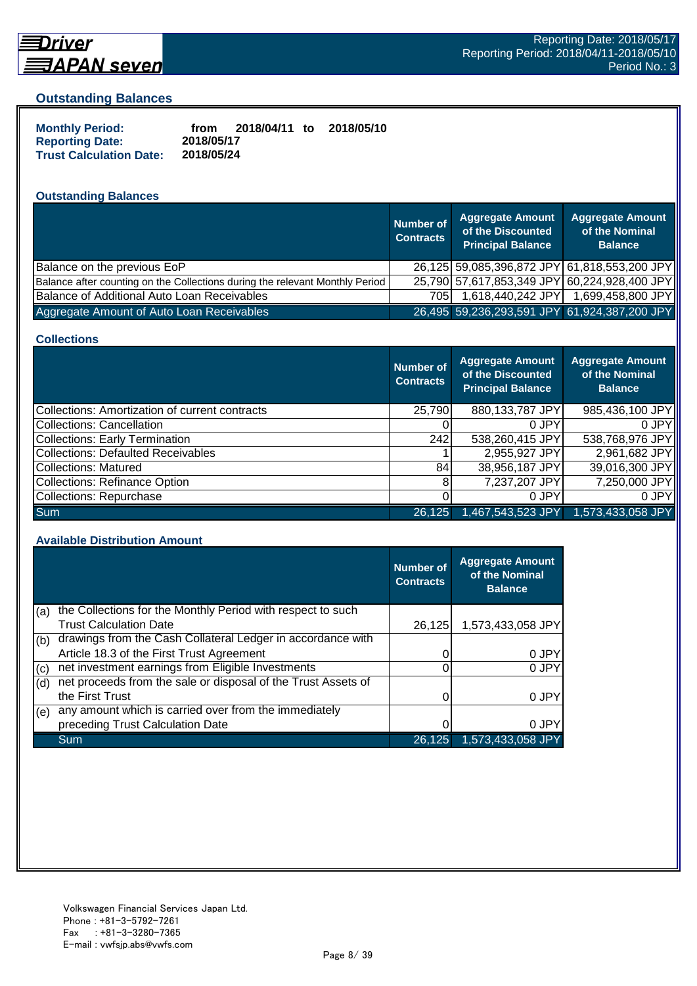

## **Driver** <u> 司APAN seven</u>

#### **Outstanding Balances**

| <b>Monthly Period:</b>         | from       | 2018/04/11 to | 2018/05/10 |
|--------------------------------|------------|---------------|------------|
| <b>Reporting Date:</b>         | 2018/05/17 |               |            |
| <b>Trust Calculation Date:</b> | 2018/05/24 |               |            |

## **Outstanding Balances**

|                                                                              | <b>Number of</b><br><b>Contracts</b> | <b>Aggregate Amount</b><br>of the Discounted<br><b>Principal Balance</b> | <b>Aggregate Amount</b><br>of the Nominal<br><b>Balance</b> |
|------------------------------------------------------------------------------|--------------------------------------|--------------------------------------------------------------------------|-------------------------------------------------------------|
| Balance on the previous EoP                                                  |                                      | 26,125 59,085,396,872 JPY 61,818,553,200 JPY                             |                                                             |
| Balance after counting on the Collections during the relevant Monthly Period |                                      | 25,790 57,617,853,349 JPY 60,224,928,400 JPY                             |                                                             |
| Balance of Additional Auto Loan Receivables                                  | 705I                                 | 1,618,440,242 JPY                                                        | 1,699,458,800 JPY                                           |
| Aggregate Amount of Auto Loan Receivables                                    |                                      | 26,495 59,236,293,591 JPY 61,924,387,200 JPY                             |                                                             |

#### **Collections**

|                                                | Number of<br><b>Contracts</b> | Aggregate Amount<br>of the Discounted<br><b>Principal Balance</b> | <b>Aggregate Amount</b><br>of the Nominal<br><b>Balance</b> |
|------------------------------------------------|-------------------------------|-------------------------------------------------------------------|-------------------------------------------------------------|
| Collections: Amortization of current contracts | 25,790                        | 880,133,787 JPY                                                   | 985,436,100 JPY                                             |
| Collections: Cancellation                      |                               | 0 JPY                                                             | 0.JPY                                                       |
| Collections: Early Termination                 | 242                           | 538,260,415 JPY                                                   | 538,768,976 JPY                                             |
| Collections: Defaulted Receivables             |                               | 2,955,927 JPY                                                     | 2,961,682 JPY                                               |
| Collections: Matured                           | 84                            | 38,956,187 JPY                                                    | 39,016,300 JPY                                              |
| Collections: Refinance Option                  | 8                             | 7,237,207 JPY                                                     | 7,250,000 JPY                                               |
| Collections: Repurchase                        |                               | 0 JPY                                                             | 0 JPY                                                       |
| <b>Sum</b>                                     | 26,125                        | 1,467,543,523 JPY                                                 | 1,573,433,058 JPY                                           |

#### **Available Distribution Amount**

|     |                                                               | Number of<br><b>Contracts</b> | <b>Aggregate Amount</b><br>of the Nominal<br><b>Balance</b> |
|-----|---------------------------------------------------------------|-------------------------------|-------------------------------------------------------------|
| (a) | the Collections for the Monthly Period with respect to such   |                               |                                                             |
|     | <b>Trust Calculation Date</b>                                 | 26,125                        | 1,573,433,058 JPY                                           |
| (b) | drawings from the Cash Collateral Ledger in accordance with   |                               |                                                             |
|     | Article 18.3 of the First Trust Agreement                     |                               | 0 JPY                                                       |
| (c) | net investment earnings from Eligible Investments             |                               | 0 JPY                                                       |
| (d) | net proceeds from the sale or disposal of the Trust Assets of |                               |                                                             |
|     | the First Trust                                               |                               | 0 JPY                                                       |
| (e) | any amount which is carried over from the immediately         |                               |                                                             |
|     | preceding Trust Calculation Date                              |                               | 0 JPY                                                       |
|     | Sum                                                           | 26,125                        | 1,573,433,058 JPY                                           |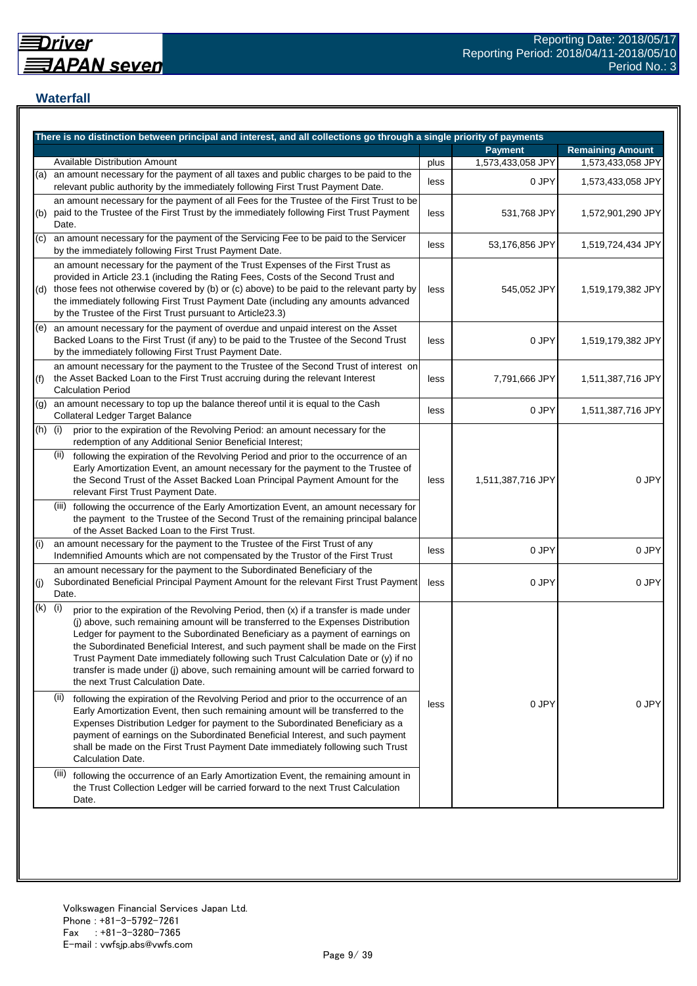## **Waterfall**

|     | There is no distinction between principal and interest, and all collections go through a single priority of payments                                                                                                                                                                                                                                                                                                                                                                                                                                                    |      |                   |                         |
|-----|-------------------------------------------------------------------------------------------------------------------------------------------------------------------------------------------------------------------------------------------------------------------------------------------------------------------------------------------------------------------------------------------------------------------------------------------------------------------------------------------------------------------------------------------------------------------------|------|-------------------|-------------------------|
|     |                                                                                                                                                                                                                                                                                                                                                                                                                                                                                                                                                                         |      | <b>Payment</b>    | <b>Remaining Amount</b> |
|     | <b>Available Distribution Amount</b>                                                                                                                                                                                                                                                                                                                                                                                                                                                                                                                                    | plus | 1,573,433,058 JPY | 1,573,433,058 JPY       |
| (a) | an amount necessary for the payment of all taxes and public charges to be paid to the<br>relevant public authority by the immediately following First Trust Payment Date.                                                                                                                                                                                                                                                                                                                                                                                               | less | 0 JPY             | 1,573,433,058 JPY       |
| (b) | an amount necessary for the payment of all Fees for the Trustee of the First Trust to be<br>paid to the Trustee of the First Trust by the immediately following First Trust Payment<br>Date.                                                                                                                                                                                                                                                                                                                                                                            | less | 531,768 JPY       | 1,572,901,290 JPY       |
| (c) | an amount necessary for the payment of the Servicing Fee to be paid to the Servicer<br>by the immediately following First Trust Payment Date.                                                                                                                                                                                                                                                                                                                                                                                                                           | less | 53,176,856 JPY    | 1,519,724,434 JPY       |
| (d) | an amount necessary for the payment of the Trust Expenses of the First Trust as<br>provided in Article 23.1 (including the Rating Fees, Costs of the Second Trust and<br>those fees not otherwise covered by (b) or (c) above) to be paid to the relevant party by<br>the immediately following First Trust Payment Date (including any amounts advanced<br>by the Trustee of the First Trust pursuant to Article23.3)                                                                                                                                                  | less | 545,052 JPY       | 1,519,179,382 JPY       |
| (e) | an amount necessary for the payment of overdue and unpaid interest on the Asset<br>Backed Loans to the First Trust (if any) to be paid to the Trustee of the Second Trust<br>by the immediately following First Trust Payment Date.                                                                                                                                                                                                                                                                                                                                     | less | 0 JPY             | 1,519,179,382 JPY       |
| (f) | an amount necessary for the payment to the Trustee of the Second Trust of interest on<br>the Asset Backed Loan to the First Trust accruing during the relevant Interest<br><b>Calculation Period</b>                                                                                                                                                                                                                                                                                                                                                                    | less | 7,791,666 JPY     | 1,511,387,716 JPY       |
| (g) | an amount necessary to top up the balance thereof until it is equal to the Cash<br>Collateral Ledger Target Balance                                                                                                                                                                                                                                                                                                                                                                                                                                                     | less | 0 JPY             | 1,511,387,716 JPY       |
| (h) | (i)<br>prior to the expiration of the Revolving Period: an amount necessary for the<br>redemption of any Additional Senior Beneficial Interest;                                                                                                                                                                                                                                                                                                                                                                                                                         |      |                   |                         |
|     | (ii)<br>following the expiration of the Revolving Period and prior to the occurrence of an<br>Early Amortization Event, an amount necessary for the payment to the Trustee of<br>the Second Trust of the Asset Backed Loan Principal Payment Amount for the<br>relevant First Trust Payment Date.                                                                                                                                                                                                                                                                       | less | 1,511,387,716 JPY | 0 JPY                   |
|     | (iii) following the occurrence of the Early Amortization Event, an amount necessary for<br>the payment to the Trustee of the Second Trust of the remaining principal balance<br>of the Asset Backed Loan to the First Trust.                                                                                                                                                                                                                                                                                                                                            |      |                   |                         |
| (i) | an amount necessary for the payment to the Trustee of the First Trust of any<br>Indemnified Amounts which are not compensated by the Trustor of the First Trust                                                                                                                                                                                                                                                                                                                                                                                                         | less | 0 JPY             | 0 JPY                   |
| (j) | an amount necessary for the payment to the Subordinated Beneficiary of the<br>Subordinated Beneficial Principal Payment Amount for the relevant First Trust Payment<br>Date.                                                                                                                                                                                                                                                                                                                                                                                            | less | 0 JPY             | 0 JPY                   |
| (k) | (i)<br>prior to the expiration of the Revolving Period, then (x) if a transfer is made under<br>(j) above, such remaining amount will be transferred to the Expenses Distribution<br>Ledger for payment to the Subordinated Beneficiary as a payment of earnings on<br>the Subordinated Beneficial Interest, and such payment shall be made on the First<br>Trust Payment Date immediately following such Trust Calculation Date or (y) if no<br>transfer is made under (j) above, such remaining amount will be carried forward to<br>the next Trust Calculation Date. |      |                   |                         |
|     | (ii)<br>following the expiration of the Revolving Period and prior to the occurrence of an<br>Early Amortization Event, then such remaining amount will be transferred to the<br>Expenses Distribution Ledger for payment to the Subordinated Beneficiary as a<br>payment of earnings on the Subordinated Beneficial Interest, and such payment<br>shall be made on the First Trust Payment Date immediately following such Trust<br>Calculation Date.                                                                                                                  | less | 0 JPY             | 0 JPY                   |
|     | (iii)<br>following the occurrence of an Early Amortization Event, the remaining amount in<br>the Trust Collection Ledger will be carried forward to the next Trust Calculation<br>Date.                                                                                                                                                                                                                                                                                                                                                                                 |      |                   |                         |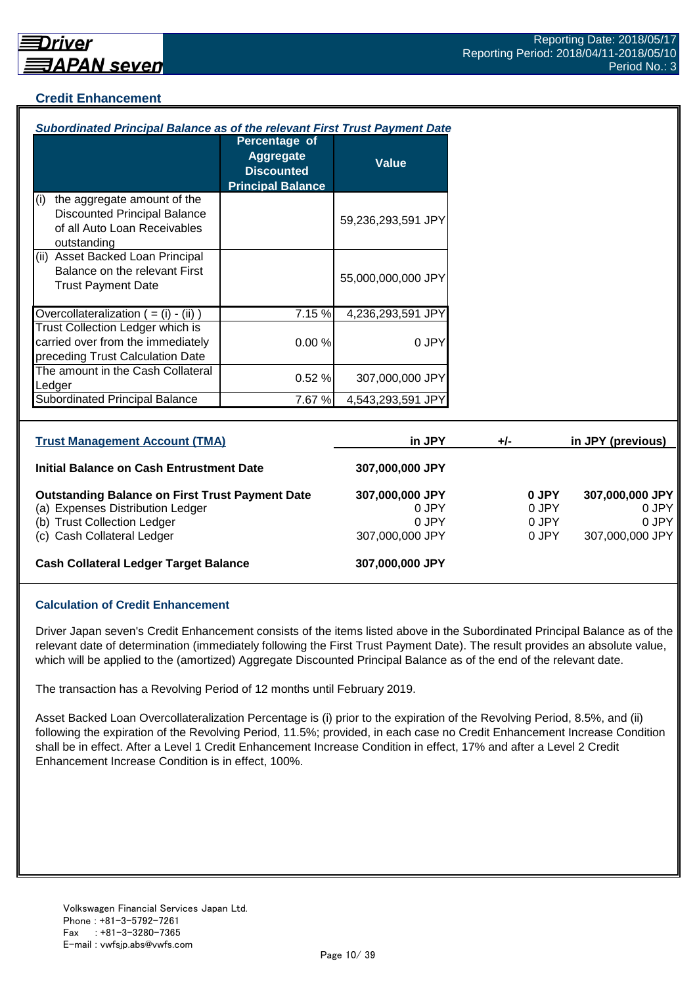## **Credit Enhancement**

| <b>Subordinated Principal Balance as of the relevant First Trust Payment Date</b>                                                                       |                                                                                    |                                                      |       |                                  |                                                      |
|---------------------------------------------------------------------------------------------------------------------------------------------------------|------------------------------------------------------------------------------------|------------------------------------------------------|-------|----------------------------------|------------------------------------------------------|
|                                                                                                                                                         | Percentage of<br><b>Aggregate</b><br><b>Discounted</b><br><b>Principal Balance</b> | <b>Value</b>                                         |       |                                  |                                                      |
| the aggregate amount of the<br>(i)<br><b>Discounted Principal Balance</b><br>of all Auto Loan Receivables<br>outstanding                                |                                                                                    | 59,236,293,591 JPY                                   |       |                                  |                                                      |
| (ii) Asset Backed Loan Principal<br>Balance on the relevant First<br><b>Trust Payment Date</b>                                                          |                                                                                    | 55,000,000,000 JPY                                   |       |                                  |                                                      |
| Overcollateralization $( = (i) - (ii))$                                                                                                                 | 7.15 %                                                                             | 4,236,293,591 JPY                                    |       |                                  |                                                      |
| <b>Trust Collection Ledger which is</b><br>carried over from the immediately<br>preceding Trust Calculation Date                                        | 0.00%                                                                              | 0 JPY                                                |       |                                  |                                                      |
| The amount in the Cash Collateral<br>Ledger                                                                                                             | 0.52%                                                                              | 307,000,000 JPY                                      |       |                                  |                                                      |
| <b>Subordinated Principal Balance</b>                                                                                                                   | 7.67 %                                                                             | 4,543,293,591 JPY                                    |       |                                  |                                                      |
| <b>Trust Management Account (TMA)</b>                                                                                                                   |                                                                                    | in JPY                                               | $+/-$ |                                  | in JPY (previous)                                    |
| <b>Initial Balance on Cash Entrustment Date</b>                                                                                                         |                                                                                    | 307,000,000 JPY                                      |       |                                  |                                                      |
| <b>Outstanding Balance on First Trust Payment Date</b><br>(a) Expenses Distribution Ledger<br>(b) Trust Collection Ledger<br>(c) Cash Collateral Ledger |                                                                                    | 307,000,000 JPY<br>0 JPY<br>0 JPY<br>307,000,000 JPY |       | 0 JPY<br>0 JPY<br>0 JPY<br>0 JPY | 307,000,000 JPY<br>0 JPY<br>0 JPY<br>307,000,000 JPY |
| <b>Cash Collateral Ledger Target Balance</b>                                                                                                            |                                                                                    | 307,000,000 JPY                                      |       |                                  |                                                      |

#### **Calculation of Credit Enhancement**

Driver Japan seven's Credit Enhancement consists of the items listed above in the Subordinated Principal Balance as of the relevant date of determination (immediately following the First Trust Payment Date). The result provides an absolute value, which will be applied to the (amortized) Aggregate Discounted Principal Balance as of the end of the relevant date.

The transaction has a Revolving Period of 12 months until February 2019.

Asset Backed Loan Overcollateralization Percentage is (i) prior to the expiration of the Revolving Period, 8.5%, and (ii) following the expiration of the Revolving Period, 11.5%; provided, in each case no Credit Enhancement Increase Condition shall be in effect. After a Level 1 Credit Enhancement Increase Condition in effect, 17% and after a Level 2 Credit Enhancement Increase Condition is in effect, 100%.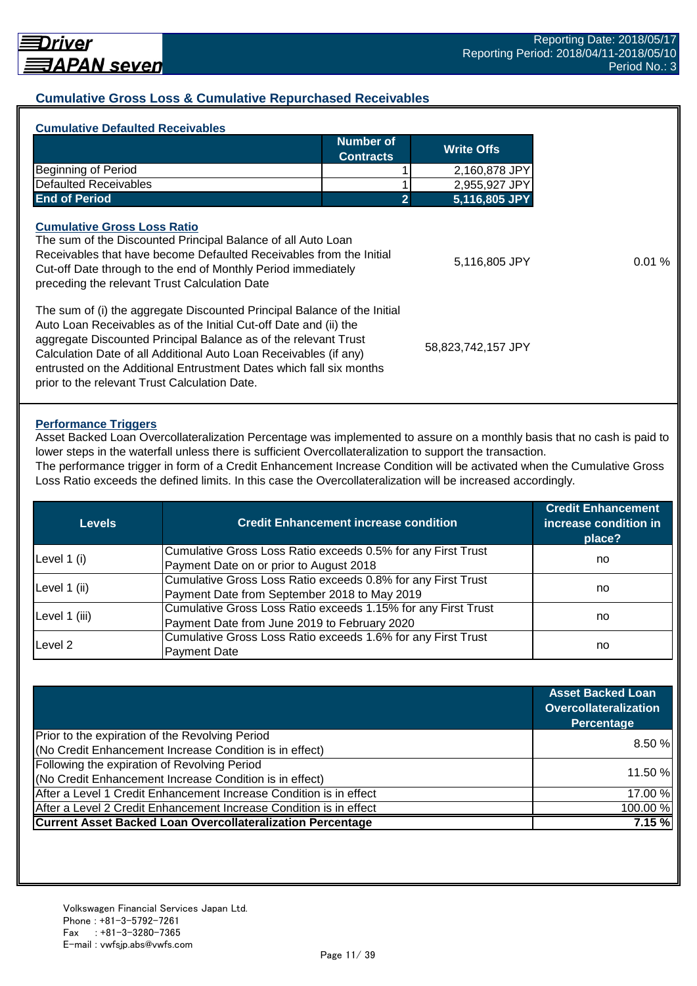## **Cumulative Gross Loss & Cumulative Repurchased Receivables**

|                                                                                                                                                                                                                                                                                       | Number of<br><b>Contracts</b> | <b>Write Offs</b>  |       |
|---------------------------------------------------------------------------------------------------------------------------------------------------------------------------------------------------------------------------------------------------------------------------------------|-------------------------------|--------------------|-------|
| <b>Beginning of Period</b>                                                                                                                                                                                                                                                            |                               | 2,160,878 JPY      |       |
| <b>Defaulted Receivables</b>                                                                                                                                                                                                                                                          |                               | 2,955,927 JPY      |       |
| <b>End of Period</b>                                                                                                                                                                                                                                                                  | 2                             | 5,116,805 JPY      |       |
| The sum of the Discounted Principal Balance of all Auto Loan<br>Receivables that have become Defaulted Receivables from the Initial<br>Cut-off Date through to the end of Monthly Period immediately<br>preceding the relevant Trust Calculation Date                                 |                               | 5,116,805 JPY      | 0.01% |
| The sum of (i) the aggregate Discounted Principal Balance of the Initial<br>Auto Loan Receivables as of the Initial Cut-off Date and (ii) the<br>aggregate Discounted Principal Balance as of the relevant Trust<br>Calculation Date of all Additional Auto Loan Receivables (if any) |                               | 58,823,742,157 JPY |       |

#### **Performance Triggers**

Asset Backed Loan Overcollateralization Percentage was implemented to assure on a monthly basis that no cash is paid to lower steps in the waterfall unless there is sufficient Overcollateralization to support the transaction. The performance trigger in form of a Credit Enhancement Increase Condition will be activated when the Cumulative Gross

Loss Ratio exceeds the defined limits. In this case the Overcollateralization will be increased accordingly.

| Levels        | <b>Credit Enhancement increase condition</b>                  | <b>Credit Enhancement</b><br>increase condition in<br>place? |  |
|---------------|---------------------------------------------------------------|--------------------------------------------------------------|--|
|               | Cumulative Gross Loss Ratio exceeds 0.5% for any First Trust  |                                                              |  |
| Level 1 (i)   | Payment Date on or prior to August 2018                       | no                                                           |  |
|               | Cumulative Gross Loss Ratio exceeds 0.8% for any First Trust  |                                                              |  |
| Level 1 (ii)  | Payment Date from September 2018 to May 2019                  | no                                                           |  |
|               | Cumulative Gross Loss Ratio exceeds 1.15% for any First Trust |                                                              |  |
| Level 1 (iii) | Payment Date from June 2019 to February 2020                  | no                                                           |  |
| Level 2       | Cumulative Gross Loss Ratio exceeds 1.6% for any First Trust  |                                                              |  |
|               | <b>Payment Date</b>                                           | no                                                           |  |

|                                                                    | <b>Asset Backed Loan</b><br><b>Overcollateralization</b><br>Percentage |
|--------------------------------------------------------------------|------------------------------------------------------------------------|
| Prior to the expiration of the Revolving Period                    | 8.50%                                                                  |
| (No Credit Enhancement Increase Condition is in effect)            |                                                                        |
| Following the expiration of Revolving Period                       |                                                                        |
| (No Credit Enhancement Increase Condition is in effect)            | 11.50 %                                                                |
| After a Level 1 Credit Enhancement Increase Condition is in effect | 17.00 %                                                                |
| After a Level 2 Credit Enhancement Increase Condition is in effect | 100.00%                                                                |
| <b>Current Asset Backed Loan Overcollateralization Percentage</b>  | 7.15%                                                                  |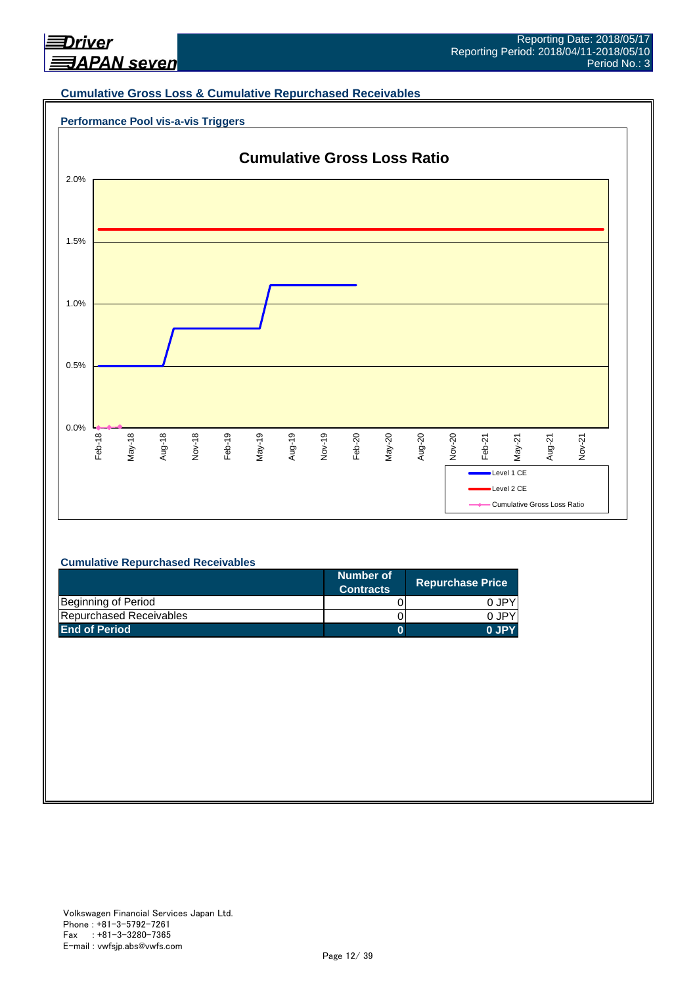

#### **Cumulative Gross Loss & Cumulative Repurchased Receivables**





#### **Cumulative Repurchased Receivables**

|                         | Number of<br><b>Contracts</b> | <b>Repurchase Price</b> |
|-------------------------|-------------------------------|-------------------------|
| Beginning of Period     |                               | 0 JPY                   |
| Repurchased Receivables |                               | 0.JPY                   |
| <b>End of Period</b>    |                               | 0 JPY                   |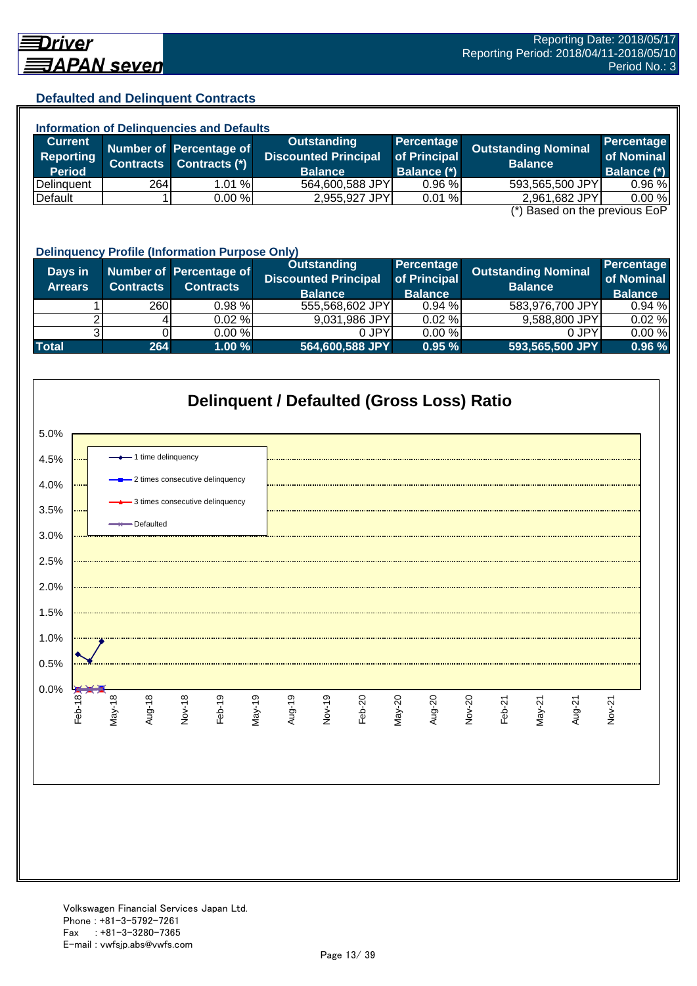### **Defaulted and Delinquent Contracts**

| <b>Information of Delinquencies and Defaults</b> |                                                        |                         |                             |              |                            |             |  |  |
|--------------------------------------------------|--------------------------------------------------------|-------------------------|-----------------------------|--------------|----------------------------|-------------|--|--|
| <b>Current</b>                                   |                                                        | Number of Percentage of | Outstanding                 | Percentage   | <b>Outstanding Nominal</b> | Percentage  |  |  |
| Reporting                                        | <b>Contracts</b>                                       | Contracts (*)           | <b>Discounted Principal</b> | of Principal | <b>Balance</b>             | of Nominal  |  |  |
| <b>Period</b>                                    |                                                        |                         | <b>Balance</b>              | Balance (*)  |                            | Balance (*) |  |  |
| <b>IDelinguent</b>                               | 264                                                    | 1.01%                   | 564,600,588 JPY             | 0.96%        | 593,565,500 JPY            | 0.96%       |  |  |
| Default                                          |                                                        | 0.00%                   | 2,955,927 JPY               | 0.01%        | 2,961,682 JPY              | 0.00%       |  |  |
|                                                  | $\left( \star \right)$ Donal on the provision $\Gamma$ |                         |                             |              |                            |             |  |  |

(\*) Based on the previous EoP

|                           | <b>Delinquency Profile (Information Purpose Only)</b> |                                             |                                                                     |                                              |                                              |                                            |  |  |
|---------------------------|-------------------------------------------------------|---------------------------------------------|---------------------------------------------------------------------|----------------------------------------------|----------------------------------------------|--------------------------------------------|--|--|
| Days in<br><b>Arrears</b> | <b>Contracts</b>                                      | Number of Percentage of<br><b>Contracts</b> | <b>Outstanding</b><br><b>Discounted Principal</b><br><b>Balance</b> | Percentage<br>of Principal<br><b>Balance</b> | <b>Outstanding Nominal</b><br><b>Balance</b> | Percentage<br>of Nominal<br><b>Balance</b> |  |  |
|                           | 260                                                   | $0.98 \%$                                   | 555,568,602 JPY                                                     | 0.94%                                        | 583,976,700 JPY                              | 0.94%                                      |  |  |
|                           |                                                       | 0.02%                                       | 9,031,986 JPY                                                       | 0.02%                                        | 9,588,800 JPY                                | 0.02%                                      |  |  |
|                           |                                                       | 0.00%                                       | 0 JPY                                                               | 0.00%                                        | 0 JPY                                        | 0.00%                                      |  |  |
| <b>Total</b>              | 264                                                   | 1.00%                                       | 564,600,588 JPY                                                     | 0.95%                                        | 593,565,500 JPY                              | 0.96 %                                     |  |  |

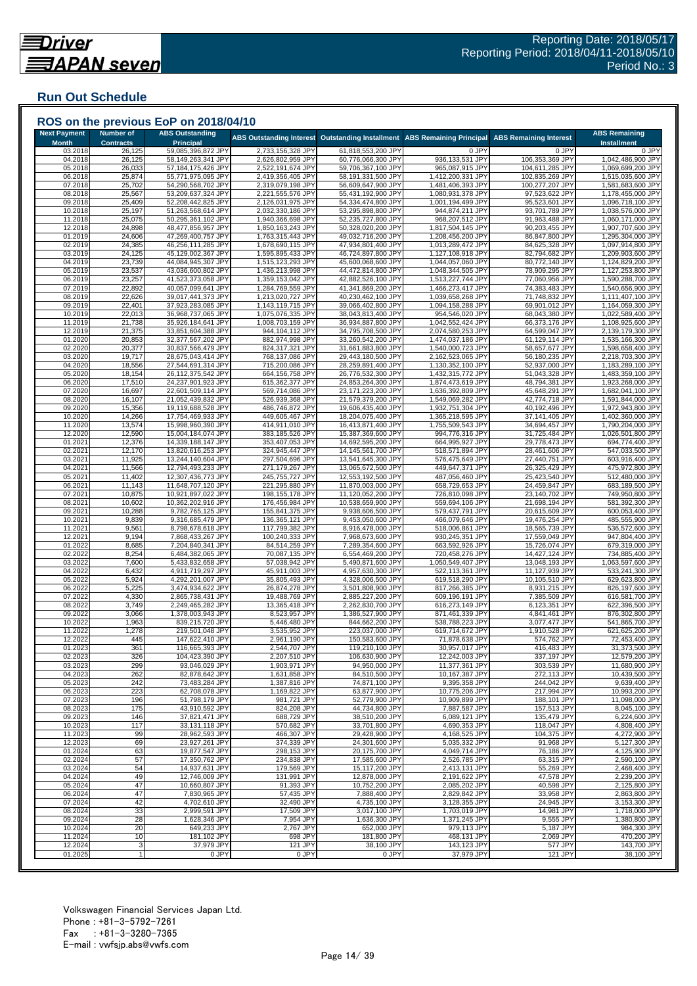## **Run Out Schedule**

| <b>Next Payment</b><br><b>Month</b> | <b>Number of</b><br><b>Contracts</b> | <b>ABS Outstanding</b><br><b>Principal</b> | <b>ABS Outstanding Interest</b>        | <b>Outstanding Installment</b>           | <b>ABS Remaining Principal</b>         | <b>ABS Remaining Interest</b>     | <b>ABS Remaining</b><br><b>Installment</b> |
|-------------------------------------|--------------------------------------|--------------------------------------------|----------------------------------------|------------------------------------------|----------------------------------------|-----------------------------------|--------------------------------------------|
| 03.2018<br>04.2018                  | 26,125<br>26,125                     | 59,085,396,872 JPY<br>58,149,263,341 JPY   | 2,733,156,328 JPY<br>2,626,802,959 JPY | 61,818,553,200 JPY<br>60,776,066,300 JPY | 0 JPY<br>936,133,531 JPY               | 0 JPY<br>106,353,369 JPY          | 0 JPY<br>1,042,486,900 JPY                 |
| 05.2018                             | 26,033                               | 57,184,175,426 JPY                         | 2,522,191,674 JPY                      | 59,706,367,100 JPY                       | 965,087,915 JPY                        | 104,611,285 JPY                   | 1,069,699,200 JPY                          |
| 06.2018                             | 25,874                               | 55,771,975,095 JPY                         | 2,419,356,405 JPY                      | 58,191,331,500 JPY                       | 1,412,200,331 JPY                      | 102,835,269 JPY                   | 1,515,035,600 JPY                          |
| 07.2018<br>08.2018                  | 25,702<br>25,567                     | 54,290,568,702 JPY<br>53,209,637,324 JPY   | 2,319,079,198 JPY<br>2,221,555,576 JPY | 56,609,647,900 JPY<br>55,431,192,900 JPY | 1,481,406,393 JPY<br>1,080,931,378 JPY | 100,277,207 JPY<br>97,523,622 JPY | 1,581,683,600 JPY<br>1,178,455,000 JPY     |
| 09.2018                             | 25,409                               | 52,208,442,825 JPY                         | 2,126,031,975 JPY                      | 54,334,474,800 JPY                       | 1,001,194,499 JPY                      | 95,523,601 JPY                    | 1,096,718,100 JPY                          |
| 10.2018                             | 25,197                               | 51,263,568,614 JPY                         | 2,032,330,186 JPY                      | 53,295,898,800 JPY                       | 944,874,211 JPY                        | 93,701,789 JPY                    | 1,038,576,000 JPY                          |
| 11.2018                             | 25,075                               | 50,295,361,102 JPY                         | 1,940,366,698 JPY                      | 52,235,727,800 JPY                       | 968,207,512 JPY                        | 91,963,488 JPY                    | 1,060,171,000 JPY                          |
| 12.2018<br>01.2019                  | 24,898<br>24,606                     | 48,477,856,957 JPY<br>47,269,400,757 JPY   | 1,850,163,243 JPY<br>1,763,315,443 JPY | 50,328,020,200 JPY<br>49,032,716,200 JPY | 1,817,504,145 JPY<br>1,208,456,200 JPY | 90,203,455 JPY<br>86,847,800 JPY  | 1,907,707,600 JPY<br>1,295,304,000 JPY     |
| 02.2019                             | 24,385                               | 46,256,111,285 JPY                         | 1,678,690,115 JPY                      | 47,934,801,400 JPY                       | 1,013,289,472 JPY                      | 84,625,328 JPY                    | 1,097,914,800 JPY                          |
| 03.2019                             | 24,125                               | 45,129,002,367 JPY                         | 1,595,895,433 JPY                      | 46,724,897,800 JPY                       | 1,127,108,918 JPY                      | 82,794,682 JPY                    | 1,209,903,600 JPY                          |
| 04.2019<br>05.2019                  | 23,739<br>23,537                     | 44,084,945,307 JPY<br>43,036,600,802 JPY   | 1,515,123,293 JPY<br>1,436,213,998 JPY | 45,600,068,600 JPY<br>44,472,814,800 JPY | 1,044,057,060 JPY<br>1,048,344,505 JPY | 80,772,140 JPY<br>78,909,295 JPY  | 1,124,829,200 JPY<br>1,127,253,800 JPY     |
| 06.2019                             | 23,257                               | 41,523,373,058 JPY                         | 1,359,153,042 JPY                      | 42,882,526,100 JPY                       | 1,513,227,744 JPY                      | 77,060,956 JPY                    | 1,590,288,700 JPY                          |
| 07.2019                             | 22,892                               | 40,057,099,641 JPY                         | 1,284,769,559 JPY                      | 41,341,869,200 JPY                       | 1,466,273,417 JPY                      | 74,383,483 JPY                    | 1,540,656,900 JPY                          |
| 08.2019<br>09.2019                  | 22,626                               | 39,017,441,373 JPY                         | 1,213,020,727 JPY                      | 40,230,462,100 JPY                       | 1,039,658,268 JPY                      | 71,748,832 JPY                    | 1,111,407,100 JPY                          |
| 10.2019                             | 22,401<br>22,013                     | 37,923,283,085 JPY<br>36,968,737,065 JPY   | 1,143,119,715 JPY<br>1,075,076,335 JPY | 39,066,402,800 JPY<br>38,043,813,400 JPY | 1,094,158,288 JPY<br>954,546,020 JPY   | 69,901,012 JPY<br>68,043,380 JPY  | 1,164,059,300 JPY<br>1,022,589,400 JPY     |
| 11.2019                             | 21,738                               | 35,926,184,641 JPY                         | 1,008,703,159 JPY                      | 36,934,887,800 JPY                       | 1,042,552,424 JPY                      | 66,373,176 JPY                    | 1,108,925,600 JPY                          |
| 12.2019                             | 21,375                               | 33,851,604,388 JPY                         | 944,104,112 JPY                        | 34,795,708,500 JPY                       | 2,074,580,253 JPY                      | 64,599,047 JPY                    | 2,139,179,300 JPY                          |
| 01.2020<br>02.2020                  | 20,853<br>20,377                     | 32,377,567,202 JPY<br>30,837,566,479 JPY   | 882,974,998 JPY<br>824,317,321 JPY     | 33,260,542,200 JPY<br>31,661,883,800 JPY | 1,474,037,186 JPY<br>1,540,000,723 JPY | 61,129,114 JPY<br>58,657,677 JPY  | 1,535,166,300 JPY<br>1,598,658,400 JPY     |
| 03.2020                             | 19,717                               | 28,675,043,414 JPY                         | 768,137,086 JPY                        | 29,443,180,500 JPY                       | 2,162,523,065 JPY                      | 56,180,235 JPY                    | 2,218,703,300 JPY                          |
| 04.2020                             | 18,556                               | 27,544,691,314 JPY                         | 715,200,086 JPY                        | 28,259,891,400 JPY                       | 1,130,352,100 JPY                      | 52,937,000 JPY                    | 1,183,289,100 JPY                          |
| 05.2020                             | 18,154                               | 26,112,375,542 JPY                         | 664,156,758 JPY                        | 26,776,532,300 JPY<br>24,853,264,300 JPY | 1,432,315,772 JPY                      | 51,043,328 JPY                    | 1,483,359,100 JPY                          |
| 06.2020<br>07.2020                  | 17,510<br>16,697                     | 24,237,901,923 JPY<br>22,601,509,114 JPY   | 615,362,377 JPY<br>569,714,086 JPY     | 23,171,223,200 JPY                       | 1,874,473,619 JPY<br>1,636,392,809 JPY | 48,794,381 JPY<br>45,648,291 JPY  | 1,923,268,000 JPY<br>1,682,041,100 JPY     |
| 08.2020                             | 16,107                               | 21,052,439,832 JPY                         | 526,939,368 JPY                        | 21,579,379,200 JPY                       | 1,549,069,282 JPY                      | 42,774,718 JPY                    | 1,591,844,000 JPY                          |
| 09.2020                             | 15,356                               | 19,119,688,528 JPY                         | 486,746,872 JPY                        | 19,606,435,400 JPY                       | 1,932,751,304 JPY                      | 40,192,496 JPY                    | 1,972,943,800 JPY                          |
| 10.2020<br>11.2020                  | 14,266<br>13,574                     | 17,754,469,933 JPY<br>15,998,960,390 JPY   | 449,605,467 JPY<br>414,911,010 JPY     | 18,204,075,400 JPY<br>16,413,871,400 JPY | 1,365,218,595 JPY<br>1,755,509,543 JPY | 37,141,405 JPY<br>34,694,457 JPY  | 1,402,360,000 JPY<br>1,790,204,000 JPY     |
| 12.2020                             | 12,590                               | 15,004,184,074 JPY                         | 383,185,526 JPY                        | 15,387,369,600 JPY                       | 994,776,316 JPY                        | 31,725,484 JPY                    | 1,026,501,800 JPY                          |
| 01.2021                             | 12,376                               | 14,339,188,147 JPY                         | 353,407,053 JPY                        | 14,692,595,200 JPY                       | 664,995,927 JPY                        | 29,778,473 JPY                    | 694,774,400 JPY                            |
| 02.2021                             | 12,170                               | 13,820,616,253 JPY                         | 324,945,447 JPY                        | 14,145,561,700 JPY                       | 518,571,894 JPY                        | 28,461,606 JPY                    | 547,033,500 JPY                            |
| 03.2021<br>04.2021                  | 11,925<br>11,566                     | 13,244,140,604 JPY<br>12,794,493,233 JPY   | 297,504,696 JPY<br>271,179,267 JPY     | 13,541,645,300 JPY<br>13,065,672,500 JPY | 576,475,649 JPY<br>449,647,371 JPY     | 27,440,751 JPY<br>26,325,429 JPY  | 603,916,400 JPY<br>475,972,800 JPY         |
| 05.2021                             | 11,402                               | 12,307,436,773 JPY                         | 245,755,727 JPY                        | 12,553,192,500 JPY                       | 487,056,460 JPY                        | 25,423,540 JPY                    | 512,480,000 JPY                            |
| 06.2021                             | 11,143                               | 11,648,707,120 JPY                         | 221,295,880 JPY                        | 11,870,003,000 JPY                       | 658,729,653 JPY                        | 24,459,847 JPY                    | 683,189,500 JPY                            |
| 07.2021<br>08.2021                  | 10,875<br>10,602                     | 10,921,897,022 JPY<br>10,362,202,916 JPY   | 198,155,178 JPY<br>176,456,984 JPY     | 11,120,052,200 JPY<br>10,538,659,900 JPY | 726,810,098 JPY<br>559,694,106 JPY     | 23,140,702 JPY<br>21,698,194 JPY  | 749,950,800 JPY<br>581,392,300 JPY         |
| 09.2021                             | 10,288                               | 9,782,765,125 JPY                          | 155,841,375 JPY                        | 9,938,606,500 JPY                        | 579,437,791 JPY                        | 20,615,609 JPY                    | 600,053,400 JPY                            |
| 10.2021                             | 9,839                                | 9,316,685,479 JPY                          | 136,365,121 JPY                        | 9,453,050,600 JPY                        | 466,079,646 JPY                        | 19,476,254 JPY                    | 485,555,900 JPY                            |
| 11.2021                             | 9,561                                | 8,798,678,618 JPY                          | 117,799,382 JPY                        | 8,916,478,000 JPY                        | 518,006,861 JPY                        | 18,565,739 JPY                    | 536,572,600 JPY<br>947,804,400 JPY         |
| 12.2021<br>01.2022                  | 9,194<br>8,685                       | 7,868,433,267 JPY<br>7,204,840,341 JPY     | 100,240,333 JPY<br>84,514,259 JPY      | 7,968,673,600 JPY<br>7,289,354,600 JPY   | 930,245,351 JPY<br>663,592,926 JPY     | 17,559,049 JPY<br>15,726,074 JPY  | 679,319,000 JPY                            |
| 02.2022                             | 8,254                                | 6,484,382,065 JPY                          | 70,087,135 JPY                         | 6,554,469,200 JPY                        | 720,458,276 JPY                        | 14,427,124 JPY                    | 734,885,400 JPY                            |
| 03.2022                             | 7,600                                | 5,433,832,658 JPY                          | 57,038,942 JPY                         | 5,490,871,600 JPY                        | 1,050,549,407 JPY                      | 13,048,193 JPY                    | 1,063,597,600 JPY                          |
| 04.2022<br>05.2022                  | 6,432<br>5,924                       | 4,911,719,297 JPY<br>4,292,201,007 JPY     | 45,911,003 JPY<br>35,805,493 JPY       | 4,957,630,300 JPY<br>4,328,006,500 JPY   | 522,113,361 JPY<br>619,518,290 JPY     | 11,127,939 JPY<br>10,105,510 JPY  | 533,241,300 JPY<br>629,623,800 JPY         |
| 06.2022                             | 5,225                                | 3,474,934,622 JPY                          | 26,874,278 JPY                         | 3,501,808,900 JPY                        | 817,266,385 JPY                        | 8,931,215 JPY                     | 826,197,600 JPY                            |
| 07.202                              | 4,330                                | 2,865,738,431 JPY                          | 19,488,769 JPY                         | 2,885,227,200 JPY                        | 609,196,191 JPY                        | 7,385,509 JPY                     | 616,581,700 JPY                            |
| 08.2022                             | 3,749                                | 2,249,465,282 JPY                          | 13,365,418 JPY                         | 2,262,830,700 JPY<br>1,386,527,900 JPY   | 616,273,149 JPY                        | 6,123,351 JPY                     | 622,396,500 JPY<br>876,302,800 JPY         |
| 09.2022<br>10.2022                  | 3,066<br>1,963                       | 1,378,003,943 JPY<br>839,215,720 JPY       | 8,523,957 JPY<br>5,446,480 JPY         | 844,662,200 JPY                          | 871,461,339 JPY<br>538,788,223 JPY     | 4,841,461 JPY<br>3,077,477 JPY    | 541,865,700 JPY                            |
| 11.2022                             | 1,278                                | 219,501,048 JPY                            | 3,535,952 JPY                          | 223,037,000 JPY                          | 619,714,672 JPY                        | 1,910,528 JPY                     | 621,625,200 JPY                            |
| 12.2022                             | 445                                  | 147,622,410 JPY                            | 2,961,190 JPY                          | 150,583,600 JPY                          | 71,878,638 JPY                         | 574,762 JPY                       | 72,453,400 JPY                             |
| 01.2023<br>02.2023                  | 361<br>326                           | 116,665,393 JPY<br>104,423,390 JPY         | 2,544,707 JPY<br>2,207,510 JPY         | 119,210,100 JPY<br>106,630,900 JPY       | 30,957,017 JPY<br>12,242,003 JPY       | 416,483 JPY<br>337,197 JPY        | 31,373,500 JPY<br>12,579,200 JPY           |
| 03.2023                             | 299                                  | 93,046,029 JPY                             | 1,903,971 JPY                          | 94,950,000 JPY                           | 11,377,361 JPY                         | 303,539 JPY                       | 11,680,900 JPY                             |
| 04.2023                             | 262                                  | 82,878,642 JPY                             | 1,631,858 JPY                          | 84,510,500 JPY                           | 10,167,387 JPY                         | 272,113 JPY                       | 10,439,500 JPY                             |
| 05.2023<br>06.2023                  | 242<br>223                           | 73,483,284 JPY<br>62.708.078 JPY           | 1,387,816 JPY<br>1,169,822 JPY         | 74,871,100 JPY<br>63,877,900 JPY         | 9,395,358 JPY<br>10,775,206 JPY        | 244,042 JPY<br>217,994 JPY        | 9,639,400 JPY<br>10,993,200 JPY            |
| 07.2023                             | 196                                  | 51,798,179 JPY                             | 981,721 JPY                            | 52,779,900 JPY                           | 10,909,899 JPY                         | 188,101 JPY                       | 11,098,000 JPY                             |
| 08.2023                             | 175                                  | 43,910,592 JPY                             | 824,208 JPY                            | 44,734,800 JPY                           | 7,887,587 JPY                          | 157,513 JPY                       | 8,045,100 JPY                              |
| 09.2023                             | 146                                  | 37,821,471 JPY                             | 688,729 JPY                            | 38,510,200 JPY                           | 6,089,121 JPY                          | 135,479 JPY                       | 6,224,600 JPY                              |
| 10.2023<br>11.2023                  | 117<br>99                            | 33,131,118 JPY<br>28,962,593 JPY           | 570,682 JPY<br>466,307 JPY             | 33,701,800 JPY<br>29,428,900 JPY         | 4,690,353 JPY<br>4,168,525 JPY         | 118,047 JPY<br>104,375 JPY        | 4,808,400 JPY<br>4,272,900 JPY             |
| 12.2023                             | 69                                   | 23,927,261 JPY                             | 374,339 JPY                            | 24,301,600 JPY                           | 5,035,332 JPY                          | 91,968 JPY                        | 5,127,300 JPY                              |
| 01.2024                             | 63                                   | 19,877,547 JPY                             | 298,153 JPY                            | 20,175,700 JPY                           | 4,049,714 JPY                          | 76,186 JPY                        | 4,125,900 JPY                              |
| 02.2024<br>03.2024                  | 57<br>54                             | 17,350,762 JPY<br>14,937,631 JPY           | 234,838 JPY<br>179.569 JPY             | 17,585,600 JPY<br>15.117.200 JPY         | 2,526,785 JPY<br>2,413,131 JPY         | 63,315 JPY<br>55,269 JPY          | 2,590,100 JPY<br>2,468,400 JPY             |
| 04.2024                             | 49                                   | 12,746,009 JPY                             | 131,991 JPY                            | 12,878,000 JPY                           | 2,191,622 JPY                          | 47,578 JPY                        | 2,239,200 JPY                              |
| 05.2024                             | 47                                   | 10,660,807 JPY                             | 91,393 JPY                             | 10,752,200 JPY                           | 2,085,202 JPY                          | 40,598 JPY                        | 2,125,800 JPY                              |
| 06.2024                             | 47                                   | 7,830,965 JPY                              | 57,435 JPY                             | 7,888,400 JPY                            | 2,829,842 JPY                          | 33,958 JPY                        | 2,863,800 JPY                              |
| 07.2024                             | 42<br>33                             | 4,702,610 JPY                              | 32,490 JPY<br>17,509 JPY               | 4,735,100 JPY<br>3,017,100 JPY           | 3,128,355 JPY                          | 24,945 JPY<br>14,981 JPY          | 3,153,300 JPY                              |
| 08.2024<br>09.2024                  | 28                                   | 2,999,591 JPY<br>1,628,346 JPY             | 7,954 JPY                              | 1,636,300 JPY                            | 1,703,019 JPY<br>1,371,245 JPY         | 9,555 JPY                         | 1,718,000 JPY<br>1,380,800 JPY             |
| 10.2024                             | 20                                   | 649,233 JPY                                | 2,767 JPY                              | 652,000 JPY                              | 979,113 JPY                            | 5,187 JPY                         | 984,300 JPY                                |
| 11.2024                             | 10                                   | 181,102 JPY                                | 698 JPY                                | 181,800 JPY                              | 468,131 JPY                            | 2,069 JPY                         | 470,200 JPY                                |
| 12.2024                             | 3                                    | 37,979 JPY<br>0 JPY                        | 121 JPY<br>0 JPY                       | 38,100 JPY<br>0 JPY                      | 143,123 JPY<br>37,979 JPY              | 577 JPY<br>121 JPY                | 143,700 JPY<br>38,100 JPY                  |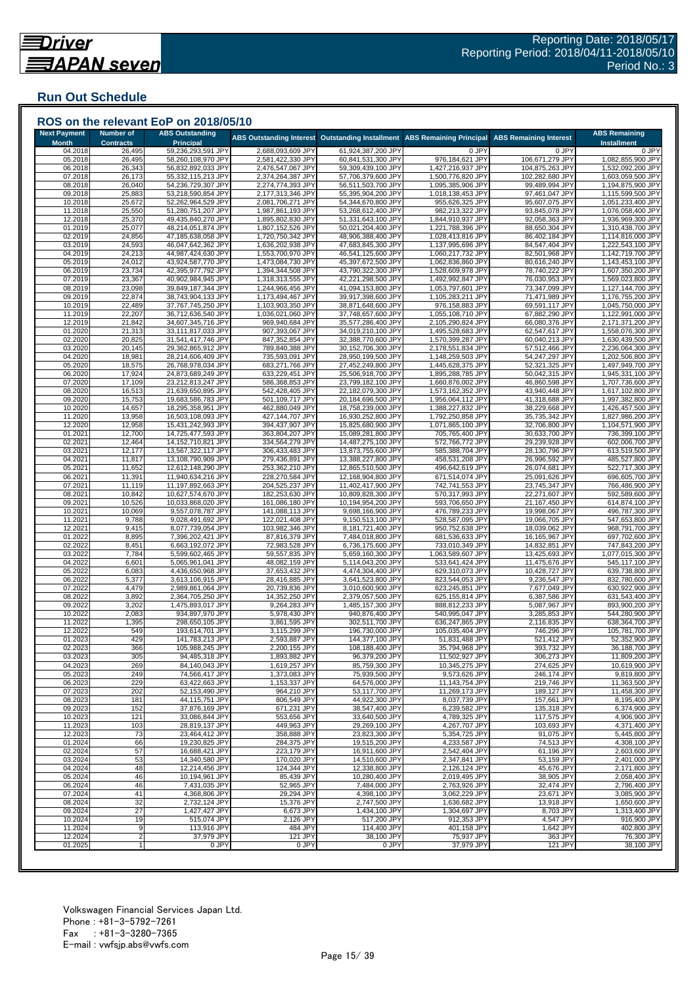## **Run Out Schedule**

| <b>Next Payment</b> | <b>Number of</b> | <b>ABS Outstanding</b>                   | ROS on the relevant EoP on 2018/05/10  |                                          |                                        |                                    | <b>ABS Remaining</b>                   |
|---------------------|------------------|------------------------------------------|----------------------------------------|------------------------------------------|----------------------------------------|------------------------------------|----------------------------------------|
| <b>Month</b>        | <b>Contracts</b> | <b>Principal</b>                         | <b>ABS Outstanding Interest</b>        | <b>Outstanding Installment</b>           | <b>ABS Remaining Principal</b>         | <b>ABS Remaining Interest</b>      | <b>Installment</b>                     |
| 04.2018             | 26,495           | 59,236,293,591 JPY                       | 2,688,093,609 JPY                      | 61,924,387,200 JPY                       | 0 JPY                                  | 0 JPY                              | 0 JPY                                  |
| 05.2018             | 26,495           | 58,260,108,970 JPY                       | 2,581,422,330 JPY                      | 60,841,531,300 JPY                       | 976,184,621 JPY                        | 106,671,279 JPY                    | 1,082,855,900 JPY                      |
| 06.2018<br>07.2018  | 26,343<br>26,173 | 56,832,892,033 JPY<br>55,332,115,213 JPY | 2,476,547,067 JPY<br>2,374,264,387 JPY | 59,309,439,100 JPY<br>57,706,379,600 JPY | 1,427,216,937 JPY<br>1,500,776,820 JPY | 104,875,263 JPY<br>102,282,680 JPY | 1,532,092,200 JPY<br>1,603,059,500 JPY |
| 08.2018             | 26,040           | 54,236,729,307 JPY                       | 2,274,774,393 JPY                      | 56,511,503,700 JPY                       | 1,095,385,906 JPY                      | 99,489,994 JPY                     | 1,194,875,900 JPY                      |
| 09.2018             | 25,883           | 53,218,590,854 JPY                       | 2,177,313,346 JPY                      | 55,395,904,200 JPY                       | 1,018,138,453 JPY                      | 97,461,047 JPY                     | 1,115,599,500 JPY                      |
| 10.2018             | 25,672           | 52,262,964,529 JPY                       | 2,081,706,271 JPY                      | 54,344,670,800 JPY                       | 955,626,325 JPY                        | 95,607,075 JPY                     | 1,051,233,400 JPY                      |
| 11.2018             | 25,550           | 51,280,751,207 JPY                       | 1,987,861,193 JPY                      | 53,268,612,400 JPY                       | 982,213,322 JPY                        | 93,845,078 JPY                     | 1,076,058,400 JPY                      |
| 12.2018             | 25,370           | 49,435,840,270 JPY                       | 1,895,802,830 JPY                      | 51,331,643,100 JPY                       | 1,844,910,937 JPY                      | 92,058,363 JPY                     | 1,936,969,300 JPY                      |
| 01.2019<br>02.2019  | 25,077<br>24,856 | 48,214,051,874 JPY                       | 1,807,152,526 JPY<br>1,720,750,342 JPY | 50,021,204,400 JPY<br>48,906,388,400 JPY | 1,221,788,396 JPY                      | 88,650,304 JPY                     | 1,310,438,700 JPY                      |
| 03.2019             | 24,593           | 47,185,638,058 JPY<br>46,047,642,362 JPY | 1,636,202,938 JPY                      | 47,683,845,300 JPY                       | 1,028,413,816 JPY<br>1,137,995,696 JPY | 86,402,184 JPY<br>84,547,404 JPY   | 1,114,816,000 JPY<br>1,222,543,100 JPY |
| 04.2019             | 24,213           | 44,987,424,630 JPY                       | 1,553,700,970 JPY                      | 46,541,125,600 JPY                       | 1,060,217,732 JPY                      | 82,501,968 JPY                     | 1,142,719,700 JPY                      |
| 05.2019             | 24,012           | 43,924,587,770 JPY                       | 1,473,084,730 JPY                      | 45,397,672,500 JPY                       | 1,062,836,860 JPY                      | 80,616,240 JPY                     | 1,143,453,100 JPY                      |
| 06.2019             | 23,734           | 42,395,977,792 JPY                       | 1,394,344,508 JPY                      | 43,790,322,300 JPY                       | 1,528,609,978 JPY                      | 78,740,222 JPY                     | 1,607,350,200 JPY                      |
| 07.2019             | 23,367           | 40,902,984,945 JPY                       | 1,318,313,555 JPY                      | 42,221,298,500 JPY                       | 1,492,992,847 JPY                      | 76,030,953 JPY                     | 1,569,023,800 JPY                      |
| 08.2019             | 23,098           | 39,849,187,344 JPY                       | 1,244,966,456 JPY                      | 41.094.153.800 JPY                       | 1,053,797,601 JPY                      | 73,347,099 JPY                     | 1,127,144,700 JPY                      |
| 09.2019<br>10.2019  | 22,874<br>22,489 | 38,743,904,133 JPY<br>37,767,745,250 JPY | 1,173,494,467 JPY<br>1,103,903,350 JPY | 39,917,398,600 JPY<br>38,871,648,600 JPY | 1,105,283,211 JPY<br>976,158,883 JPY   | 71,471,989 JPY<br>69,591,117 JPY   | 1,176,755,200 JPY<br>1,045,750,000 JPY |
| 11.2019             | 22,207           | 36,712,636,540 JPY                       | 1,036,021,060 JPY                      | 37,748,657,600 JPY                       | 1,055,108,710 JPY                      | 67,882,290 JPY                     | 1,122,991,000 JPY                      |
| 12.2019             | 21,842           | 34,607,345,716 JPY                       | 969,940,684 JPY                        | 35,577,286,400 JPY                       | 2,105,290,824 JPY                      | 66,080,376 JPY                     | 2,171,371,200 JPY                      |
| 01.2020             | 21,313           | 33,111,817,033 JPY                       | 907,393,067 JPY                        | 34,019,210,100 JPY                       | 1,495,528,683 JPY                      | 62,547,617 JPY                     | 1,558,076,300 JPY                      |
| 02.2020             | 20,825           | 31,541,417,746 JPY                       | 847,352,854 JPY                        | 32,388,770,600 JPY                       | 1,570,399,287 JPY                      | 60,040,213 JPY                     | 1,630,439,500 JPY                      |
| 03.2020             | 20,145           | 29,362,865,912 JPY                       | 789,840,388 JPY                        | 30,152,706,300 JPY                       | 2,178,551,834 JPY                      | 57,512,466 JPY                     | 2,236,064,300 JPY                      |
| 04.2020             | 18,981           | 28,214,606,409 JPY                       | 735,593,091 JPY                        | 28,950,199,500 JPY                       | 1,148,259,503 JPY                      | 54,247,297 JPY                     | 1,202,506,800 JPY                      |
| 05.2020             | 18,575           | 26,768,978,034 JPY                       | 683,271,766 JPY                        | 27,452,249,800 JPY                       | 1,445,628,375 JPY                      | 52,321,325 JPY                     | 1,497,949,700 JPY                      |
| 06.2020<br>07.2020  | 17,924<br>17,109 | 24,873,689,249 JPY<br>23,212,813,247 JPY | 633,229,451 JPY<br>586,368,853 JPY     | 25,506,918,700 JPY<br>23,799,182,100 JPY | 1,895,288,785 JPY<br>1,660,876,002 JPY | 50,042,315 JPY<br>46,860,598 JPY   | 1,945,331,100 JPY<br>1,707,736,600 JPY |
| 08.2020             | 16,513           | 21,639,650,895 JPY                       | 542,428,405 JPY                        | 22,182,079,300 JPY                       | 1,573,162,352 JPY                      | 43,940,448 JPY                     | 1,617,102,800 JPY                      |
| 09.2020             | 15,753           | 19,683,586,783 JPY                       | 501,109,717 JPY                        | 20,184,696,500 JPY                       | 1,956,064,112 JPY                      | 41,318,688 JPY                     | 1,997,382,800 JPY                      |
| 10.2020             | 14,657           | 18,295,358,951 JPY                       | 462,880,049 JPY                        | 18,758,239,000 JPY                       | 1,388,227,832 JPY                      | 38,229,668 JPY                     | 1,426,457,500 JPY                      |
| 11.2020             | 13,958           | 16,503,108,093 JPY                       | 427,144,707 JPY                        | 16,930,252,800 JPY                       | 1,792,250,858 JPY                      | 35,735,342 JPY                     | 1,827,986,200 JPY                      |
| 12.2020             | 12,958           | 15,431,242,993 JPY                       | 394,437,907 JPY                        | 15,825,680,900 JPY                       | 1,071,865,100 JPY                      | 32,706,800 JPY                     | 1,104,571,900 JPY                      |
| 01.2021             | 12,700           | 14,725,477,593 JPY                       | 363,804,207 JPY                        | 15,089,281,800 JPY                       | 705,765,400 JPY                        | 30,633,700 JPY                     | 736,399,100 JPY                        |
| 02.2021<br>03.2021  | 12,464<br>12,177 | 14,152,710,821 JPY<br>13,567,322,117 JPY | 334,564,279 JPY<br>306,433,483 JPY     | 14,487,275,100 JPY<br>13,873,755,600 JPY | 572,766,772 JPY<br>585,388,704 JPY     | 29,239,928 JPY<br>28,130,796 JPY   | 602,006,700 JPY<br>613,519,500 JPY     |
| 04.2021             | 11,817           | 13,108,790,909 JPY                       | 279,436,891 JPY                        | 13,388,227,800 JPY                       | 458,531,208 JPY                        | 26,996,592 JPY                     | 485,527,800 JPY                        |
| 05.2021             | 11,652           | 12,612,148,290 JPY                       | 253,362,210 JPY                        | 12,865,510,500 JPY                       | 496,642,619 JPY                        | 26,074,681 JPY                     | 522,717,300 JPY                        |
| 06.2021             | 11,391           | 11,940,634,216 JPY                       | 228,270,584 JPY                        | 12,168,904,800 JPY                       | 671,514,074 JPY                        | 25,091,626 JPY                     | 696,605,700 JPY                        |
| 07.2021             | 11,119           | 11,197,892,663 JPY                       | 204,525,237 JPY                        | 11,402,417,900 JPY                       | 742,741,553 JPY                        | 23,745,347 JPY                     | 766,486,900 JPY                        |
| 08.2021             | 10,842           | 10,627,574,670 JPY                       | 182,253,630 JPY                        | 10,809,828,300 JPY                       | 570,317,993 JPY                        | 22,271,607 JPY                     | 592,589,600 JPY                        |
| 09.2021             | 10,526           | 10,033,868,020 JPY                       | 161,086,180 JPY                        | 10,194,954,200 JPY                       | 593,706,650 JPY                        | 21,167,450 JPY                     | 614,874,100 JPY                        |
| 10.2021<br>11.2021  | 10,069<br>9,788  | 9,557,078,787 JPY<br>9,028,491,692 JPY   | 141,088,113 JPY<br>122,021,408 JPY     | 9,698,166,900 JPY<br>9,150,513,100 JPY   | 476,789,233 JPY<br>528,587,095 JPY     | 19,998,067 JPY<br>19,066,705 JPY   | 496,787,300 JPY<br>547,653,800 JPY     |
| 12.2021             | 9,415            | 8,077,739,054 JP\                        | 103,982,346 JPY                        | 8,181,721,400 JPY                        | 950,752,638 JPY                        | 18,039,062 JPY                     | 968,791,700 JPY                        |
| 01.2022             | 8,895            | 7,396,202,421 JP\                        | 87,816,379 JPY                         | 7,484,018,800 JPY                        | 681,536,633 JPY                        | 16,165,967 JPY                     | 697,702,600 JPY                        |
| 02.2022             | 8,451            | 6,663,192,072 JPY                        | 72,983,528 JPY                         | 6,736,175,600 JPY                        | 733,010,349 JPY                        | 14,832,851 JPY                     | 747,843,200 JPY                        |
| 03.2022             | 7,784            | 5,599,602,465 JPY                        | 59,557,835 JPY                         | 5,659,160,300 JPY                        | 1,063,589,607 JPY                      | 13,425,693 JPY                     | 1,077,015,300 JPY                      |
| 04.2022             | 6,601            | 5,065,961,041 JPY                        | 48,082,159 JPY                         | 5,114,043,200 JPY                        | 533,641,424 JPY                        | 11,475,676 JPY                     | 545,117,100 JPY                        |
| 05.2022<br>06.2022  | 6,083<br>5,377   | 4,436,650,968 JPY<br>3,613,106,915 JPY   | 37,653,432 JPY<br>28,416,885 JPY       | 4,474,304,400 JPY<br>3,641,523,800 JPY   | 629,310,073 JPY<br>823,544,053 JPY     | 10,428,727 JPY<br>9,236,547 JPY    | 639,738,800 JPY<br>832,780,600 JPY     |
| 07.2022             | 4,479            | 2,989,861,064 JPY                        | 20,739,836 JPY                         | 3,010,600,900 JPY                        | 623,245,851 JPY                        | 7,677,049 JPY                      | 630,922,900 JPY                        |
| 08.202              | 3,892            | 2,364,705,250 JPY                        | 14,352,250 JPY                         | 2,379,057,500 JPY                        | 625,155,814 JPY                        | 6,387,586 JPY                      | 631,543,400 JPY                        |
| 09.2022             | 3,202            | 1,475,893,017 JPY                        | 9,264,283 JPY                          | 1,485,157,300 JPY                        | 888,812,233 JPY                        | 5,087,967 JPY                      | 893,900,200 JPY                        |
| 10.2022             | 2,083            | 934,897,970 JPY                          | 5,978,430 JPY                          | 940,876,400 JPY                          | 540,995,047 JPY                        | 3,285,853 JPY                      | 544,280,900 JPY                        |
| 11.2022             | 1,395            | 298,650,105 JPY                          | 3,861,595 JPY                          | 302,511,700 JPY                          | 636,247,865 JPY                        | 2,116,835 JPY                      | 638,364,700 JPY                        |
| 12.2022             | 549              | 193,614,701 JPY                          | 3,115,299 JPY                          | 196,730,000 JPY                          | 105,035,404 JPY                        | 746,296 JPY                        | 105,781,700 JPY                        |
| 01.2023<br>02.2023  | 429<br>366       | 141,783,213 JPY<br>105,988,245 JPY       | 2,593,887 JPY<br>2,200,155 JPY         | 144,377,100 JPY<br>108,188,400 JPY       | 51,831,488 JPY<br>35,794,968 JPY       | 521,412 JPY<br>393,732 JPY         | 52,352,900 JPY<br>36,188,700 JPY       |
| 03.2023             | 305              | 94,485,318 JPY                           | 1,893,882 JPY                          | 96,379,200 JPY                           | 11,502,927 JPY                         | 306,273 JPY                        | 11,809,200 JPY                         |
| 04.2023             | 269              | 84,140,043 JPY                           | 1,619,257 JPY                          | 85,759,300 JPY                           | 10,345,275 JPY                         | 274,625 JPY                        | 10,619,900 JPY                         |
| 05.2023             | 249              | 74,566,417 JPY                           | 1,373,083 JPY                          | 75,939,500 JPY                           | 9,573,626 JPY                          | 246,174 JPY                        | 9,819,800 JPY                          |
| 06.2023             | 229              | 63,422,663 JPY                           | 1,153,337 JPY                          | 64,576,000 JPY                           | 11,143,754 JPY                         | 219,746 JPY                        | 11,363,500 JPY                         |
| 07.2023             | 202              | 52,153,490 JPY                           | 964,210 JPY                            | 53,117,700 JPY                           | 11,269,173 JPY                         | 189,127 JPY                        | 11,458,300 JPY                         |
| 08.2023             | 181              | 44,115,751 JPY                           | 806,549 JPY                            | 44,922,300 JPY                           | 8,037,739 JPY                          | 157,661 JPY                        | 8,195,400 JPY                          |
| 09.2023             | 152              | 37,876,169 JPY                           | 671,231 JPY                            | 38,547,400 JPY                           | 6,239,582 JPY                          | 135,318 JPY                        | 6,374,900 JPY                          |
| 10.2023<br>11.2023  | 121<br>103       | 33,086,844 JPY<br>28,819,137 JPY         | 553,656 JPY<br>449,963 JPY             | 33,640,500 JPY<br>29,269,100 JPY         | 4,789,325 JPY<br>4,267,707 JPY         | 117,575 JPY<br>103,693 JPY         | 4,906,900 JPY<br>4,371,400 JPY         |
| 12.2023             | 73               | 23,464,412 JPY                           | 358,888 JPY                            | 23,823,300 JPY                           | 5,354,725 JPY                          | 91,075 JPY                         | 5,445,800 JPY                          |
| 01.2024             | 66               | 19,230,825 JPY                           | 284,375 JPY                            | 19,515,200 JPY                           | 4,233,587 JPY                          | 74,513 JPY                         | 4,308,100 JPY                          |
| 02.2024             | 57               | 16,688,421 JPY                           | 223,179 JPY                            | 16,911,600 JPY                           | 2,542,404 JPY                          | 61,196 JPY                         | 2,603,600 JPY                          |
| 03.2024             | 53               | 14,340,580 JPY                           | 170,020 JPY                            | 14,510,600 JPY                           | 2,347,841 JPY                          | 53,159 JPY                         | 2,401,000 JPY                          |
| 04.2024             | 48               | 12,214,456 JPY                           | 124,344 JPY                            | 12,338,800 JPY                           | 2,126,124 JPY                          | 45.676 JPY                         | 2.171.800 JPY                          |
| 05.2024             | 46               | 10,194,961 JPY                           | 85,439 JPY                             | 10,280,400 JPY                           | 2,019,495 JPY                          | 38,905 JPY                         | 2,058,400 JPY                          |
| 06.2024<br>07.2024  | 46<br>41         | 7,431,035 JPY<br>4,368,806 JPY           | 52,965 JPY<br>29,294 JPY               | 7,484,000 JPY<br>4,398,100 JPY           | 2,763,926 JPY<br>3,062,229 JPY         | 32,474 JPY<br>23,671 JPY           | 2,796,400 JPY<br>3.085.900 JPY         |
| 08.2024             | 32               | 2,732,124 JPY                            | 15,376 JPY                             | 2,747,500 JPY                            | 1,636,682 JPY                          | 13,918 JPY                         | 1,650,600 JPY                          |
| 09.2024             | 27               | 1,427,427 JPY                            | 6,673 JPY                              | 1,434,100 JPY                            | 1,304,697 JPY                          | 8,703 JPY                          | 1,313,400 JPY                          |
| 10.2024             | 19               | 515,074 JPY                              | 2,126 JPY                              | 517,200 JPY                              | 912,353 JPY                            | 4,547 JPY                          | 916,900 JPY                            |
| 11.2024             | 9                | 113,916 JPY                              | 484 JPY                                | 114,400 JPY                              | 401,158 JPY                            | 1,642 JPY                          | 402,800 JPY                            |
| 12.2024             | $\overline{2}$   | 37,979 JPY                               | 121 JPY                                | 38,100 JPY                               | 75,937 JPY                             | 363 JPY                            | 76,300 JPY                             |
| 01.2025             |                  | 0 JPY                                    | 0 JPY                                  | 0 JPY                                    | 37,979 JPY                             | 121 JPY                            | 38,100 JPY                             |

###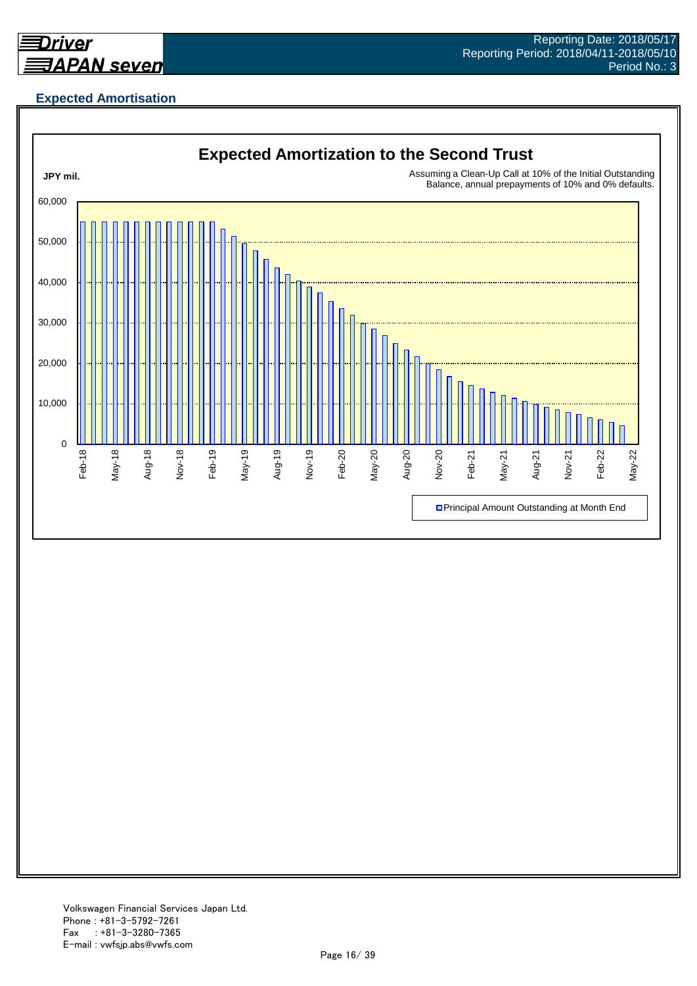

## **Expected Amortisation**

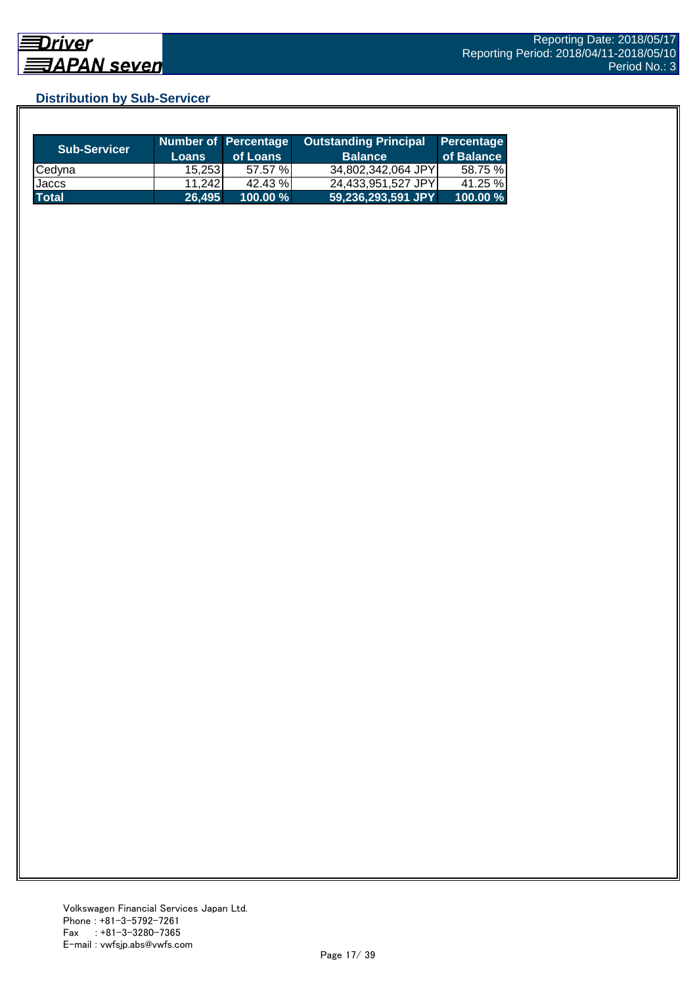## **Distribution by Sub-Servicer**

| <b>Sub-Servicer</b> | <b>Loans</b> | Number of Percentage<br>of Loans | <b>Outstanding Principal</b><br><b>Balance</b> | Percentage<br>of Balance |
|---------------------|--------------|----------------------------------|------------------------------------------------|--------------------------|
| Cedyna              | 15.2531      | 57.57 %                          | 34,802,342,064 JPY                             | 58.75 %                  |
| Jaccs               | 11.2421      | 42.43 %                          | 24,433,951,527 JPY                             | 41.25 %                  |
| <b>Total</b>        | 26,495       | $100.00 \%$                      |                                                | $100.00\%$               |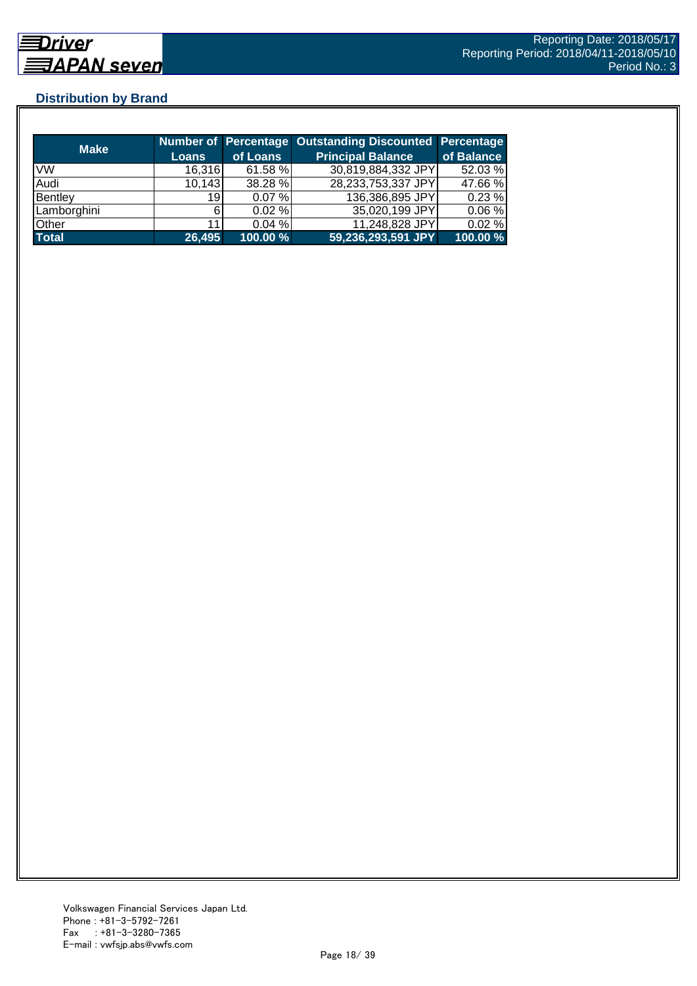## **Distribution by Brand**

| <b>Make</b>  |                 |             | Number of Percentage Outstanding Discounted Percentage |            |
|--------------|-----------------|-------------|--------------------------------------------------------|------------|
|              | <b>Loans</b>    | of Loans    | <b>Principal Balance</b>                               | of Balance |
| <b>VW</b>    | 16,316          | 61.58 %     | 30,819,884,332 JPY                                     | 52.03 %    |
| Audi         | 10,143          | 38.28 %     | 28,233,753,337 JPY                                     | 47.66 %    |
| Bentley      | 19 <sup>1</sup> | 0.07%       | 136,386,895 JPY                                        | 0.23%      |
| Lamborghini  | 6               | 0.02%       | 35,020,199 JPY                                         | 0.06%      |
| Other        | 11              | 0.04%       | 11,248,828 JPY                                         | 0.02%      |
| <b>Total</b> | 26,495          | $100.00 \%$ | 59,236,293,591 JPY                                     | 100.00 %   |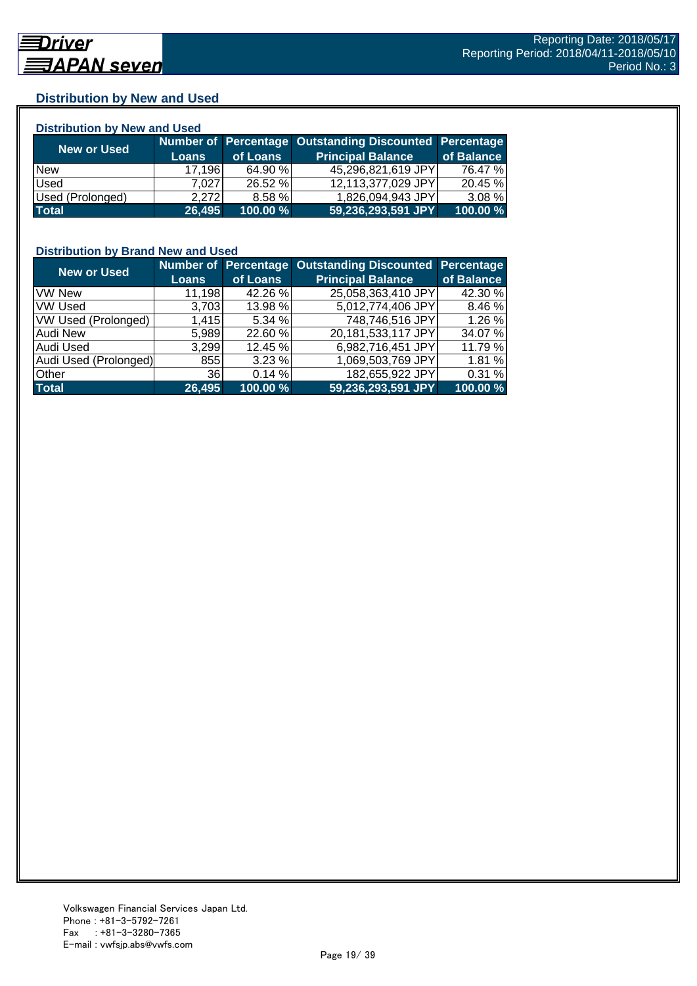## **Distribution by New and Used**

| <b>Distribution by New and Used</b> |              |          |                                                        |            |  |  |
|-------------------------------------|--------------|----------|--------------------------------------------------------|------------|--|--|
| New or Used                         |              |          | Number of Percentage Outstanding Discounted Percentage |            |  |  |
|                                     | <b>Loans</b> | of Loans | <b>Principal Balance</b>                               | of Balance |  |  |
| <b>New</b>                          | 17,196       | 64.90 %  | 45,296,821,619 JPY                                     | 76.47 %    |  |  |
| Used                                | 7.0271       | 26.52 %  | 12,113,377,029 JPY                                     | 20.45 %    |  |  |
| Used (Prolonged)                    | 2.272        | 8.58 %   | 1,826,094,943 JPY                                      | $3.08 \%$  |  |  |
| <b>Total</b>                        | 26,495       | 100.00 % | 59,236,293,591 JPY                                     | 100.00 %   |  |  |

### **Distribution by Brand New and Used**

| <b>New or Used</b>         |              |          | Number of Percentage Outstanding Discounted | Percentage |
|----------------------------|--------------|----------|---------------------------------------------|------------|
|                            | <b>Loans</b> | of Loans | <b>Principal Balance</b>                    | of Balance |
| <b>VW New</b>              | 11,198       | 42.26 %  | 25,058,363,410 JPY                          | 42.30 %    |
| <b>VW Used</b>             | 3,703        | 13.98 %  | 5,012,774,406 JPY                           | 8.46 %     |
| <b>VW Used (Prolonged)</b> | 1,415        | 5.34%    | 748,746,516 JPY                             | 1.26 %     |
| <b>Audi New</b>            | 5.989        | 22.60 %  | 20,181,533,117 JPY                          | 34.07 %    |
| Audi Used                  | 3,299        | 12.45 %  | 6,982,716,451 JPY                           | 11.79 %    |
| Audi Used (Prolonged)      | 855          | 3.23%    | 1,069,503,769 JPY                           | 1.81 %     |
| <b>Other</b>               | <b>36</b>    | 0.14%    | 182,655,922 JPY                             | 0.31 %     |
| <b>Total</b>               | 26,495       | 100.00 % | 59,236,293,591 JPY                          | 100.00 %   |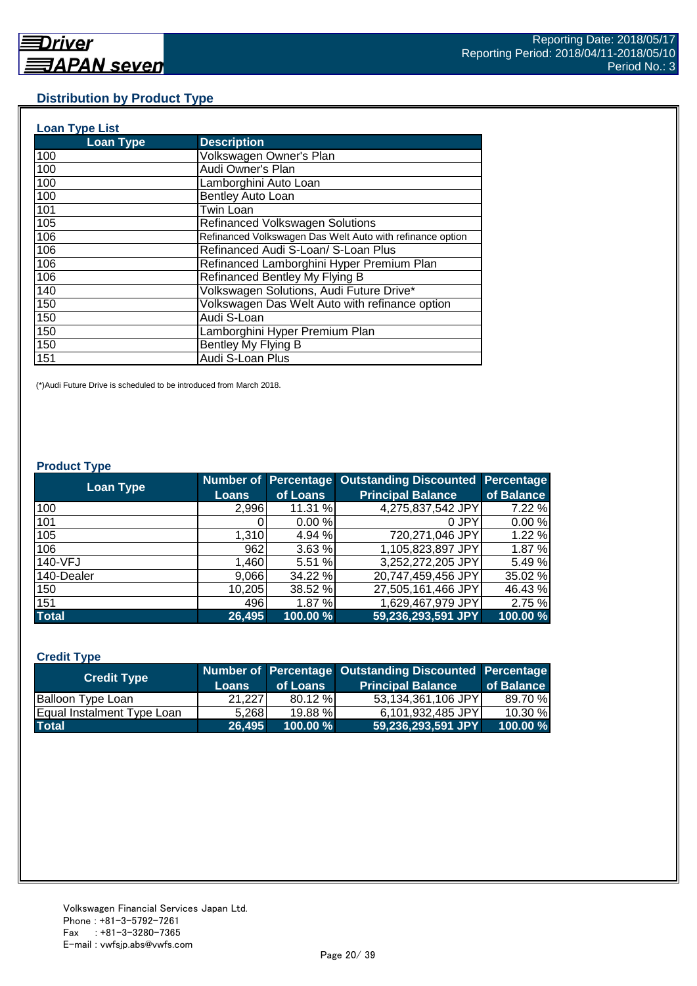### **Distribution by Product Type**

| <b>Loan Type List</b> |                                                           |
|-----------------------|-----------------------------------------------------------|
| <b>Loan Type</b>      | <b>Description</b>                                        |
| 100                   | Volkswagen Owner's Plan                                   |
| 100                   | Audi Owner's Plan                                         |
| 100                   | Lamborghini Auto Loan                                     |
| 100                   | Bentley Auto Loan                                         |
| 101                   | <b>Twin Loan</b>                                          |
| 105                   | <b>Refinanced Volkswagen Solutions</b>                    |
| 106                   | Refinanced Volkswagen Das Welt Auto with refinance option |
| 106                   | Refinanced Audi S-Loan/ S-Loan Plus                       |
| 106                   | Refinanced Lamborghini Hyper Premium Plan                 |
| 106                   | Refinanced Bentley My Flying B                            |
| 140                   | Volkswagen Solutions, Audi Future Drive*                  |
| 150                   | Volkswagen Das Welt Auto with refinance option            |
| 150                   | Audi S-Loan                                               |
| 150                   | Lamborghini Hyper Premium Plan                            |
| 150                   | Bentley My Flying B                                       |
| 151                   | Audi S-Loan Plus                                          |

(\*)Audi Future Drive is scheduled to be introduced from March 2018.

#### **Product Type**

| <b>Loan Type</b> |              |          | Number of Percentage Outstanding Discounted Percentage |            |
|------------------|--------------|----------|--------------------------------------------------------|------------|
|                  | <b>Loans</b> | of Loans | <b>Principal Balance</b>                               | of Balance |
| 100              | 2,996        | 11.31 %  | 4,275,837,542 JPY                                      | 7.22 %     |
| 101              |              | 0.00%    | 0 JPY                                                  | 0.00%      |
| 105              | 1,310        | 4.94 %   | 720,271,046 JPY                                        | 1.22%      |
| 106              | 962          | 3.63 %   | 1,105,823,897 JPY                                      | 1.87 %     |
| 140-VFJ          | 1,460        | 5.51 %   | 3,252,272,205 JPY                                      | 5.49%      |
| 140-Dealer       | 9,066        | 34.22 %  | 20,747,459,456 JPY                                     | 35.02 %    |
| 150              | 10,205       | 38.52 %  | 27,505,161,466 JPY                                     | 46.43 %    |
| 151              | 496          | 1.87 %   | 1,629,467,979 JPY                                      | 2.75 %     |
| <b>Total</b>     | 26,495       | 100.00 % | 59,236,293,591 JPY                                     | 100.00 %   |

#### **Credit Type**

| <b>Credit Type</b>         |         |             | Number of Percentage Outstanding Discounted Percentage |            |
|----------------------------|---------|-------------|--------------------------------------------------------|------------|
|                            | Loans   | of Loans    | <b>Principal Balance</b>                               | of Balance |
| <b>Balloon Type Loan</b>   | 21.2271 | $80.12 \%$  | 53,134,361,106 JPY                                     | 89.70 %    |
| Equal Instalment Type Loan | 5.268   | 19.88 %     | 6.101.932.485 JPY                                      | 10.30%     |
| <b>Total</b>               | 26,495  | $100.00 \%$ | 59,236,293,591 JPY                                     | 100.00 %   |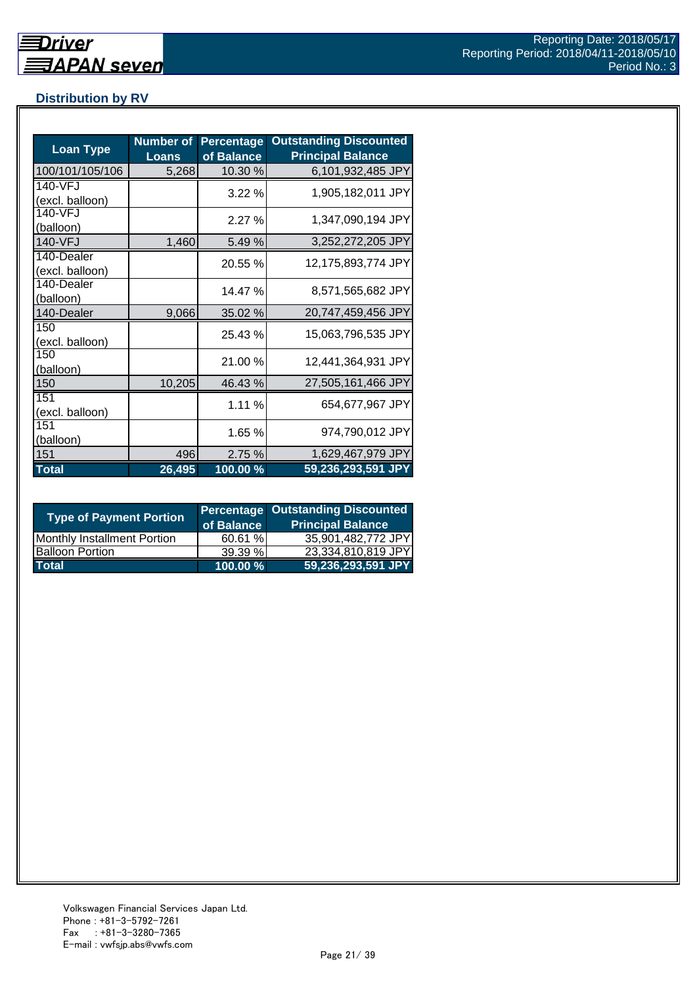## **Distribution by RV**

| <b>Loan Type</b>              | <b>Number of</b><br><b>Loans</b> | <b>Percentage</b><br>of Balance | <b>Outstanding Discounted</b><br><b>Principal Balance</b> |
|-------------------------------|----------------------------------|---------------------------------|-----------------------------------------------------------|
| 100/101/105/106               | 5,268                            | 10.30 %                         | 6,101,932,485 JPY                                         |
| 140-VFJ<br>(excl. balloon)    |                                  | 3.22%                           | 1,905,182,011 JPY                                         |
| 140-VFJ<br>(balloon)          |                                  | 2.27%                           | 1,347,090,194 JPY                                         |
| 140-VFJ                       | 1,460                            | 5.49 %                          | 3,252,272,205 JPY                                         |
| 140-Dealer<br>(excl. balloon) |                                  | 20.55 %                         | 12,175,893,774 JPY                                        |
| 140-Dealer<br>(balloon)       |                                  | 14.47 %                         | 8,571,565,682 JPY                                         |
| 140-Dealer                    | 9,066                            | 35.02 %                         | 20,747,459,456 JPY                                        |
| 150<br>(excl. balloon)        |                                  | 25.43 %                         | 15,063,796,535 JPY                                        |
| 150<br>(balloon)              |                                  | 21.00 %                         | 12,441,364,931 JPY                                        |
| 150                           | 10,205                           | 46.43 %                         | 27,505,161,466 JPY                                        |
| 151<br>(excl. balloon)        |                                  | 1.11 %                          | 654,677,967 JPY                                           |
| 151<br>(balloon)              |                                  | 1.65 %                          | 974,790,012 JPY                                           |
| 151                           | 496                              | 2.75 %                          | 1,629,467,979 JPY                                         |
| <b>Total</b>                  | 26,495                           | 100.00 %                        | 59,236,293,591 JPY                                        |

| <b>Type of Payment Portion</b>     | of Balance | <b>Percentage Outstanding Discounted</b><br><b>Principal Balance</b> |
|------------------------------------|------------|----------------------------------------------------------------------|
| <b>Monthly Installment Portion</b> | 60.61 %    | 35,901,482,772 JPY                                                   |
| <b>Balloon Portion</b>             | 39.39%     | 23,334,810,819 JPY                                                   |
| <b>Total</b>                       | 100.00 %   | 59,236,293,591 JPY                                                   |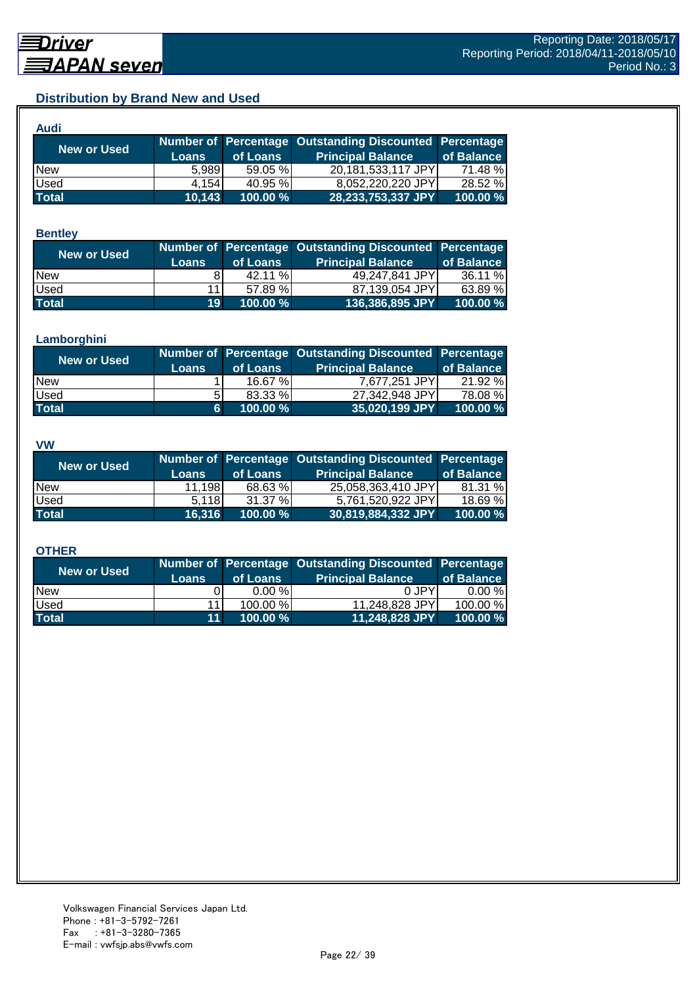## **Distribution by Brand New and Used**

| Audi         |        |          |                                                        |            |
|--------------|--------|----------|--------------------------------------------------------|------------|
| New or Used  |        |          | Number of Percentage Outstanding Discounted Percentage |            |
|              | Loans  | of Loans | <b>Principal Balance</b>                               | of Balance |
| <b>New</b>   | 5.989  | 59.05 %  | 20,181,533,117 JPY                                     | 71.48 %    |
| Used         | 4.154  | 40.95 %  | 8,052,220,220 JPY                                      | 28.52 %    |
| <b>Total</b> | 10,143 | 100.00%  | 28,233,753,337 JPY                                     | 100.00 %   |

#### **Bentley**

| <b>New or Used</b> |                 |          | Number of Percentage Outstanding Discounted Percentage |            |
|--------------------|-----------------|----------|--------------------------------------------------------|------------|
|                    | <b>Loans</b>    | of Loans | <b>Principal Balance</b>                               | of Balance |
| <b>New</b>         |                 | 42.11 %  | 49,247,841 JPY                                         | 36.11 %    |
| <b>Used</b>        | 11 <sub>1</sub> | 57.89 %  | 87,139,054 JPY                                         | 63.89 %    |
| <b>Total</b>       | 19 <sup>°</sup> | 100.00 % | 136,386,895 JPY                                        | 100.00 %   |

#### **Lamborghini**

| <b>New or Used</b> | <b>Loans</b> | of Loans | Number of Percentage Outstanding Discounted Percentage<br><b>Principal Balance</b> | of Balance |
|--------------------|--------------|----------|------------------------------------------------------------------------------------|------------|
| <b>New</b>         |              | 16.67%   | 7,677,251 JPY                                                                      | 21.92 %    |
| <b>Used</b>        | 5.           | 83.33 %  | 27,342,948 JPY                                                                     | 78.08 %    |
| <b>Total</b>       | 6.           | 100.00 % | 35,020,199 JPY                                                                     | 100.00 %   |

#### **VW**

| <b>New or Used</b> |              |          | Number of Percentage Outstanding Discounted Percentage |            |
|--------------------|--------------|----------|--------------------------------------------------------|------------|
|                    | <b>Loans</b> | of Loans | <b>Principal Balance</b>                               | of Balance |
| <b>New</b>         | 11,198       | 68.63 %  | 25,058,363,410 JPY                                     | 81.31 %    |
| <b>Used</b>        | 5.118        | 31.37%   | 5.761.520.922 JPYI                                     | 18.69 %    |
| <b>Total</b>       | 16,316       | 100.00 % | 30,819,884,332 JPY                                     | 100.00 %   |

#### **OTHER**

| <b>New or Used</b> | <b>Loans</b>    | of Loans | Number of Percentage Outstanding Discounted Percentage<br><b>Principal Balance</b> | of Balance |
|--------------------|-----------------|----------|------------------------------------------------------------------------------------|------------|
| <b>New</b>         |                 | 0.00%    | 0 JPY                                                                              | $0.00 \%$  |
| Used               | 11              | 100.00 % | 11,248,828 JPY                                                                     | 100.00 %   |
| <b>Total</b>       | 11 <sup>1</sup> | 100.00 % | 11,248,828 JPY                                                                     | 100.00 %   |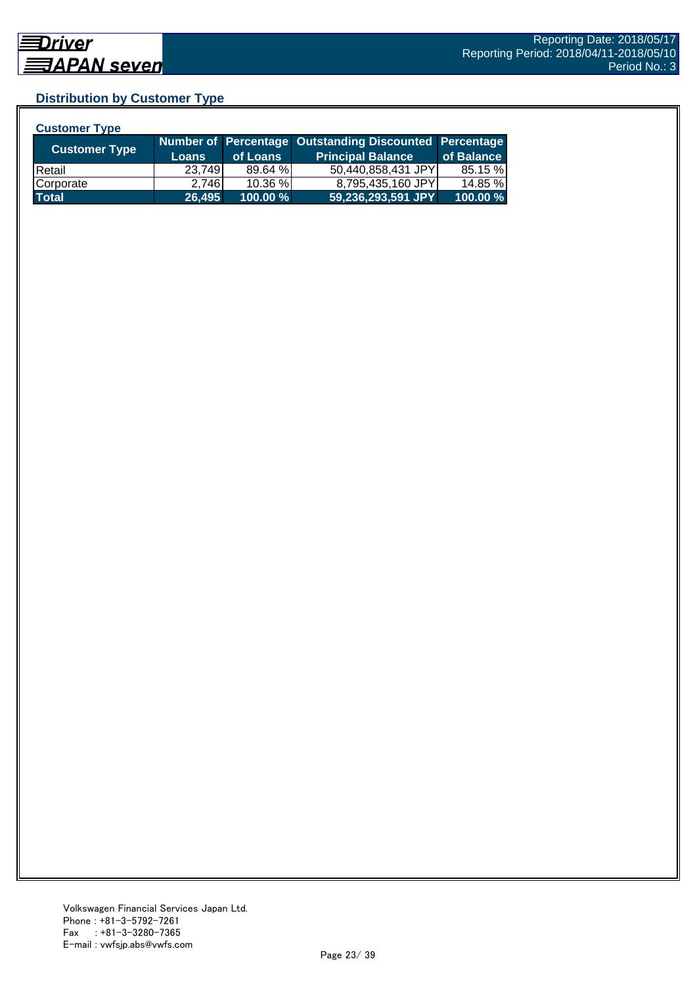## **Distribution by Customer Type**

| <b>Customer Type</b> |              |          |                                                        |            |
|----------------------|--------------|----------|--------------------------------------------------------|------------|
|                      |              |          | Number of Percentage Outstanding Discounted Percentage |            |
| <b>Customer Type</b> | <b>Loans</b> | of Loans | <b>Principal Balance</b>                               | of Balance |
| <b>IRetail</b>       | 23,749       | 89.64 %  | 50,440,858,431 JPY                                     | 85.15 %    |
| Corporate            | 2,746        | 10.36 %  | 8,795,435,160 JPY                                      | 14.85 %    |
| <b>Total</b>         | 26,495       | 100.00 % | 59,236,293,591 JPY                                     | 100.00 %   |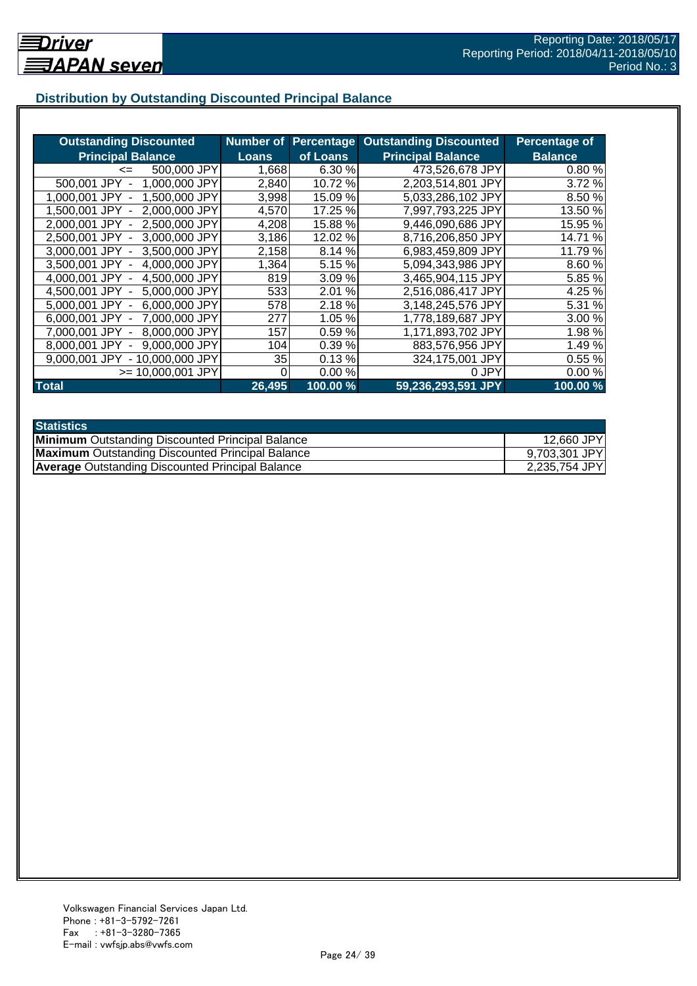## **Distribution by Outstanding Discounted Principal Balance**

| <b>Outstanding Discounted</b>      | <b>Number of</b> |           | <b>Percentage Outstanding Discounted</b> | <b>Percentage of</b> |
|------------------------------------|------------------|-----------|------------------------------------------|----------------------|
| <b>Principal Balance</b>           | <b>Loans</b>     | of Loans  | <b>Principal Balance</b>                 | <b>Balance</b>       |
| 500,000 JPY<br>$\leq$              | 1,668            | 6.30%     | 473,526,678 JPY                          | 0.80%                |
| 500,001 JPY<br>1,000,000 JPY       | 2,840            | 10.72 %   | 2,203,514,801 JPY                        | 3.72 %               |
| 1,500,000 JPY<br>1.000.001 JPY     | 3,998            | 15.09 %   | 5,033,286,102 JPY                        | 8.50 %               |
| 2,000,000 JPY<br>1,500,001 JPY -   | 4.570            | 17.25 %   | 7,997,793,225 JPY                        | 13.50 %              |
| 2.500,000 JPY<br>2.000.001 JPY -   | 4,208            | 15.88 %   | 9,446,090,686 JPY                        | 15.95 %              |
| 3,000,000 JPY<br>2.500.001 JPY -   | 3,186            | 12.02 %   | 8,716,206,850 JPY                        | 14.71 %              |
| 3,000,001 JPY -<br>3,500,000 JPY   | 2,158            | 8.14 %    | 6,983,459,809 JPY                        | 11.79 %              |
| 4,000,000 JPY<br>3,500,001 JPY -   | 1,364            | 5.15 %    | 5,094,343,986 JPY                        | 8.60 %               |
| 4,000,001 JPY -<br>4,500,000 JPY   | 819              | 3.09%     | 3,465,904,115 JPY                        | 5.85 %               |
| 5,000,000 JPY<br>4.500,001 JPY -   | 533              | %<br>2.01 | 2,516,086,417 JPY                        | 4.25 %               |
| 6,000,000 JPY<br>5.000.001 JPY -   | 578              | 2.18%     | 3,148,245,576 JPY                        | 5.31 %               |
| 7,000,000 JPY<br>$6.000.001$ JPY - | 277              | 1.05 %    | 1,778,189,687 JPY                        | 3.00 %               |
| 8,000,000 JPY<br>7.000.001 JPY     | 157              | 0.59%     | 1,171,893,702 JPY                        | 1.98%                |
| 9,000,000 JPY<br>8,000,001 JPY     | 104              | 0.39%     | 883,576,956 JPY                          | 1.49%                |
| 9,000,001 JPY<br>- 10,000,000 JPY  | 35               | 0.13%     | 324,175,001 JPY                          | 0.55%                |
| $>= 10,000,001$ JPY                | 0                | 0.00%     | 0 JPY                                    | 0.00%                |
| <b>Total</b>                       | 26,495           | 100.00 %  | 59,236,293,591 JPY                       | 100.00 %             |

| <b>Statistics</b>                                       |               |
|---------------------------------------------------------|---------------|
| <b>Minimum</b> Outstanding Discounted Principal Balance | 12,660 JPY    |
| <b>Maximum</b> Outstanding Discounted Principal Balance | 9,703,301 JPY |
| <b>Average Outstanding Discounted Principal Balance</b> | 2,235,754 JPY |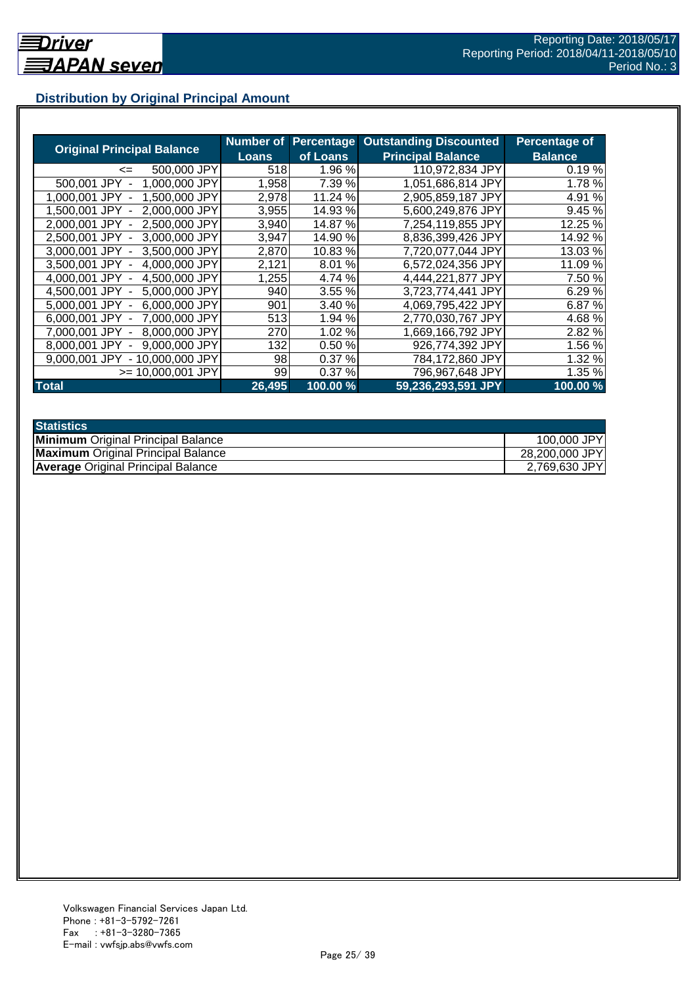## **Distribution by Original Principal Amount**

|                                           | Number of |          | <b>Percentage Outstanding Discounted</b> | Percentage of  |
|-------------------------------------------|-----------|----------|------------------------------------------|----------------|
| <b>Original Principal Balance</b>         | Loans     | of Loans | <b>Principal Balance</b>                 | <b>Balance</b> |
| 500,000 JPY<br><=                         | 518       | 1.96 %   | 110,972,834 JPY                          | 0.19%          |
| 1,000,000 JPY<br>500,001 JPY              | 1,958     | 7.39 %   | 1,051,686,814 JPY                        | 1.78%          |
| 1,500,000 JPY<br>1.000.001<br>JPY         | 2,978     | 11.24 %  | 2,905,859,187 JPY                        | 4.91 %         |
| 2.000.000 JPY<br>1.500.001 JPY            | 3,955     | 14.93 %  | 5,600,249,876 JPY                        | 9.45%          |
| 2,500,000 JPY<br>2.000.001 JPY -          | 3,940     | 14.87 %  | 7,254,119,855 JPY                        | 12.25 %        |
| 2,500,001 JPY -<br>3,000,000 JPY          | 3,947     | 14.90 %  | 8,836,399,426 JPY                        | 14.92 %        |
| 3.000.001 JPY -<br>3.500,000 JPY          | 2,870     | 10.83%   | 7,720,077,044 JPY                        | 13.03 %        |
| 3,500,001 JPY -<br>4,000,000 JPY          | 2,121     | 8.01%    | 6,572,024,356 JPY                        | 11.09 %        |
| 4,500,000 JPY<br>4.000.001 JPY -          | 1,255     | 4.74 %   | 4,444,221,877 JPY                        | 7.50 %         |
| 4,500,001 JPY -<br>5,000,000 JPY          | 940       | 3.55 %   | 3,723,774,441 JPY                        | 6.29 %         |
| 6,000,000 JPY<br>5.000.001 JPY -          | 901       | 3.40 %   | 4,069,795,422 JPY                        | 6.87 %         |
| 7,000,000 JPY<br>6.000.001 JPY -          | 513       | 1.94 %   | 2,770,030,767 JPY                        | 4.68%          |
| 8,000,000 JPY<br>7.000.001 JPY -          | 270       | 1.02 %   | 1,669,166,792 JPY                        | 2.82 %         |
| 9,000,000 JPY<br>8.000.001 JPY            | 132       | 0.50%    | 926,774,392 JPY                          | 1.56 %         |
| 9.000.001 JPY<br>10.000.000 JPY<br>$\sim$ | 98        | 0.37%    | 784,172,860 JPY                          | 1.32 %         |
| >= 10.000.001 JPY                         | 99        | 0.37%    | 796,967,648 JPY                          | 1.35 %         |
| <b>Total</b>                              | 26,495    | 100.00 % | 59,236,293,591 JPY                       | 100.00%        |

| <b>Statistics</b>                         |                |
|-------------------------------------------|----------------|
| <b>Minimum</b> Original Principal Balance | 100,000 JPY    |
| <b>Maximum</b> Original Principal Balance | 28,200,000 JPY |
| <b>Average Original Principal Balance</b> | 2,769,630 JPY  |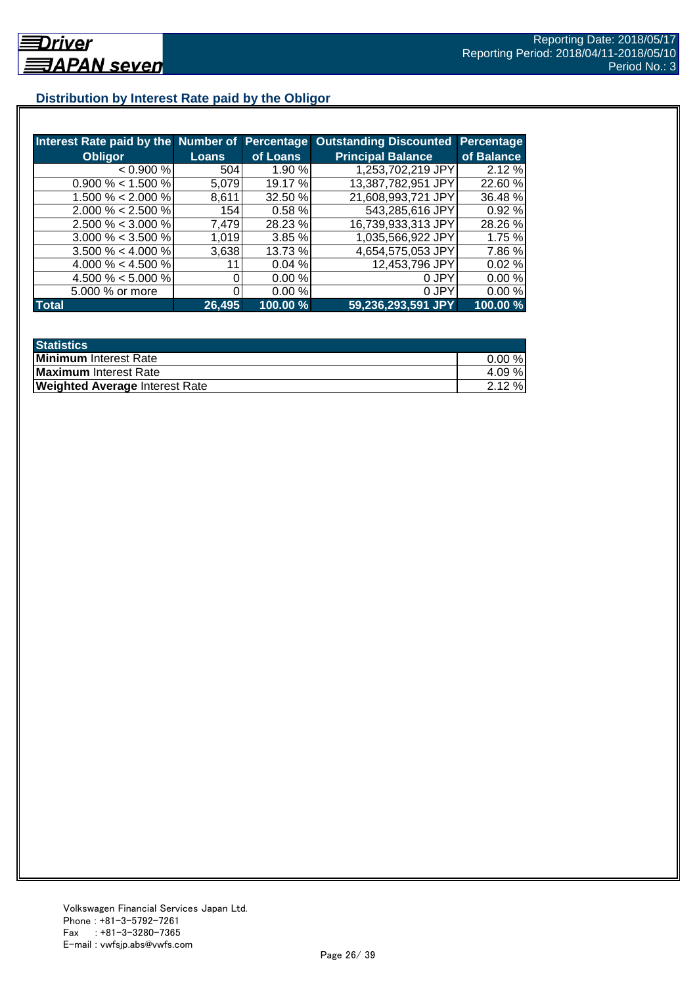## **Distribution by Interest Rate paid by the Obligor**

| Interest Rate paid by the Number of Percentage |              |          | <b>Outstanding Discounted</b> | Percentage |
|------------------------------------------------|--------------|----------|-------------------------------|------------|
| <b>Obligor</b>                                 | <b>Loans</b> | of Loans | <b>Principal Balance</b>      | of Balance |
| < 0.900 %                                      | 504          | 1.90%    | 1,253,702,219 JPY             | 2.12 %     |
| $0.900\% < 1.500\%$                            | 5.079        | 19.17 %  | 13,387,782,951 JPY            | 22.60 %    |
| 1.500 % < 2.000 %                              | 8,611        | 32.50 %  | 21,608,993,721 JPY            | 36.48%     |
| $2.000\% < 2.500\%$                            | 154          | 0.58%    | 543,285,616 JPY               | 0.92%      |
| $2.500\% < 3.000\%$                            | 7,479        | 28.23 %  | 16,739,933,313 JPY            | 28.26 %    |
| $3.000\% < 3.500\%$                            | 1.019        | 3.85%    | 1,035,566,922 JPY             | 1.75 %     |
| $3.500\% < 4.000\%$                            | 3,638        | 13.73 %  | 4,654,575,053 JPY             | 7.86 %     |
| 4.000 % < 4.500 %                              |              | 0.04%    | 12,453,796 JPY                | 0.02%      |
| 4.500 % < 5.000 %                              |              | 0.00 %   | 0 JPY                         | 0.00%      |
| 5.000 % or more                                |              | 0.00 %   | 0 JPY                         | 0.00%      |
| <b>Total</b>                                   | 26,495       | 100.00 % | 59,236,293,591 JPY            | 100.00%    |

| <b>Statistics</b>                     |           |
|---------------------------------------|-----------|
| <b>Minimum</b> Interest Rate          | $0.00 \%$ |
| Maximum Interest Rate                 | 4.09 %    |
| <b>Weighted Average Interest Rate</b> | $2.12 \%$ |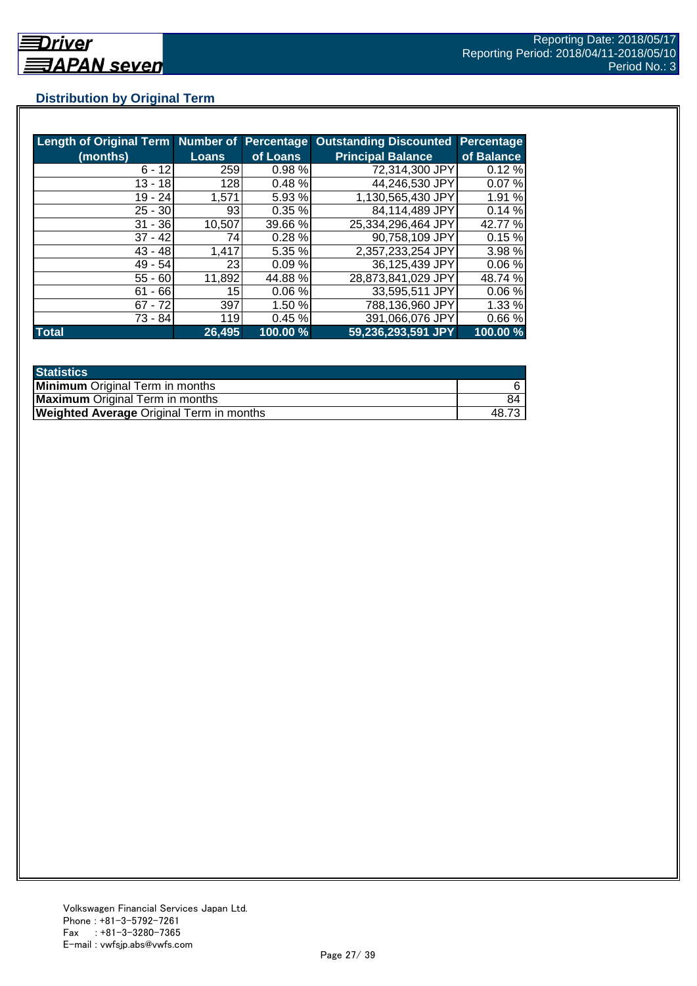## **Distribution by Original Term**

| Length of Original Term Number of Percentage |                 |          | <b>Outstanding Discounted</b> | <b>Percentage</b> |
|----------------------------------------------|-----------------|----------|-------------------------------|-------------------|
| (months)                                     | <b>Loans</b>    | of Loans | <b>Principal Balance</b>      | of Balance        |
| $6 - 12$                                     | 259             | 0.98%    | 72,314,300 JPY                | 0.12%             |
| $13 - 18$                                    | 128             | 0.48%    | 44,246,530 JPY                | 0.07%             |
| $19 - 24$                                    | 1.571           | 5.93 %   | 1,130,565,430 JPY             | 1.91 %            |
| $25 - 30$                                    | 93 <sub>l</sub> | 0.35%    | 84,114,489 JPY                | 0.14%             |
| $31 - 36$                                    | 10,507          | 39.66 %  | 25,334,296,464 JPY            | 42.77 %           |
| $37 - 42$                                    | 741             | 0.28%    | 90,758,109 JPY                | 0.15%             |
| $43 - 48$                                    | 1,417           | 5.35 %   | 2,357,233,254 JPY             | 3.98 %            |
| $49 - 54$                                    | 23 <sub>l</sub> | 0.09%    | 36,125,439 JPY                | 0.06%             |
| $55 - 60$                                    | 11,892          | 44.88%   | 28,873,841,029 JPY            | 48.74 %           |
| $61 - 66$                                    | 15              | 0.06%    | 33,595,511 JPY                | 0.06%             |
| $67 - 72$                                    | 397             | 1.50 %   | 788,136,960 JPY               | 1.33%             |
| 73 - 84                                      | 119             | 0.45%    | 391,066,076 JPY               | 0.66%             |
| <b>Total</b>                                 | 26,495          | 100.00 % | 59,236,293,591 JPY            | 100.00 %          |

| <b>Statistics</b>                               |       |
|-------------------------------------------------|-------|
| <b>Minimum</b> Original Term in months          |       |
| <b>Maximum</b> Original Term in months          | 84    |
| <b>Weighted Average Original Term in months</b> | 48.7° |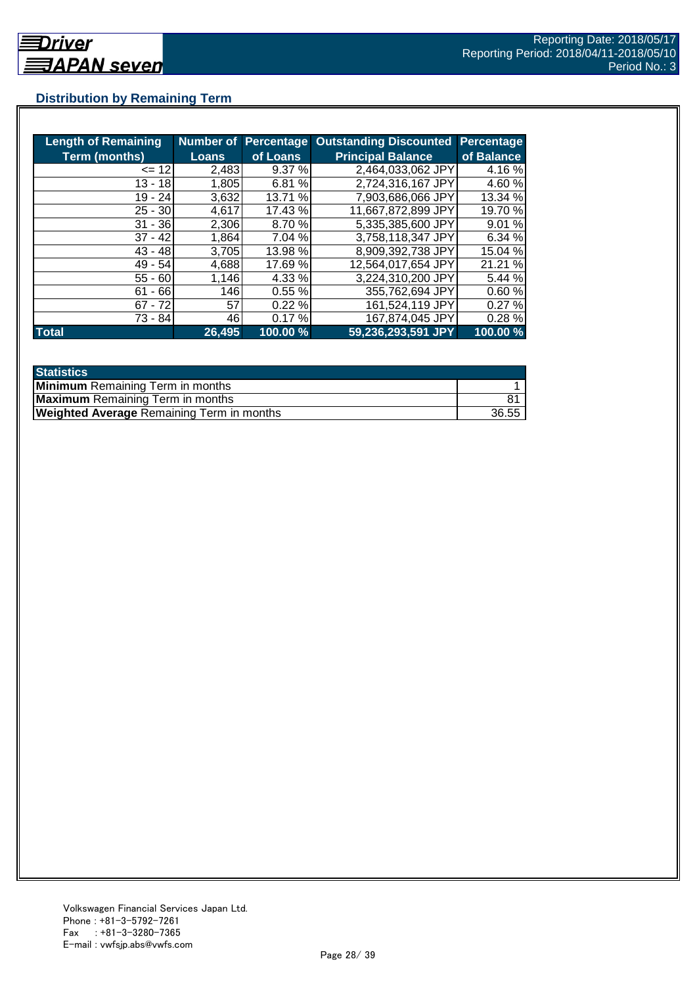## **Distribution by Remaining Term**

| <b>Length of Remaining</b> |              |          | <b>Number of Percentage Outstanding Discounted</b> | <b>Percentage</b> |
|----------------------------|--------------|----------|----------------------------------------------------|-------------------|
| <b>Term (months)</b>       | <b>Loans</b> | of Loans | <b>Principal Balance</b>                           | of Balance        |
| $= 12$                     | 2,483        | 9.37%    | 2,464,033,062 JPY                                  | 4.16%             |
| $13 - 18$                  | 1,805        | 6.81 %   | 2,724,316,167 JPY                                  | 4.60%             |
| 19 - 24                    | 3,632        | 13.71 %  | 7,903,686,066 JPY                                  | 13.34 %           |
| $25 - 30$                  | 4,617        | 17.43 %  | 11,667,872,899 JPY                                 | 19.70 %           |
| $31 - 36$                  | 2,306        | 8.70 %   | 5,335,385,600 JPY                                  | 9.01 %            |
| $37 - 42$                  | 1,864        | 7.04 %   | 3,758,118,347 JPY                                  | 6.34 %            |
| $43 - 48$                  | 3,705        | 13.98 %  | 8,909,392,738 JPY                                  | 15.04 %           |
| $49 - 54$                  | 4,688        | 17.69 %  | 12,564,017,654 JPY                                 | 21.21 %           |
| $55 - 60$                  | 1,146        | 4.33 %   | 3,224,310,200 JPY                                  | 5.44 %            |
| - 66<br>61                 | 146          | 0.55%    | 355,762,694 JPY                                    | 0.60%             |
| $67 - 72$                  | 57           | 0.22%    | 161,524,119 JPY                                    | 0.27%             |
| 73 - 84                    | 461          | 0.17%    | 167,874,045 JPY                                    | 0.28%             |
| <b>Total</b>               | 26,495       | 100.00 % | 59,236,293,591 JPY                                 | 100.00 %          |

| <b>Statistics</b>                                |       |
|--------------------------------------------------|-------|
| <b>Minimum</b> Remaining Term in months          |       |
| <b>Maximum</b> Remaining Term in months          |       |
| <b>Weighted Average Remaining Term in months</b> | 36.55 |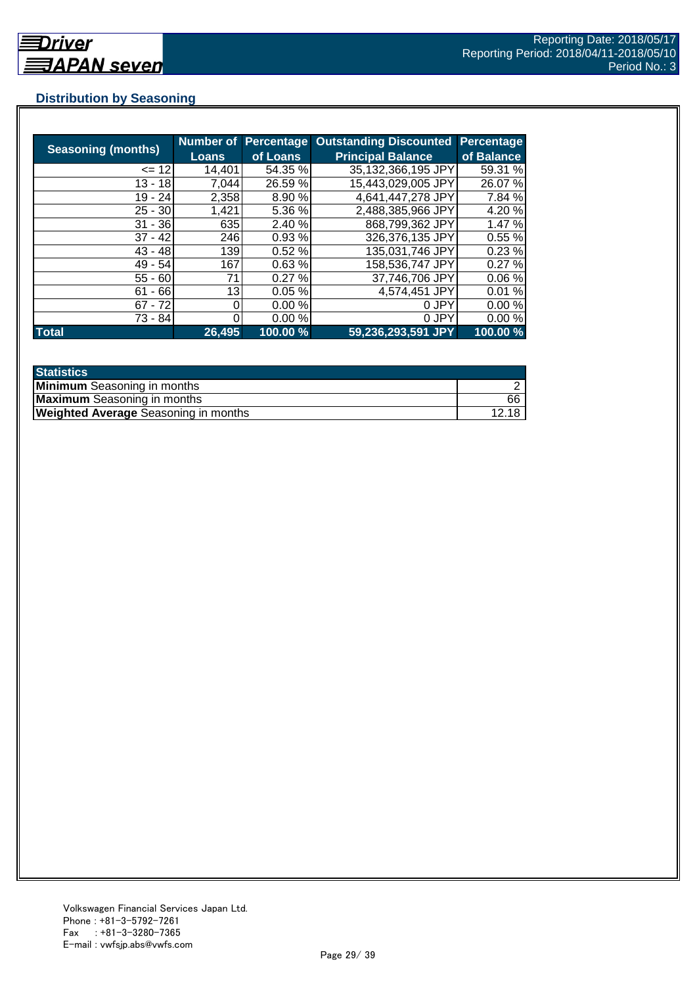## **Distribution by Seasoning**

| <b>Seasoning (months)</b> |              | <b>Number of Percentage</b> | <b>Outstanding Discounted</b> | <b>Percentage</b> |
|---------------------------|--------------|-----------------------------|-------------------------------|-------------------|
|                           | <b>Loans</b> | of Loans                    | <b>Principal Balance</b>      | of Balance        |
| $= 12$                    | 14,401       | 54.35 %                     | 35,132,366,195 JPY            | 59.31 %           |
| $13 - 18$                 | 7,044        | 26.59 %                     | 15,443,029,005 JPY            | 26.07%            |
| $19 - 24$                 | 2,358        | 8.90 %                      | 4,641,447,278 JPY             | 7.84 %            |
| $25 - 30$                 | 1,421        | 5.36 %                      | 2,488,385,966 JPY             | 4.20 %            |
| $31 - 36$                 | 635          | 2.40 %                      | 868,799,362 JPY               | 1.47%             |
| $37 - 42$                 | 246          | 0.93%                       | 326,376,135 JPY               | 0.55%             |
| $43 - 48$                 | 139          | 0.52%                       | 135,031,746 JPY               | 0.23%             |
| $49 - 54$                 | 167          | 0.63%                       | 158,536,747 JPY               | 0.27%             |
| $55 - 60$                 | 71           | 0.27%                       | 37,746,706 JPY                | 0.06%             |
| $61 - 66$                 | 13           | 0.05%                       | 4,574,451 JPY                 | 0.01%             |
| $67 - 72$                 |              | 0.00%                       | 0 JPY                         | 0.00%             |
| 73 - 84                   |              | 0.00%                       | 0 JPY                         | 0.00%             |
| <b>Total</b>              | 26,495       | 100.00 %                    | 59,236,293,591 JPY            | 100.00 %          |

| <b>Statistics</b>                           |       |
|---------------------------------------------|-------|
| <b>Minimum</b> Seasoning in months          |       |
| <b>Maximum</b> Seasoning in months          | 66    |
| <b>Weighted Average Seasoning in months</b> | 12.18 |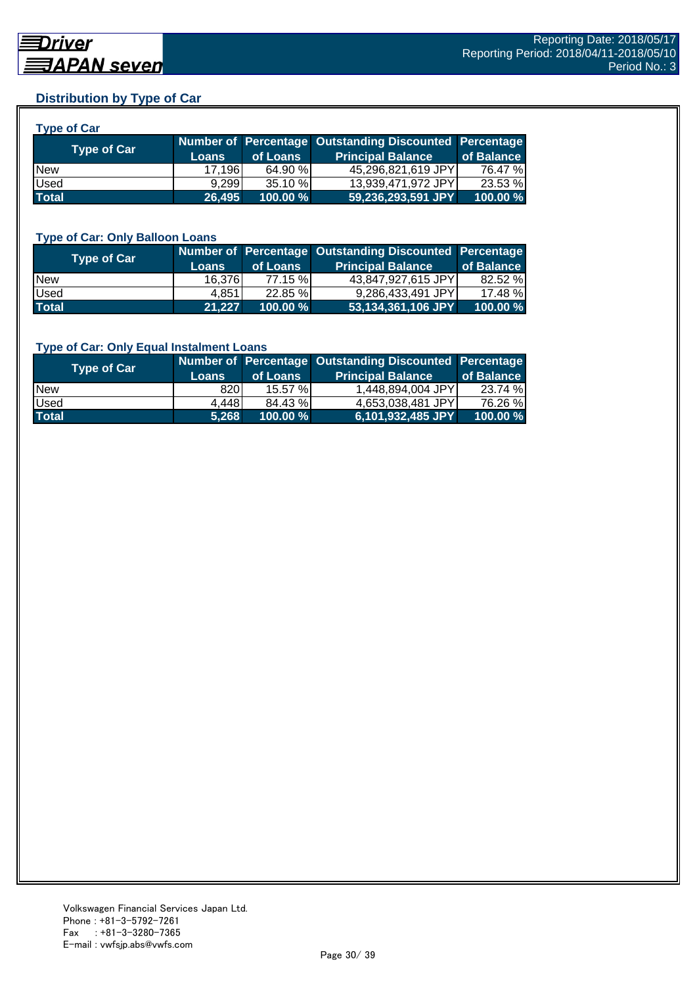## **Distribution by Type of Car**

| <b>Type of Car</b> |              |            |                                                        |            |
|--------------------|--------------|------------|--------------------------------------------------------|------------|
|                    |              |            | Number of Percentage Outstanding Discounted Percentage |            |
| <b>Type of Car</b> | <b>Loans</b> | of Loans   | <b>Principal Balance</b>                               | of Balance |
| <b>New</b>         | 17.196L      | 64.90 %    | 45,296,821,619 JPY                                     | 76.47 %    |
| Used               | 9,299        | $35.10 \%$ | 13,939,471,972 JPY                                     | 23.53 %    |
| <b>Total</b>       | 26,495       | 100.00 %   | 59,236,293,591 JPY                                     | 100.00 %   |

#### **Type of Car: Only Balloon Loans**

| Type of Car  | <b>Loans</b> | of Loans   | Number of Percentage Outstanding Discounted Percentage<br><b>Principal Balance</b> | of Balance |
|--------------|--------------|------------|------------------------------------------------------------------------------------|------------|
| <b>New</b>   | 16.376       | 77.15 %    | 43,847,927,615 JPY                                                                 | 82.52 %    |
| Used         | 4.8511       | $22.85 \%$ | 9.286.433.491 JPYI                                                                 | 17.48 %    |
| <b>Total</b> | 21.227       | 100.00 %   | 53,134,361,106 JPY                                                                 | 100.00%    |

#### **Type of Car: Only Equal Instalment Loans**

| <b>Type of Car</b> |              |             | Number of Percentage Outstanding Discounted Percentage |            |
|--------------------|--------------|-------------|--------------------------------------------------------|------------|
|                    | <b>Loans</b> | of Loans    | <b>Principal Balance</b>                               | of Balance |
| <b>New</b>         | 820          | 15.57%      | 1,448,894,004 JPY                                      | 23.74 %    |
| Used               | 4,448        | 84.43 %     | 4.653.038.481 JPYI                                     | 76.26 %    |
| <b>Total</b>       | 5.268        | $100.00 \%$ | 6,101,932,485 JPY                                      | 100.00 %   |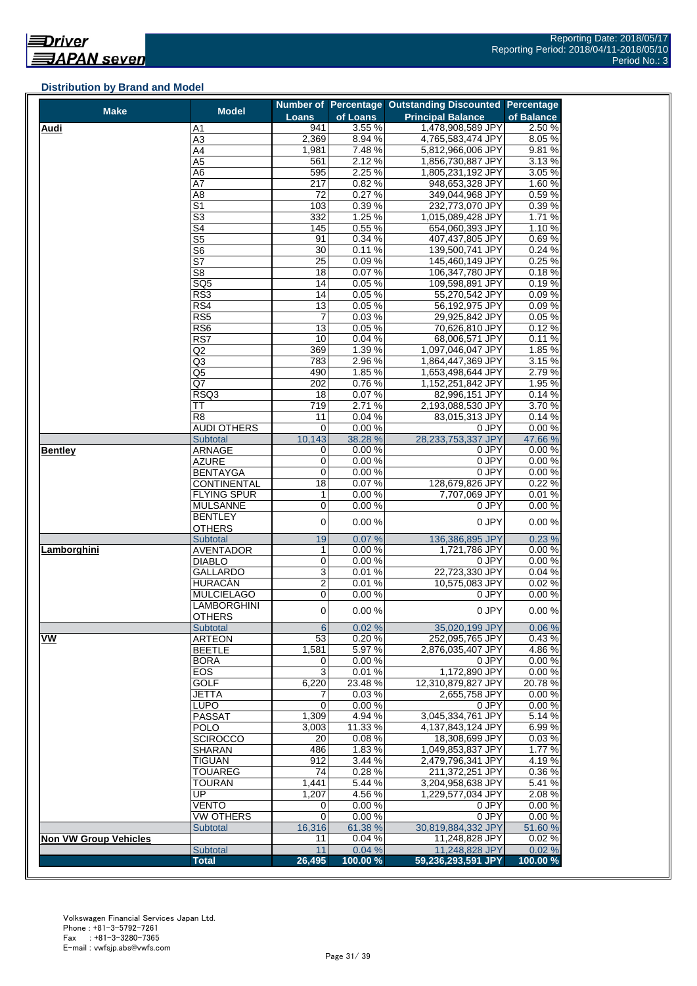#### **Distribution by Brand and Model**

| <b>Make</b>                  | <b>Model</b>                          |                         |                 | Number of Percentage Outstanding Discounted Percentage |                |
|------------------------------|---------------------------------------|-------------------------|-----------------|--------------------------------------------------------|----------------|
|                              |                                       | <b>Loans</b>            | of Loans        | <b>Principal Balance</b>                               | of Balance     |
| <b>Audi</b>                  | Α1                                    | 941                     | 3.55%           | 1,478,908,589 JPY                                      | 2.50%          |
|                              | A3                                    | 2,369                   | 8.94%           | 4,765,583,474 JPY                                      | 8.05%          |
|                              | A4<br>A5                              | 1,981<br>561            | 7.48%<br>2.12%  | 5,812,966,006 JPY<br>1,856,730,887 JPY                 | 9.81%<br>3.13% |
|                              | A6                                    | 595                     | 2.25%           | 1,805,231,192 JPY                                      | 3.05 %         |
|                              | A7                                    | 217                     | 0.82%           | 948,653,328 JPY                                        | 1.60%          |
|                              | A8                                    | 72                      | 0.27%           | 349,044,968 JPY                                        | 0.59%          |
|                              | S1                                    | 103                     | 0.39%           | 232,773,070 JPY                                        | 0.39%          |
|                              | $\overline{\mathbb{S}^3}$             | 332                     | 1.25 %          | 1,015,089,428 JPY                                      | 1.71 %         |
|                              | S4                                    | 145                     | 0.55%           | 654,060,393 JPY                                        | 1.10%          |
|                              | $\overline{\text{S5}}$                | 91                      | 0.34%           | 407,437,805 JPY                                        | 0.69%          |
|                              | S <sub>6</sub>                        | 30                      | 0.11%           | 139,500,741 JPY                                        | 0.24 %         |
|                              | S7                                    | $\overline{25}$         | 0.09%           | 145,460,149 JPY                                        | 0.25%          |
|                              | S8                                    | 18                      | 0.07%           | 106,347,780 JPY                                        | 0.18%          |
|                              | $\overline{SQ5}$                      | 14                      | 0.05%           | 109,598,891 JPY                                        | 0.19%          |
|                              | RS3                                   | 14                      | 0.05%           | 55,270,542 JPY                                         | 0.09%          |
|                              | RS4                                   | 13                      | 0.05%<br>0.03%  | 56,192,975 JPY                                         | 0.09%<br>0.05% |
|                              | RS5                                   | 7                       |                 | 29,925,842 JPY                                         |                |
|                              | RS6<br>RS7                            | 13<br>10                | 0.05%<br>0.04%  | 70,626,810 JPY<br>68,006,571 JPY                       | 0.12%<br>0.11% |
|                              | Q2                                    | 369                     | 1.39%           | 1,097,046,047 JPY                                      | 1.85 %         |
|                              | Q3                                    | 783                     | 2.96%           | 1,864,447,369 JPY                                      | 3.15%          |
|                              | Q5                                    | 490                     | 1.85%           | 1,653,498,644 JPY                                      | 2.79%          |
|                              | Q7                                    | 202                     | 0.76%           | 1,152,251,842 JPY                                      | 1.95 %         |
|                              | RSQ3                                  | 18                      | 0.07%           | 82,996,151 JPY                                         | 0.14%          |
|                              | ТT                                    | 719                     | 2.71%           | 2,193,088,530 JPY                                      | 3.70%          |
|                              | R <sub>8</sub>                        | 11                      | 0.04%           | 83,015,313 JPY                                         | 0.14%          |
|                              | <b>AUDI OTHERS</b>                    | 0                       | 0.00%           | 0 JPY                                                  | 0.00%          |
|                              | <b>Subtotal</b>                       | 10,143                  | 38.28 %         | 28,233,753,337 JPY                                     | 47.66%         |
| <b>Bentley</b>               | <b>ARNAGE</b>                         | $\mathbf 0$             | 0.00%           | 0 JPY                                                  | 0.00%          |
|                              | AZURE                                 | 0<br>0                  | 0.00%           | 0 JPY                                                  | 0.00%          |
|                              | <b>BENTAYGA</b><br><b>CONTINENTAL</b> | 18                      | 0.00%<br>0.07%  | 0 JPY<br>128,679,826 JPY                               | 0.00%<br>0.22% |
|                              | FLYING SPUR                           | $\mathbf{1}$            | 0.00%           | 7,707,069 JPY                                          | 0.01%          |
|                              | <b>MULSANNE</b>                       | 0                       | 0.00%           | 0 JPY                                                  | 0.00%          |
|                              | BENTLEY                               |                         |                 |                                                        |                |
|                              | <b>OTHERS</b>                         | $\mathbf 0$             | 0.00%           | 0 JPY                                                  | 0.00%          |
|                              | Subtotal                              | 19                      | 0.07%           | 136,386,895 JPY                                        | 0.23%          |
| Lamborghini                  | <b>AVENTADOR</b>                      | $\mathbf{1}$            | 0.00%           | 1,721,786 JPY                                          | 0.00%          |
|                              | <b>DIABLO</b>                         | 0                       | 0.00%           | 0 JPY                                                  | 0.00%          |
|                              | GALLARDO                              | 3                       | 0.01%           | 22,723,330 JPY                                         | 0.04%          |
|                              | HURACÁN                               | $\overline{\mathbf{c}}$ | 0.01%           | 10.575.083 JPY                                         | 0.02%          |
|                              | <b>MULCIELAGO</b>                     | 0                       | 0.00%           | 0 JPY                                                  | 0.00%          |
|                              | LAMBORGHINI                           | $\mathbf 0$             | 0.00%           | 0 JPY                                                  | 0.00%          |
|                              | <b>OTHERS</b><br><b>Subtotal</b>      | 6                       | 0.02%           | 35,020,199 JPY                                         | 0.06 %         |
| VW                           | <b>ARTEON</b>                         | 53                      | 0.20%           | 252,095,765 JPY                                        | 0.43%          |
|                              | BEETLE                                | 1,581                   | 5.97 %          | 2,876,035,407 JPY                                      | 4.86%          |
|                              | BORA                                  | 0                       | 0.00%           | 0 JPY                                                  | 0.00%          |
|                              | EOS                                   | 3                       | 0.01%           | 1,172,890 JPY                                          | 0.00%          |
|                              | <b>GOLF</b>                           | 6,220                   | 23.48%          | 12,310,879,827 JPY                                     | 20.78%         |
|                              | JETTA                                 | 7                       | 0.03%           | 2,655,758 JPY                                          | 0.00%          |
|                              | LUPO                                  | $\mathbf 0$             | 0.00%           | 0 JPY                                                  | 0.00%          |
|                              | <b>PASSAT</b>                         | 1,309                   | 4.94 %          | 3.045.334.761 JPY                                      | 5.14 %         |
|                              | POLO                                  | 3,003                   | 11.33 %         | 4,137,843,124 JPY                                      | 6.99%          |
|                              | <b>SCIROCCO</b>                       | 20                      | 0.08%           | 18,308,699 JPY                                         | 0.03%          |
|                              | <b>SHARAN</b>                         | 486                     | 1.83%           | 1,049,853,837 JPY                                      | 1.77 %         |
|                              | <b>TIGUAN</b><br><b>TOUAREG</b>       | 912<br>74               | 3.44 %<br>0.28% | 2,479,796,341 JPY<br>211,372,251 JPY                   | 4.19%<br>0.36% |
|                              | <b>TOURAN</b>                         | 1,441                   | 5.44 %          | 3,204,958,638 JPY                                      | 5.41%          |
|                              | UP                                    | 1,207                   | 4.56%           | 1,229,577,034 JPY                                      | 2.08%          |
|                              | VENTO                                 | 0                       | 0.00%           | 0 JPY                                                  | 0.00%          |
|                              | <b>VW OTHERS</b>                      | 0                       | 0.00%           | 0 JPY                                                  | 0.00%          |
|                              | <b>Subtotal</b>                       | 16,316                  | 61.38 %         | 30,819,884,332 JPY                                     | 51.60 %        |
| <b>Non VW Group Vehicles</b> |                                       | 11                      | 0.04%           | 11,248,828 JPY                                         | 0.02%          |
|                              | Subtotal                              | 11                      | 0.04%           | 11,248,828 JPY                                         | 0.02%          |
|                              | <b>Total</b>                          | 26,495                  | 100.00%         | 59,236,293,591 JPY                                     | 100.00 %       |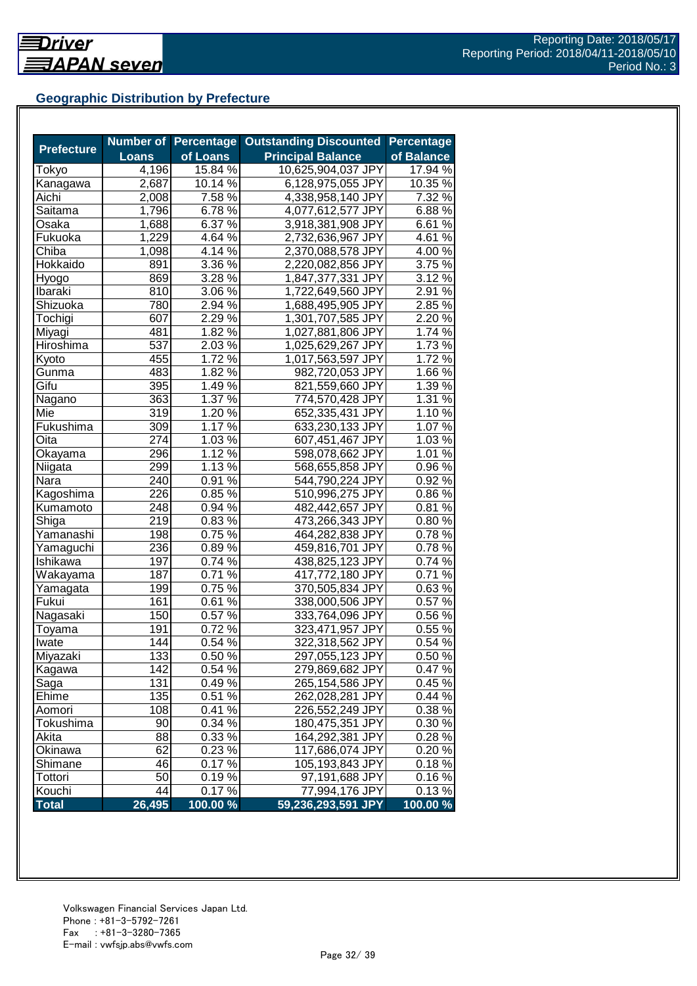## **Geographic Distribution by Prefecture**

| <b>Prefecture</b> |              |                  | Number of Percentage Outstanding Discounted | <b>Percentage</b>   |
|-------------------|--------------|------------------|---------------------------------------------|---------------------|
|                   | <b>Loans</b> | of Loans         | <b>Principal Balance</b>                    | of Balance          |
| Tokyo             | 4,196        | 15.84 %          | 10,625,904,037 JPY                          | 17.94 %             |
| Kanagawa          | 2,687        | 10.14 %          | 6,128,975,055 JPY                           | 10.35 %             |
| Aichi             | 2,008        | 7.58 %           | 4,338,958,140 JPY                           | 7.32 %              |
| Saitama           | 1,796        | 6.78%            | 4,077,612,577 JPY                           | 6.88%               |
| Osaka             | 1,688        | 6.37 %           | 3,918,381,908 JPY                           | 6.61%               |
| Fukuoka           | 1,229        | 4.64 %           | 2,732,636,967 JPY                           | 4.61%               |
| Chiba             | 1,098        | 4.14 %           | 2,370,088,578 JPY                           | $4.00\,\frac{6}{6}$ |
| Hokkaido          | 891          | $3.36\,\sqrt{2}$ | 2,220,082,856 JPY                           | 3.75 %              |
| Hyogo             | 869          | 3.28 %           | 1,847,377,331 JPY                           | 3.12%               |
| Ibaraki           | 810          | $3.06\,\sqrt{8}$ | 1,722,649,560 JPY                           | 2.91%               |
| Shizuoka          | 780          | 2.94 %           | 1,688,495,905 JPY                           | 2.85 %              |
| Tochigi           | 607          | 2.29 %           | 1,301,707,585 JPY                           | 2.20%               |
| Miyagi            | 481          | 1.82 %           | 1,027,881,806 JPY                           | 1.74 %              |
| Hiroshima         | 537          | 2.03 %           | 1,025,629,267 JPY                           | 1.73%               |
| Kyoto             | 455          | 1.72 %           | 1,017,563,597 JPY                           | 1.72%               |
| Gunma             | 483          | 1.82 %           | 982,720,053 JPY                             | 1.66 %              |
| Gifu              | 395          | 1.49 %           | 821,559,660 JPY                             | 1.39%               |
| Nagano            | 363          | 1.37 %           | 774,570,428 JPY                             | 1.31 %              |
| Mie               | 319          | $1.20\%$         | 652,335,431 JPY                             | 1.10%               |
| Fukushima         | 309          | 1.17 %           | 633,230,133 JPY                             | 1.07%               |
| Oita              | 274          | 1.03 %           | 607,451,467 JPY                             | 1.03%               |
| Okayama           | 296          | 1.12 %           | 598,078,662 JPY                             | 1.01 $\frac{2}{6}$  |
| Niigata           | 299          | 1.13 %           | 568,655,858 JPY                             | 0.96%               |
| Nara              | 240          | 0.91%            | 544,790,224 JPY                             | 0.92%               |
| Kagoshima         | 226          | 0.85%            | 510,996,275 JPY                             | 0.86%               |
| Kumamoto          | 248          | 0.94 %           | 482,442,657 JPY                             | 0.81%               |
| Shiga             | 219          | 0.83%            | 473,266,343 JPY                             | 0.80%               |
| Yamanashi         | 198          | 0.75%            | 464,282,838 JPY                             | 0.78%               |
| Yamaguchi         | 236          | 0.89%            | 459,816,701 JPY                             | 0.78%               |
| Ishikawa          | 197          | 0.74%            | 438,825,123 JPY                             | 0.74 %              |
| Wakayama          | 187          | 0.71%            | 417,772,180 JPY                             | 0.71%               |
| Yamagata          | 199          | $0.75\,\sqrt{2}$ | 370,505,834 JPY                             | 0.63%               |
| Fukui             | 161          | $0.61\%$         | 338,000,506 JPY                             | 0.57%               |
| Nagasaki          | 150          | $0.57\%$         | 333,764,096 JPY                             | 0.56%               |
| Toyama            | 191          | 0.72%            | 323,471,957 JPY                             | 0.55%               |
| Iwate             | 144          | 0.54 %           | 322,318,562 JPY                             | 0.54 %              |
| Miyazaki          | 133          | 0.50%            | 297,055,123 JPY                             | 0.50%               |
| Kagawa            | 142          | 0.54 %           | 279,869,682 JPY                             | 0.47%               |
| Saga              | 131          | 0.49%            | 265,154,586 JPY                             | 0.45 %              |
| Ehime             | 135          | 0.51%            | 262,028,281 JPY                             | 0.44%               |
| Aomori            | 108          | 0.41%            | 226,552,249 JPY                             | 0.38%               |
| Tokushima         | 90           | 0.34%            | 180,475,351 JPY                             | 0.30%               |
| Akita             | 88           | 0.33 %           | 164,292,381 JPY                             | 0.28%               |
| Okinawa           | 62           | 0.23 %           | 117,686,074 JPY                             | 0.20%               |
| Shimane           | 46           | 0.17%            | 105,193,843 JPY                             | 0.18%               |
| Tottori           | 50           | 0.19%            | 97,191,688 JPY                              | 0.16%               |
| Kouchi            | 44           | 0.17%            | 77,994,176 JPY                              | 0.13%               |
| <b>Total</b>      | 26,495       | $100.00\%$       | 59,236,293,591 JPY                          | 100.00 %            |
|                   |              |                  |                                             |                     |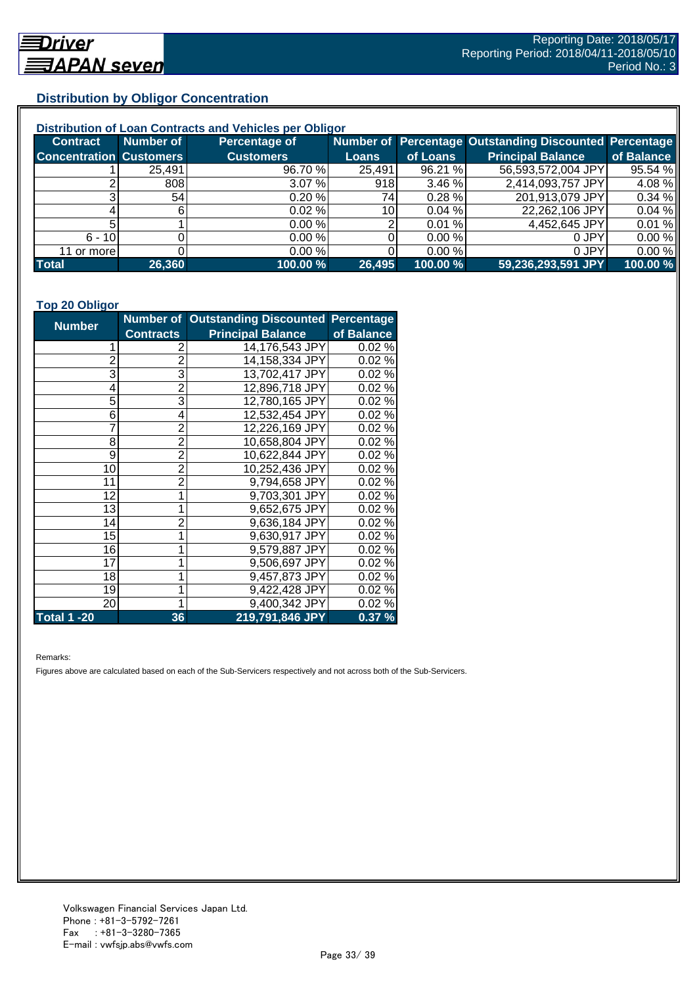## **Distribution by Obligor Concentration**

| Distribution of Loan Contracts and Vehicles per Obligor |           |                  |                 |           |                                                        |            |  |
|---------------------------------------------------------|-----------|------------------|-----------------|-----------|--------------------------------------------------------|------------|--|
| <b>Contract</b>                                         | Number of | Percentage of    |                 |           | Number of Percentage Outstanding Discounted Percentage |            |  |
| <b>Concentration Customers</b>                          |           | <b>Customers</b> | Loans           | of Loans  | <b>Principal Balance</b>                               | of Balance |  |
|                                                         | 25,491    | 96.70 %          | 25,491          | 96.21 %   | 56,593,572,004 JPY                                     | 95.54 %    |  |
|                                                         | 808       | 3.07%            | 918             | 3.46%     | 2,414,093,757 JPY                                      | 4.08%      |  |
| ົ                                                       | 54        | 0.20%            | 74I             | $0.28 \%$ | 201,913,079 JPY                                        | 0.34%      |  |
|                                                         |           | 0.02%            | 10 <sup>1</sup> | 0.04%     | 22,262,106 JPY                                         | 0.04%      |  |
|                                                         |           | 0.00%            |                 | 0.01%     | 4,452,645 JPY                                          | 0.01%      |  |
| $6 - 10$                                                |           | 0.00%            |                 | 0.00 %    | 0 JPY                                                  | 0.00%      |  |
| 11 or more                                              |           | 0.00%            |                 | 0.00%     | 0 JPY                                                  | 0.00%      |  |
| <b>Total</b>                                            | 26,360    | 100.00 %         | 26,495          | 100.00 %  | 59,236,293,591 JPY                                     | 100.00 %   |  |

#### **Top 20 Obligor**

| <b>Number</b>  |                  | Number of Outstanding Discounted Percentage |            |
|----------------|------------------|---------------------------------------------|------------|
|                | <b>Contracts</b> | <b>Principal Balance</b>                    | of Balance |
| 1              | 2                | 14,176,543 JPY                              | 0.02%      |
| $\overline{c}$ | $\overline{2}$   | 14,158,334 JPY                              | 0.02%      |
| 3              | 3                | 13,702,417 JPY                              | 0.02%      |
| 4              | $\overline{2}$   | 12,896,718 JPY                              | 0.02%      |
| 5              | 3                | 12,780,165 JPY                              | 0.02%      |
| 6              | 4                | 12,532,454 JPY                              | 0.02%      |
| 7              | $\overline{2}$   | 12,226,169 JPY                              | 0.02%      |
| 8              | $\overline{2}$   | 10,658,804 JPY                              | 0.02%      |
| 9              | $\overline{2}$   | 10,622,844 JPY                              | 0.02%      |
| 10             | $\overline{2}$   | 10,252,436 JPY                              | 0.02%      |
| 11             | $\overline{2}$   | 9,794,658 JPY                               | 0.02%      |
| 12             | $\mathbf 1$      | 9,703,301 JPY                               | 0.02%      |
| 13             | 1                | 9,652,675 JPY                               | 0.02%      |
| 14             | $\overline{2}$   | 9,636,184 JPY                               | 0.02%      |
| 15             | 1                | 9,630,917 JPY                               | 0.02%      |
| 16             | 1                | 9,579,887 JPY                               | 0.02%      |
| 17             | 1                | 9,506,697 JPY                               | 0.02%      |
| 18             | 1                | 9,457,873 JPY                               | 0.02%      |
| 19             | 1                | 9,422,428 JPY                               | 0.02%      |
| 20             | 1                | 9,400,342 JPY                               | 0.02%      |
| Total 1 -20    | 36               | 219,791,846 JPY                             | 0.37%      |

Remarks:

Figures above are calculated based on each of the Sub-Servicers respectively and not across both of the Sub-Servicers.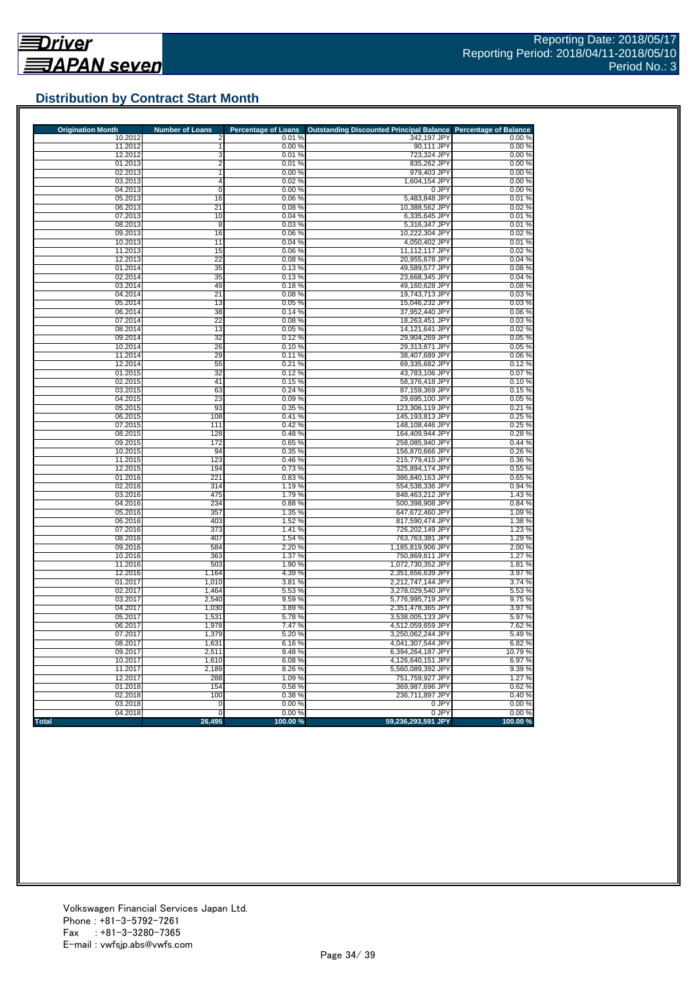

## **Distribution by Contract Start Month**

| <b>Origination Month</b> | <b>Number of Loans</b> | <b>Percentage of Loans</b> | <b>Outstanding Discounted Principal Balance</b> | <b>Percentage of Balance</b> |
|--------------------------|------------------------|----------------------------|-------------------------------------------------|------------------------------|
| 10.2012                  |                        | 0.01%                      | 342,197 JPY                                     | 0.00%                        |
| 11.2012<br>12.2012       | 3                      | 0.00%<br>0.01%             | 90,111 JPY<br>723,324 JPY                       | 0.00%<br>0.00%               |
| 01.2013                  | 2                      | 0.01%                      | 835,262 JPY                                     | 0.00%                        |
| 02.2013                  | 1                      | 0.00%                      | 979.403 JPY                                     | 0.00%                        |
| 03.2013                  | 4                      | 0.02%                      | 1,604,154 JPY                                   | 0.00%                        |
| 04.2013                  | 0                      | 0.00%                      | 0 JPY                                           | 0.00%                        |
| 05.2013                  | 16                     | 0.06%                      | 5,483,848 JPY                                   | 0.01%                        |
| 06.2013                  | 21                     | 0.08%                      | 10,388,562 JPY                                  | 0.02%                        |
| 07.2013                  | 10                     | 0.04%                      | 6,335,645 JPY                                   | 0.01%                        |
| 08.2013                  | 8                      | 0.03%                      | 5,316,347 JPY                                   | 0.01%                        |
| 09.2013                  | 16                     | 0.06%                      | 10,222,304 JPY                                  | 0.02%                        |
| 10.2013                  | 11                     | 0.04%                      | 4,050,402 JPY                                   | 0.01%                        |
| 11.2013<br>12.2013       | 15<br>$\overline{22}$  | 0.06%<br>0.08%             | 11,112,117 JPY<br>20,955,678 JPY                | 0.02%<br>0.04%               |
| 01.2014                  | 35                     | 0.13%                      | 49,589,577 JPY                                  | 0.08%                        |
| 02.2014                  | 35                     | 0.13%                      | 23,668,345 JPY                                  | 0.04%                        |
| 03.2014                  | 49                     | 0.18%                      | 49,160,628 JPY                                  | 0.08%                        |
| 04.2014                  | 21                     | 0.08%                      | 19,743,713 JPY                                  | 0.03%                        |
| 05.2014                  | 13                     | 0.05%                      | 15,046,232 JPY                                  | 0.03%                        |
| 06.2014                  | 38                     | 0.14%                      | 37,952,440 JPY                                  | 0.06 %                       |
| 07.2014                  | 22                     | 0.08%                      | 18,263,451 JPY                                  | 0.03%                        |
| 08.2014                  | 13                     | 0.05%                      | 14,121,641 JPY                                  | 0.02%                        |
| 09.2014                  | 32                     | 0.12%                      | 29,904,269 JPY                                  | 0.05%                        |
| 10.2014                  | 26                     | 0.10%                      | 29,313,871 JPY                                  | 0.05%                        |
| 11.2014<br>12.2014       | 29<br>55               | 0.11%<br>0.21%             | 38,407,689 JPY<br>69,335,682 JPY                | 0.06%<br>0.12%               |
| 01.2015                  | 32                     | 0.12%                      | 43,783,106 JPY                                  | 0.07%                        |
| 02.2015                  | 41                     | 0.15%                      | 58,376,418 JPY                                  | 0.10%                        |
| 03.2015                  | 63                     | 0.24%                      | 87,159,369 JPY                                  | 0.15%                        |
| 04.2015                  | 23                     | 0.09%                      | 29,695,100 JPY                                  | 0.05%                        |
| 05.2015                  | 93                     | 0.35%                      | 123,306,119 JPY                                 | 0.21%                        |
| 06.2015                  | 108                    | 0.41%                      | 145,193,813 JPY                                 | 0.25%                        |
| 07.2015                  | 111                    | 0.42%                      | 148,108,446 JPY                                 | 0.25 %                       |
| 08.2015                  | 128                    | 0.48%                      | 164,409,944 JPY                                 | 0.28%                        |
| 09.2015                  | 172                    | 0.65%                      | 258,085,940 JPY                                 | 0.44%                        |
| 10.2015<br>11.2015       | 94<br>123              | 0.35%<br>0.46%             | 156,870,666 JPY<br>215,779,415 JPY              | 0.26%<br>0.36%               |
| 12.2015                  | 194                    | 0.73%                      | 325,894,174 JPY                                 | 0.55%                        |
| 01.2016                  | 221                    | 0.83%                      | 386,840,163 JPY                                 | 0.65 %                       |
| 02.2016                  | 314                    | 1.19%                      | 554,538,336 JPY                                 | 0.94%                        |
| 03.2016                  | 475                    | 1.79%                      | 848,463,212 JPY                                 | 1.43 %                       |
| 04.2016                  | 234                    | 0.88%                      | 500,398,908 JPY                                 | 0.84 %                       |
| 05.2016                  | 357                    | 1.35 %                     | 647,672,460 JPY                                 | 1.09%                        |
| 06.2016                  | 403                    | 1.52 %                     | 817,590,474 JPY                                 | 1.38 %                       |
| 07.2016                  | 373                    | 1.41 %                     | 726,202,149 JPY                                 | 1.23 %                       |
| 08.2016                  | 407                    | 1.54 %                     | 763,763,381 JPY                                 | 1.29 %                       |
| 09.2016                  | 584<br>363             | 2.20 %                     | 1,185,819,906 JPY<br>750,869,611 JPY            | 2.00%<br>1.27 %              |
| 10.2016<br>11.2016       | 503                    | 1.37 %<br>1.90 %           | 1,072,730,352 JPY                               | 1.81%                        |
| 12.2016                  | 1,164                  | 4.39 %                     | 2,351,656,639 JPY                               | 3.97 %                       |
| 01.2017                  | 1,010                  | 3.81 %                     | 2,212,747,144 JPY                               | 3.74 %                       |
| 02.2017                  | 1,464                  | 5.53 %                     | 3,278,029,540 JPY                               | 5.53 %                       |
| 03.2017                  | 2,540                  | 9.59%                      | 5,776,995,719 JPY                               | 9.75%                        |
| 04.2017                  | 1,030                  | 3.89%                      | 2,351,478,365 JPY                               | 3.97 %                       |
| 05.2017                  | 1,531                  | 5.78 %                     | 3,538,005,133 JPY                               | 5.97 %                       |
| 06.2017                  | 1,978                  | 7.47%                      | 4,512,059,659 JPY                               | 7.62 %                       |
| 07.2017                  | 1,379                  | 5.20 %                     | 3,250,062,244 JPY                               | 5.49 %                       |
| 08.2017                  | 1,631                  | 6.16%                      | 4,041,307,544 JPY                               | 6.82%                        |
| 09.2017                  | 2,511                  | 9.48%<br>6.08%             | 6,394,264,187 JPY                               | 10.79 %                      |
| 10.2017<br>11.2017       | 1,610<br>2,189         | 8.26 %                     | 4,126,640,151 JPY<br>5,560,089,392 JPY          | 6.97%<br>9.39%               |
| 12.2017                  | 288                    | 1.09 %                     | 751,759,927 JPY                                 | 1.27 %                       |
| 01.2018                  | 154                    | 0.58%                      | 369,987,696 JPY                                 | 0.62%                        |
| 02.2018                  | 100                    | 0.38%                      | 236,711,897 JPY                                 | 0.40%                        |
| 03.2018                  | 0                      | 0.00%                      | 0 JPY                                           | 0.00%                        |
| 04.2018                  | $\mathbf 0$            | 0.00%                      | 0 JPY                                           | 0.00%                        |
| <b>Total</b>             | 26,495                 | 100.00%                    | 59,236,293,591 JPY                              | 100.00%                      |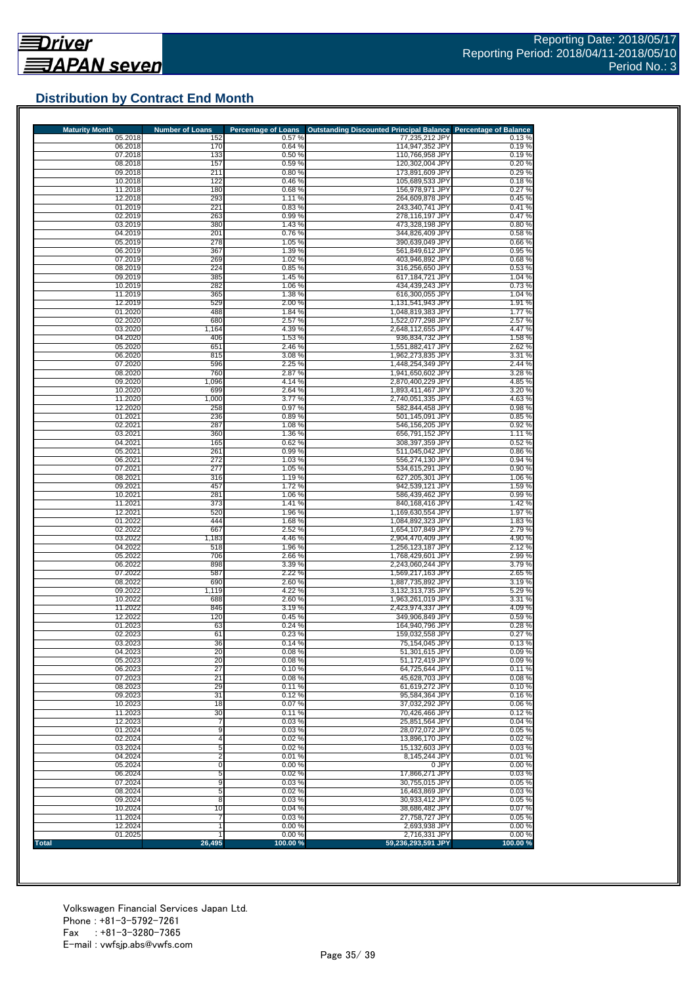## **Distribution by Contract End Month**

| <b>Maturity Month</b> | <b>Number of Loans</b>  | <b>Percentage of Loans</b> | <b>Outstanding Discounted Principal Balance</b> | <b>Percentage of Balance</b> |
|-----------------------|-------------------------|----------------------------|-------------------------------------------------|------------------------------|
| 05.2018               | 152<br>170              | 0.57%<br>0.64%             | 77,235,212 JPY                                  | 0.13%                        |
| 06.2018<br>07.2018    | 133                     | 0.50%                      | 114,947,352 JPY<br>110,766,958 JPY              | 0.19%<br>0.19%               |
| 08.2018               | 157                     | 0.59%                      | 120,302,004 JPY                                 | 0.20%                        |
| 09.2018               | 211                     | 0.80%                      | 173,891,609 JPY                                 | 0.29%                        |
| 10.2018               | 122                     | 0.46%                      | 105,689,533 JPY                                 | 0.18%                        |
| 11.2018<br>12.2018    | 180<br>293              | 0.68%<br>1.11%             | 156,978,971 JPY<br>264,609,878 JPY              | 0.27%<br>0.45%               |
| 01.2019               | 221                     | 0.83%                      | 243,340,741 JPY                                 | 0.41%                        |
| 02.2019               | 263                     | 0.99%                      | 278,116,197 JPY                                 | 0.47%                        |
| 03.2019               | 380                     | 1.43 %                     | 473,328,198 JPY                                 | 0.80%                        |
| 04.2019<br>05.2019    | 201<br>278              | 0.76%<br>1.05 %            | 344,826,409 JPY<br>390,639,049 JPY              | 0.58%<br>0.66%               |
| 06.2019               | 367                     | 1.39 %                     | 561,849,612 JPY                                 | 0.95 %                       |
| 07.2019               | 269                     | 1.02%                      | 403,946,892 JPY                                 | 0.68%                        |
| 08.2019               | 224                     | 0.85%                      | 316,256,650 JPY                                 | 0.53%                        |
| 09.2019<br>10.2019    | 385<br>282              | 1.45 %<br>1.06 %           | 617,184,721 JPY<br>434,439,243 JPY              | 1.04 %                       |
| 11.2019               | 365                     | 1.38%                      | 616,300,055 JPY                                 | 0.73%<br>1.04 %              |
| 12.2019               | 529                     | 2.00 %                     | 1,131,541,943 JPY                               | 1.91 %                       |
| 01.2020               | 488                     | 1.84 %                     | 1,048,819,383 JPY                               | 1.77%                        |
| 02.2020               | 680                     | 2.57 %                     | 1,522,077,298 JPY                               | 2.57 %                       |
| 03.2020<br>04.2020    | 1,164<br>406            | 4.39%<br>1.53 %            | 2,648,112,655 JPY<br>936,834,732 JPY            | 4.47%<br>1.58%               |
| 05.2020               | 651                     | 2.46 %                     | 1,551,882,417 JPY                               | 2.62%                        |
| 06.2020               | 815                     | 3.08 %                     | 1,962,273,835 JPY                               | 3.31 %                       |
| 07.2020               | 596                     | 2.25 %                     | 1,448,254,349 JPY                               | 2.44 %                       |
| 08.2020<br>09.2020    | 760<br>1,096            | 2.87 %<br>4.14 %           | 1,941,650,602 JPY<br>2,870,400,229 JPY          | 3.28 %<br>4.85 %             |
| 10.2020               | 699                     | 2.64 %                     | 1,893,411,467 JPY                               | 3.20 %                       |
| 11.2020               | 1,000                   | 3.77%                      | 2,740,051,335 JPY                               | 4.63%                        |
| 12,2020               | 258                     | 0.97%                      | 582,844,458 JPY                                 | 0.98%                        |
| 01.2021<br>02.2021    | 236<br>287              | 0.89%<br>1.08 %            | 501.145.091 JPY<br>546,156,205 JPY              | 0.85%<br>0.92%               |
| 03.2021               | 360                     | 1.36 %                     | 656,791,152 JPY                                 | 1.11%                        |
| 04.2021               | 165                     | 0.62%                      | 308,397,359 JPY                                 | 0.52%                        |
| 05.2021               | 261                     | 0.99%                      | 511,045,042 JPY                                 | 0.86%                        |
| 06.2021<br>07.2021    | 272<br>277              | 1.03%<br>1.05 %            | 556,274,130 JPY<br>534,615,291 JPY              | 0.94%<br>0.90%               |
| 08.2021               | 316                     | 1.19%                      | 627,205,301 JPY                                 | 1.06 %                       |
| 09.2021               | 457                     | 1.72%                      | 942,539,121 JPY                                 | 1.59 %                       |
| 10.2021               | 281                     | 1.06 %                     | 586,439,462 JPY                                 | 0.99%                        |
| 11.2021<br>12.2021    | 373<br>520              | 1.41%<br>1.96%             | 840,168,416 JPY                                 | 1.42 %<br>1.97%              |
| 01.2022               | 444                     | 1.68%                      | 1,169,630,554 JPY<br>1,084,892,323 JPY          | 1.83%                        |
| 02.2022               | 667                     | 2.52 %                     | 1,654,107,849 JPY                               | 2.79%                        |
| 03.2022               | 1,183                   | 4.46 %                     | 2,904,470,409 JPY                               | 4.90%                        |
| 04.2022               | 518<br>706              | 1.96 %<br>2.66 %           | 1,256,123,187 JPY                               | 2.12%<br>2.99%               |
| 05.2022<br>06.2022    | 898                     | 3.39 %                     | 1,768,429,601 JPY<br>2,243,060,244 JPY          | 3.79%                        |
| 07.2022               | 587                     | 2.22 %                     | 1,569,217,163 JPY                               | 2.65 %                       |
| 08.2022               | 690                     | 2.60%                      | 1,887,735,892 JPY                               | 3.19%                        |
| 09.2022               | 1,119                   | 4.22 %                     | 3,132,313,735 JPY                               | 5.29 %                       |
| 10.2022<br>11.2022    | 688<br>846              | 2.60%<br>3.19 %            | 1.963.261.019 JPY<br>2,423,974,337 JPY          | 3.31%<br>4.09%               |
| 12.2022               | 120                     | 0.45%                      | 349,906,849 JPY                                 | 0.59%                        |
| 01.2023               | 63                      | 0.24%                      | 164,940,796 JPY                                 | 0.28%                        |
| 02.2023               | 61                      | 0.23%                      | 159,032,558 JPY                                 | 0.27%                        |
| 03.2023<br>04.2023    | 36<br>20                | 0.14%<br>0.08%             | 75.154.045 JPY<br>51,301,615 JPY                | 0.13%<br>0.09%               |
| 05.2023               | 20                      | 0.08%                      | 51,172,419 JPY                                  | 0.09%                        |
| 06.2023               | 27                      | 0.10%                      | 64,725,644 JPY                                  | 0.11%                        |
| 07.2023               | 21                      | 0.08%                      | 45,628,703 JPY                                  | 0.08%                        |
| 08.2023<br>09.2023    | 29<br>31                | 0.11%<br>0.12%             | 61,619,272 JPY<br>95,584,364 JPY                | 0.10%<br>0.16%               |
| 10.2023               | 18                      | 0.07%                      | 37,032,292 JPY                                  | 0.06%                        |
| 11.2023               | 30                      | 0.11%                      | 70,426,466 JPY                                  | 0.12%                        |
| 12.2023               | 7                       | 0.03%                      | 25,851,564 JPY                                  | 0.04%                        |
| 01.2024<br>02.2024    | 9<br>4                  | 0.03%<br>0.02%             | 28,072,072 JPY<br>13,896,170 JPY                | 0.05%<br>0.02%               |
| 03.2024               | 5                       | 0.02%                      | 15,132,603 JPY                                  | 0.03%                        |
| 04.2024               | $\overline{\mathbf{c}}$ | 0.01%                      | 8,145,244 JPY                                   | 0.01%                        |
| 05.2024               | 0                       | 0.00%                      | 0 JPY                                           | 0.00%                        |
| 06.2024               | 5                       | 0.02%                      | 17,866,271 JPY                                  | 0.03%                        |
| 07.2024<br>08.2024    | 9<br>5                  | 0.03%<br>0.02%             | 30,755,015 JPY<br>16,463,869 JPY                | 0.05%<br>0.03%               |
| 09.2024               | 8                       | 0.03%                      | 30,933,412 JPY                                  | 0.05%                        |
| 10.2024               | 10                      | 0.04%                      | 38,686,482 JPY                                  | 0.07%                        |
| 11.2024               | 7                       | 0.03%                      | 27,758,727 JPY                                  | 0.05%                        |
| 12.2024               |                         | 0.00%<br>0.00%             | 2,693,938 JPY<br>2,716,331 JPY                  | 0.00%<br>0.00%               |
| 01.2025               | 1                       |                            |                                                 |                              |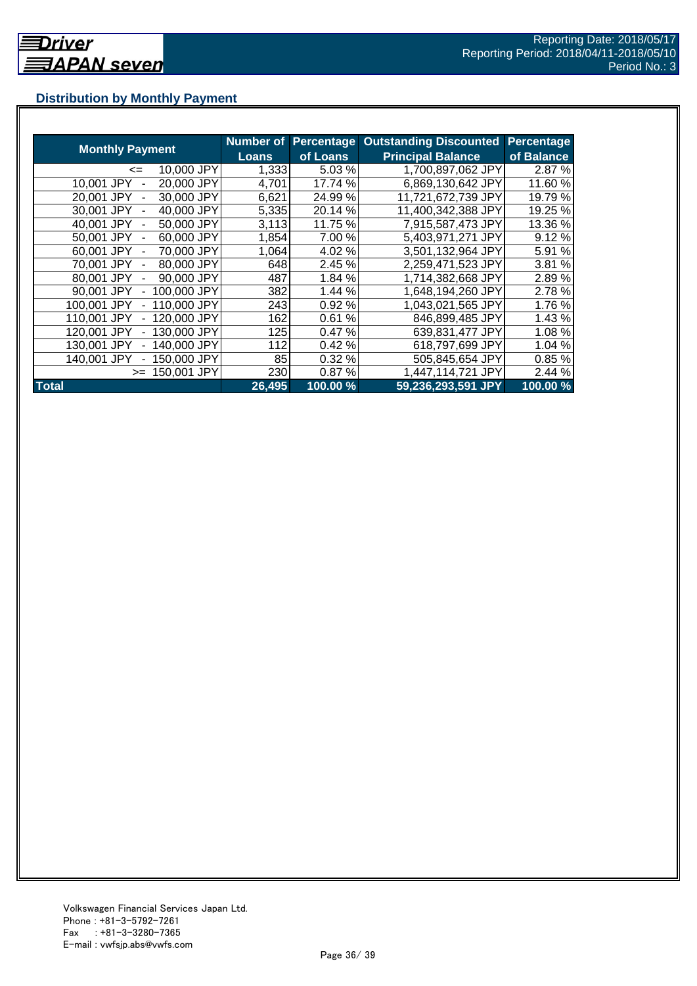## **Distribution by Monthly Payment**

|                            | Number of    | <b>Percentage</b> | <b>Outstanding Discounted</b> | <b>Percentage</b> |
|----------------------------|--------------|-------------------|-------------------------------|-------------------|
| <b>Monthly Payment</b>     | <b>Loans</b> | of Loans          | <b>Principal Balance</b>      | of Balance        |
| 10,000 JPY<br><=           | 1,333        | 5.03 %            | 1,700,897,062 JPY             | 2.87 %            |
| 10,001 JPY<br>20,000 JPY   | 4,701        | 17.74 %           | 6,869,130,642 JPY             | 11.60 %           |
| 30,000 JPY<br>20,001 JPY   | 6,621        | 24.99%            | 11,721,672,739 JPY            | 19.79 %           |
| 30,001 JPY<br>40,000 JPY   | 5,335        | 20.14 %           | 11,400,342,388 JPY            | 19.25 %           |
| 40,001 JPY<br>50,000 JPY   | 3,113        | 11.75 %           | 7,915,587,473 JPY             | 13.36 %           |
| 50,001 JPY<br>60,000 JPY   | 1,854        | 7.00 %            | 5,403,971,271 JPY             | 9.12%             |
| 60,001 JPY<br>70,000 JPY   | 1,064        | 4.02%             | 3,501,132,964 JPY             | 5.91 %            |
| 70,001 JPY<br>80,000 JPY   | 648          | 2.45 %            | 2,259,471,523 JPY             | 3.81 %            |
| 90,000 JPY<br>80,001 JPY   | 487          | 1.84 %            | 1,714,382,668 JPY             | 2.89%             |
| 100,000 JPY<br>90,001 JPY  | 382          | 1.44 %            | 1,648,194,260 JPY             | 2.78 %            |
| 110,000 JPY<br>100,001 JPY | 243          | 0.92%             | 1,043,021,565 JPY             | 1.76 %            |
| 120,000 JPY<br>110,001 JPY | 162          | 0.61%             | 846,899,485 JPY               | 1.43 %            |
| 130,000 JPY<br>120,001 JPY | 125          | 0.47%             | 639,831,477 JPY               | 1.08%             |
| 140,000 JPY<br>130,001 JPY | 112          | 0.42%             | 618,797,699 JPY               | 1.04 %            |
| 140,001 JPY<br>150,000 JPY | 85           | 0.32%             | 505,845,654 JPY               | 0.85 %            |
| 150,001 JPY<br>$>=$        | 230          | 0.87%             | 1,447,114,721 JPY             | 2.44 %            |
| <b>Total</b>               | 26,495       | 100.00 %          | 59,236,293,591 JPY            | 100.00 %          |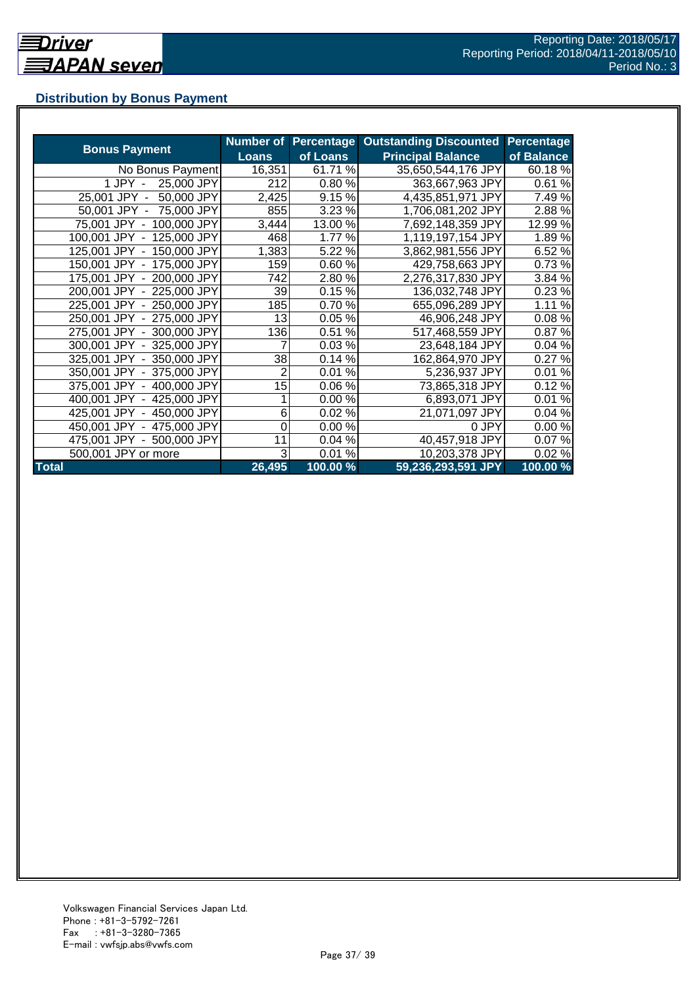## **Distribution by Bonus Payment**

| <b>Bonus Payment</b>       |              |          | Number of Percentage Outstanding Discounted | Percentage |
|----------------------------|--------------|----------|---------------------------------------------|------------|
|                            | <b>Loans</b> | of Loans | <b>Principal Balance</b>                    | of Balance |
| No Bonus Payment           | 16,351       | 61.71 %  | 35,650,544,176 JPY                          | 60.18 %    |
| 25,000 JPY<br>1 JPY -      | 212          | 0.80%    | 363,667,963 JPY                             | 0.61%      |
| 50,000 JPY<br>25,001 JPY - | 2,425        | 9.15%    | 4,435,851,971 JPY                           | 7.49%      |
| 50,001 JPY - 75,000 JPY    | 855          | 3.23 %   | 1,706,081,202 JPY                           | 2.88%      |
| 75,001 JPY - 100,000 JPY   | 3,444        | 13.00 %  | 7,692,148,359 JPY                           | 12.99%     |
| 100,001 JPY - 125,000 JPY  | 468          | 1.77 %   | 1,119,197,154 JPY                           | 1.89%      |
| 125,001 JPY - 150,000 JPY  | 1,383        | 5.22 %   | 3,862,981,556 JPY                           | 6.52%      |
| 150,001 JPY - 175,000 JPY  | 159          | 0.60%    | 429,758,663 JPY                             | 0.73%      |
| 175,001 JPY - 200,000 JPY  | 742          | 2.80%    | 2,276,317,830 JPY                           | 3.84 %     |
| 200,001 JPY - 225,000 JPY  | 39           | 0.15%    | 136,032,748 JPY                             | 0.23%      |
| 225,001 JPY - 250,000 JPY  | 185          | 0.70%    | 655,096,289 JPY                             | 1.11%      |
| 250,001 JPY - 275,000 JPY  | 13           | 0.05%    | 46,906,248 JPY                              | 0.08%      |
| 275,001 JPY - 300,000 JPY  | 136          | 0.51%    | 517,468,559 JPY                             | 0.87%      |
| 300,001 JPY - 325,000 JPY  | 7            | 0.03%    | 23,648,184 JPY                              | 0.04%      |
| 325,001 JPY - 350,000 JPY  | 38           | 0.14%    | 162,864,970 JPY                             | 0.27%      |
| 350,001 JPY - 375,000 JPY  | 2            | 0.01%    | 5,236,937 JPY                               | 0.01%      |
| 375,001 JPY - 400,000 JPY  | 15           | 0.06%    | 73,865,318 JPY                              | 0.12%      |
| 400,001 JPY - 425,000 JPY  |              | 0.00%    | 6,893,071 JPY                               | 0.01%      |
| 425,001 JPY - 450,000 JPY  | 6            | 0.02%    | 21,071,097 JPY                              | 0.04%      |
| 450,001 JPY - 475,000 JPY  | 0            | 0.00%    | 0 JPY                                       | 0.00%      |
| 475,001 JPY - 500,000 JPY  | 11           | 0.04%    | 40,457,918 JPY                              | 0.07%      |
| 500,001 JPY or more        | 3            | 0.01%    | 10,203,378 JPY                              | 0.02%      |
| <b>Total</b>               | 26,495       | 100.00 % | 59,236,293,591 JPY                          | 100.00 %   |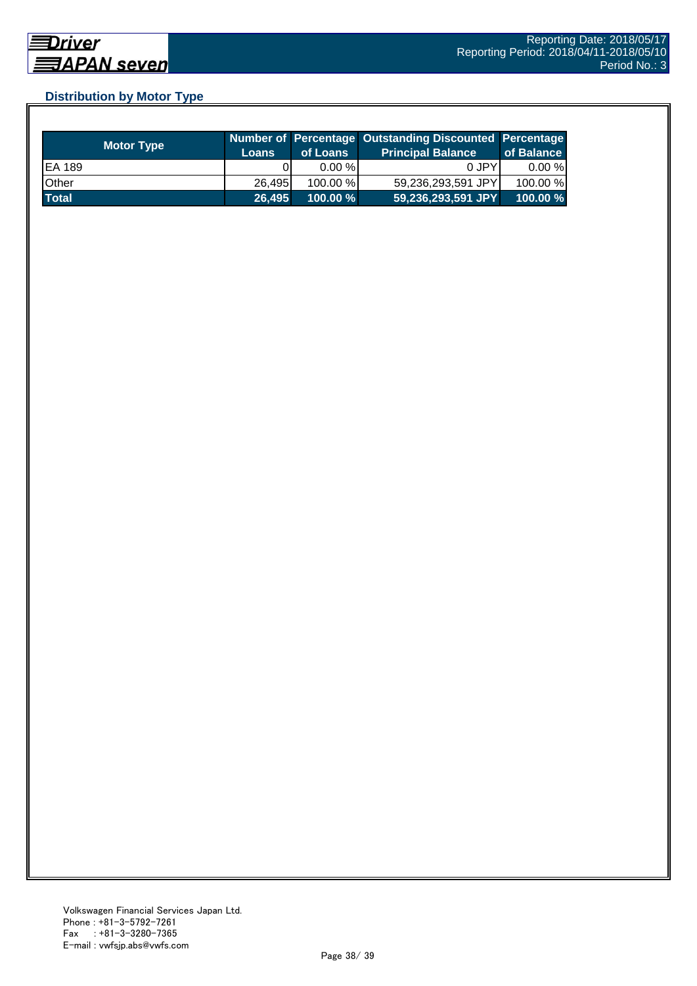## **Distribution by Motor Type**

| <b>Motor Type</b> | <b>Loans</b> | of Loans    | Number of Percentage Outstanding Discounted Percentage<br><b>Principal Balance</b> | of Balance |
|-------------------|--------------|-------------|------------------------------------------------------------------------------------|------------|
| EA 189            |              | $0.00 \%$   | 0 JPY                                                                              | $0.00 \%$  |
| Other             | 26.495       | 100.00 %    | 59,236,293,591 JPY                                                                 | 100.00 %   |
| <b>Total</b>      | 26,495       | $100.00 \%$ | 59,236,293,591 JPY                                                                 | 100.00 %   |